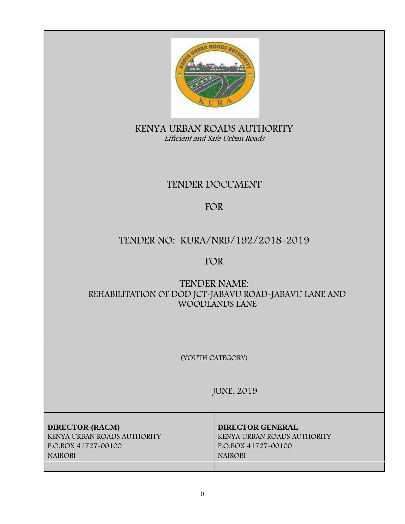

**KENYA URBAN ROADS AUTHORITY** *Efficient and Safe Urban Roads*

# **TENDER DOCUMENT**

# **FOR**

# **TENDER NO: KURA/NRB/192/2018-2019**

# **FOR**

# **TENDER NAME:** REHABILITATION OF DOD JCT-JABAVU ROAD-JABAVU LANE AND WOODLANDS LANE

**(YOUTH CATEGORY)**

**JUNE, 2019**

**DIRECTOR-(RACM) DIRECTOR GENERAL KENYA URBAN ROADS AUTHORITY KENYA URBAN ROADS AUTHORITY P.O.BOX 41727-00100 P.O.BOX 41727-00100 NAIROBI NAIROBI**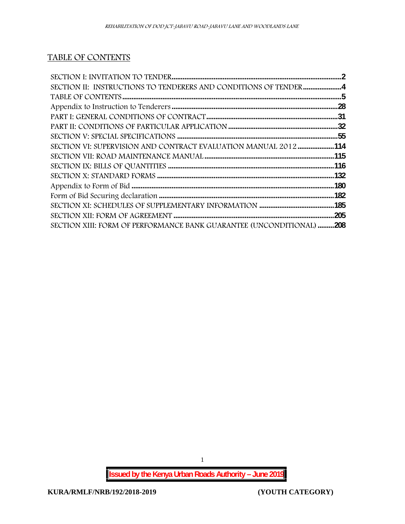# **TABLE OF CONTENTS**

| SECTION VI: SUPERVISION AND CONTRACT EVALUATION MANUAL 2012 114      |  |
|----------------------------------------------------------------------|--|
|                                                                      |  |
|                                                                      |  |
|                                                                      |  |
|                                                                      |  |
|                                                                      |  |
|                                                                      |  |
|                                                                      |  |
| SECTION XIII: FORM OF PERFORMANCE BANK GUARANTEE (UNCONDITIONAL) 208 |  |

1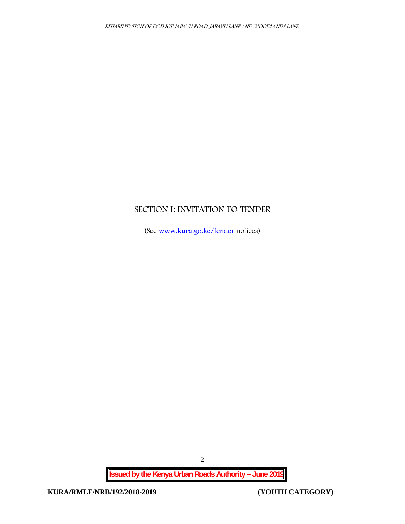# **SECTION I: INVITATION TO TENDER**

(See www.kura.go.ke/tender notices)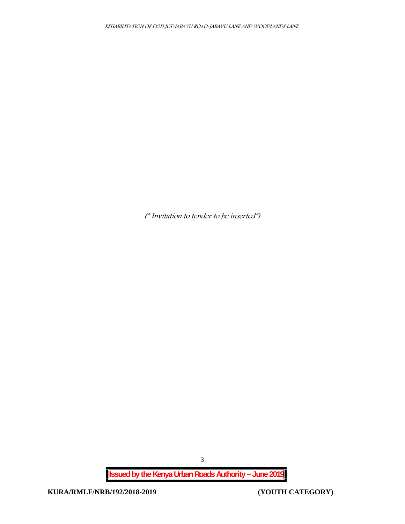*(\* Invitation to tender to be inserted\*)*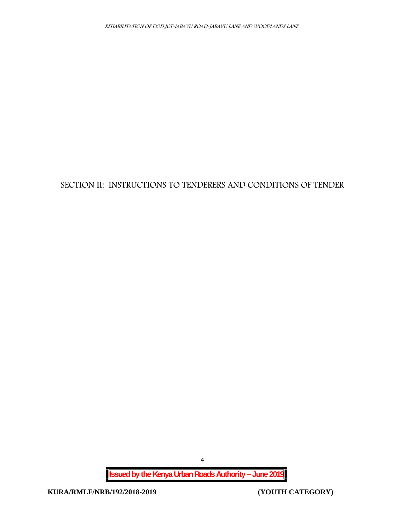# **SECTION II: INSTRUCTIONS TO TENDERERS AND CONDITIONS OF TENDER**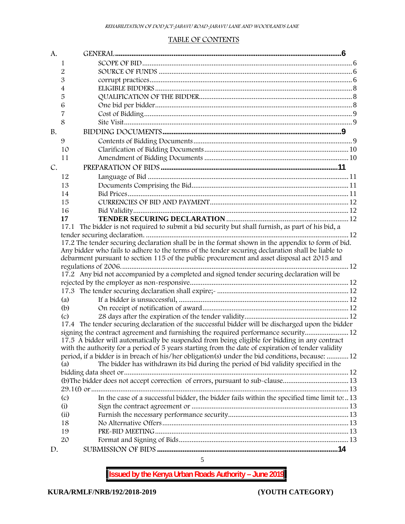#### **TABLE OF CONTENTS**

| A.        |                                                                                                      |  |
|-----------|------------------------------------------------------------------------------------------------------|--|
|           | 1                                                                                                    |  |
|           | 2                                                                                                    |  |
|           | 3                                                                                                    |  |
|           | 4                                                                                                    |  |
|           | 5                                                                                                    |  |
|           | 6                                                                                                    |  |
|           |                                                                                                      |  |
|           | 8                                                                                                    |  |
| <b>B.</b> |                                                                                                      |  |
|           | 9                                                                                                    |  |
|           | 10                                                                                                   |  |
|           | 11                                                                                                   |  |
| C.        |                                                                                                      |  |
|           | 12                                                                                                   |  |
|           | 13                                                                                                   |  |
|           | 14                                                                                                   |  |
|           | 15                                                                                                   |  |
|           | 16                                                                                                   |  |
|           | 17                                                                                                   |  |
|           | The bidder is not required to submit a bid security but shall furnish, as part of his bid, a<br>17.1 |  |
|           |                                                                                                      |  |
|           | 17.2 The tender securing declaration shall be in the format shown in the appendix to form of bid.    |  |
|           | Any bidder who fails to adhere to the terms of the tender securing declaration shall be liable to    |  |
|           | debarment pursuant to section 115 of the public procurement and asset disposal act 2015 and          |  |
|           |                                                                                                      |  |
|           | 17.2 Any bid not accompanied by a completed and signed tender securing declaration will be           |  |
|           |                                                                                                      |  |
|           | 17.3 The tender securing declaration shall expire; manufacture manufacture manufacture 12            |  |
|           | (a)                                                                                                  |  |
|           | (b)                                                                                                  |  |
|           | (c)                                                                                                  |  |
|           | 17.4 The tender securing declaration of the successful bidder will be discharged upon the bidder     |  |
|           | signing the contract agreement and furnishing the required performance security 12                   |  |
|           | 17.5 A bidder will automatically be suspended from being eligible for bidding in any contract        |  |
|           | with the authority for a period of 5 years starting from the date of expiration of tender validity   |  |
|           | period, if a bidder is in breach of his/her obligation(s) under the bid conditions, because:  12     |  |
|           | The bidder has withdrawn its bid during the period of bid validity specified in the<br>(a)           |  |
|           |                                                                                                      |  |
|           | (b) The bidder does not accept correction of errors, pursuant to sub-clause13                        |  |
|           |                                                                                                      |  |
|           | In the case of a successful bidder, the bidder fails within the specified time limit to:  13<br>(c)  |  |
|           | (i)                                                                                                  |  |
|           | (ii)                                                                                                 |  |
|           | 18                                                                                                   |  |
|           | 19                                                                                                   |  |
|           | 20                                                                                                   |  |
| D.        |                                                                                                      |  |

5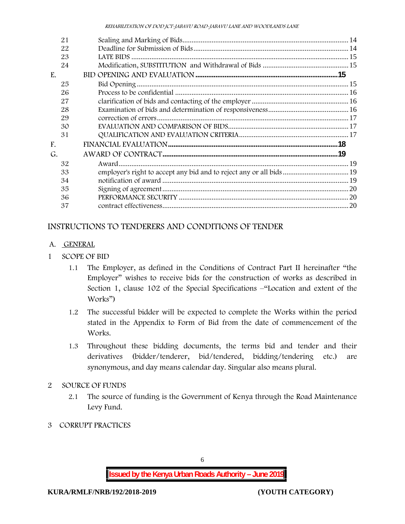| 21 |                                                                      |  |
|----|----------------------------------------------------------------------|--|
| 22 |                                                                      |  |
| 23 |                                                                      |  |
| 24 |                                                                      |  |
| E. |                                                                      |  |
| 25 |                                                                      |  |
| 26 |                                                                      |  |
| 27 |                                                                      |  |
| 28 |                                                                      |  |
| 29 |                                                                      |  |
| 30 |                                                                      |  |
| 31 |                                                                      |  |
| F. |                                                                      |  |
| G. |                                                                      |  |
| 32 |                                                                      |  |
| 33 | employer's right to accept any bid and to reject any or all bids  19 |  |
| 34 |                                                                      |  |
| 35 |                                                                      |  |
| 36 |                                                                      |  |
| 37 |                                                                      |  |

# **INSTRUCTIONS TO TENDERERS AND CONDITIONS OF TENDER**

- **A. GENERAL**
- **1 SCOPE OF BID**
	- 1.1 The Employer, as defined in the Conditions of Contract Part II hereinafter "the Employer" wishes to receive bids for the construction of works as described in Section 1, clause 102 of the Special Specifications –"Location and extent of the Works")
	- 1.2 The successful bidder will be expected to complete the Works within the period stated in the Appendix to Form of Bid from the date of commencement of the Works.
	- 1.3 Throughout these bidding documents, the terms bid and tender and their derivatives (bidder/tenderer, bid/tendered, bidding/tendering etc.) are synonymous, and day means calendar day. Singular also means plural.
- **2 SOURCE OF FUNDS**
	- 2.1 The source of funding is the Government of Kenya through the Road Maintenance Levy Fund.
- **3 CORRUPT PRACTICES**

6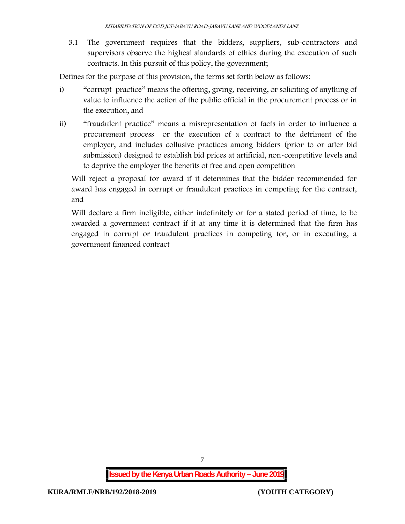3.1 The government requires that the bidders, suppliers, sub-contractors and supervisors observe the highest standards of ethics during the execution of such contracts. In this pursuit of this policy, the government;

Defines for the purpose of this provision, the terms set forth below as follows:

- i) "corrupt practice" means the offering, giving, receiving, or soliciting of anything of value to influence the action of the public official in the procurement process or in the execution, and
- ii) "fraudulent practice" means a misrepresentation of facts in order to influence a procurement process or the execution of a contract to the detriment of the employer, and includes collusive practices among bidders (prior to or after bid submission) designed to establish bid prices at artificial, non-competitive levels and to deprive the employer the benefits of free and open competition

Will reject a proposal for award if it determines that the bidder recommended for award has engaged in corrupt or fraudulent practices in competing for the contract, and

Will declare a firm ineligible, either indefinitely or for a stated period of time, to be awarded a government contract if it at any time it is determined that the firm has engaged in corrupt or fraudulent practices in competing for, or in executing, a government financed contract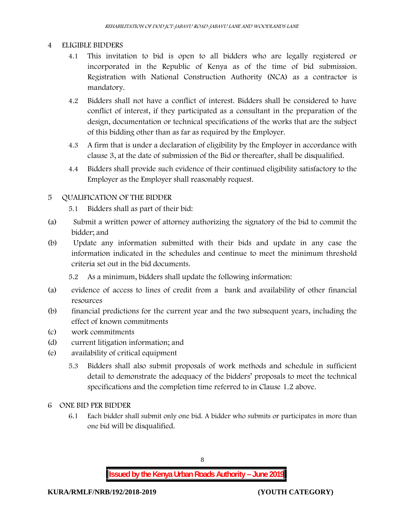### **4 ELIGIBLE BIDDERS**

- 4.1 This invitation to bid is open to all bidders who are legally registered or incorporated in the Republic of Kenya as of the time of bid submission. Registration with National Construction Authority (NCA) as a contractor is mandatory.
- 4.2 Bidders shall not have a conflict of interest. Bidders shall be considered to have conflict of interest, if they participated as a consultant in the preparation of the design, documentation or technical specifications of the works that are the subject of this bidding other than as far as required by the Employer.
- 4.3 A firm that is under a declaration of eligibility by the Employer in accordance with clause 3, at the date of submission of the Bid or thereafter, shall be disqualified.
- 4.4 Bidders shall provide such evidence of their continued eligibility satisfactory to the Employer as the Employer shall reasonably request.

### **5 QUALIFICATION OF THE BIDDER**

- 5.1 Bidders shall as part of their bid:
- (a) Submit a written power of attorney authorizing the signatory of the bid to commit the bidder; and
- (b) Update any information submitted with their bids and update in any case the information indicated in the schedules and continue to meet the minimum threshold criteria set out in the bid documents.

5.2 As a minimum, bidders shall update the following information:

- (a) evidence of access to lines of credit from a bank and availability of other financial resources
- (b) financial predictions for the current year and the two subsequent years, including the effect of known commitments
- (c) work commitments
- (d) current litigation information; and
- (e) availability of critical equipment
	- 5.3 Bidders shall also submit proposals of work methods and schedule in sufficient detail to demonstrate the adequacy of the bidders' proposals to meet the technical specifications and the completion time referred to in Clause 1.2 above.
- **6 ONE BID PER BIDDER**
	- 6.1 Each bidder shall submit only one bid. A bidder who submits or participates in more than one bid will be disqualified.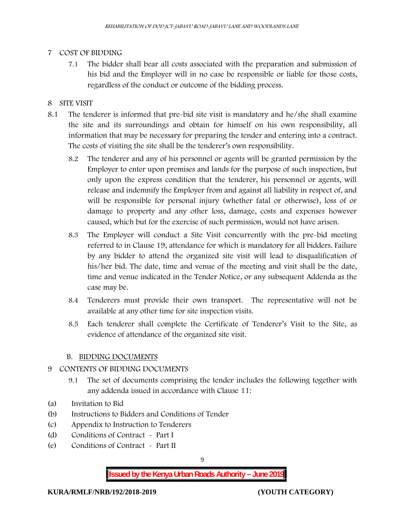#### **7 COST OF BIDDING**

7.1 The bidder shall bear all costs associated with the preparation and submission of his bid and the Employer will in no case be responsible or liable for those costs, regardless of the conduct or outcome of the bidding process.

#### **8 SITE VISIT**

- 8.1 The tenderer is informed that pre-bid site visit is mandatory and he/she shall examine the site and its surroundings and obtain for himself on his own responsibility, all information that may be necessary for preparing the tender and entering into a contract. The costs of visiting the site shall be the tenderer's own responsibility.
	- 8.2 The tenderer and any of his personnel or agents will be granted permission by the Employer to enter upon premises and lands for the purpose of such inspection, but only upon the express condition that the tenderer, his personnel or agents, will release and indemnify the Employer from and against all liability in respect of, and will be responsible for personal injury (whether fatal or otherwise), loss of or damage to property and any other loss, damage, costs and expenses however caused, which but for the exercise of such permission, would not have arisen.
	- 8.3 The Employer will conduct a Site Visit concurrently with the pre-bid meeting referred to in Clause 19, attendance for which is mandatory for all bidders. Failure by any bidder to attend the organized site visit will lead to disqualification of his/her bid. The date, time and venue of the meeting and visit shall be the date, time and venue indicated in the Tender Notice, or any subsequent Addenda as the case may be.
	- 8.4 Tenderers must provide their own transport. The representative will not be available at any other time for site inspection visits.
	- 8.5 Each tenderer shall complete the Certificate of Tenderer's Visit to the Site, as evidence of attendance of the organized site visit.

#### **B. BIDDING DOCUMENTS**

- **9 CONTENTS OF BIDDING DOCUMENTS**
	- 9.1 The set of documents comprising the tender includes the following together with any addenda issued in accordance with Clause 11:
- (a) Invitation to Bid
- (b) Instructions to Bidders and Conditions of Tender
- (c) Appendix to Instruction to Tenderers
- (d) Conditions of Contract Part I
- (e) Conditions of Contract Part II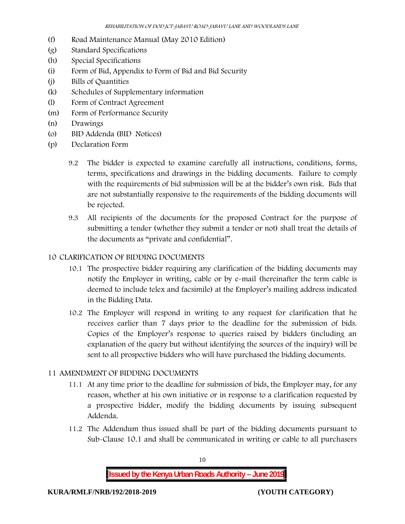- (f) Road Maintenance Manual (May 2010 Edition)
- (g) Standard Specifications
- (h) Special Specifications
- (i) Form of Bid, Appendix to Form of Bid and Bid Security
- (j) Bills of Quantities
- (k) Schedules of Supplementary information
- (l) Form of Contract Agreement
- (m) Form of Performance Security
- (n) Drawings
- (o) BID Addenda (BID Notices)
- (p) Declaration Form
	- 9.2 The bidder is expected to examine carefully all instructions, conditions, forms, terms, specifications and drawings in the bidding documents. Failure to comply with the requirements of bid submission will be at the bidder's own risk. Bids that are not substantially responsive to the requirements of the bidding documents will be rejected.
	- 9.3 All recipients of the documents for the proposed Contract for the purpose of submitting a tender (whether they submit a tender or not) shall treat the details of the documents as "private and confidential".

### **10 CLARIFICATION OF BIDDING DOCUMENTS**

- 10.1 The prospective bidder requiring any clarification of the bidding documents may notify the Employer in writing, cable or by e-mail (hereinafter the term cable is deemed to include telex and facsimile) at the Employer's mailing address indicated in the Bidding Data.
- 10.2 The Employer will respond in writing to any request for clarification that he receives earlier than 7 days prior to the deadline for the submission of bids. Copies of the Employer's response to queries raised by bidders (including an explanation of the query but without identifying the sources of the inquiry) will be sent to all prospective bidders who will have purchased the bidding documents.

### **11 AMENDMENT OF BIDDING DOCUMENTS**

- 11.1 At any time prior to the deadline for submission of bids, the Employer may, for any reason, whether at his own initiative or in response to a clarification requested by a prospective bidder, modify the bidding documents by issuing subsequent Addenda.
- 11.2 The Addendum thus issued shall be part of the bidding documents pursuant to Sub-Clause 10.1 and shall be communicated in writing or cable to all purchasers

**Issued by the Kenya Urban Roads Authority – June 2019**

10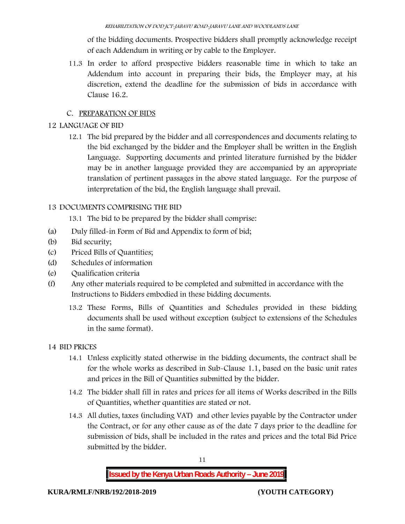of the bidding documents. Prospective bidders shall promptly acknowledge receipt of each Addendum in writing or by cable to the Employer.

11.3 In order to afford prospective bidders reasonable time in which to take an Addendum into account in preparing their bids, the Employer may, at his discretion, extend the deadline for the submission of bids in accordance with Clause 16.2.

# **C. PREPARATION OF BIDS**

# **12 LANGUAGE OF BID**

12.1 The bid prepared by the bidder and all correspondences and documents relating to the bid exchanged by the bidder and the Employer shall be written in the English Language. Supporting documents and printed literature furnished by the bidder may be in another language provided they are accompanied by an appropriate translation of pertinent passages in the above stated language. For the purpose of interpretation of the bid, the English language shall prevail.

# **13 DOCUMENTS COMPRISING THE BID**

13.1 The bid to be prepared by the bidder shall comprise:

- (a) Duly filled-in Form of Bid and Appendix to form of bid;
- (b) Bid security;
- (c) Priced Bills of Quantities;
- (d) Schedules of information
- (e) Qualification criteria
- (f) Any other materials required to be completed and submitted in accordance with the Instructions to Bidders embodied in these bidding documents.
	- 13.2 These Forms, Bills of Quantities and Schedules provided in these bidding documents shall be used without exception (subject to extensions of the Schedules in the same format).

# **14 BID PRICES**

- 14.1 Unless explicitly stated otherwise in the bidding documents, the contract shall be for the whole works as described in Sub-Clause 1.1, based on the basic unit rates and prices in the Bill of Quantities submitted by the bidder.
- 14.2 The bidder shall fill in rates and prices for all items of Works described in the Bills of Quantities, whether quantities are stated or not.
- 14.3 All duties, taxes (including VAT) and other levies payable by the Contractor under the Contract, or for any other cause as of the date 7 days prior to the deadline for submission of bids, shall be included in the rates and prices and the total Bid Price submitted by the bidder.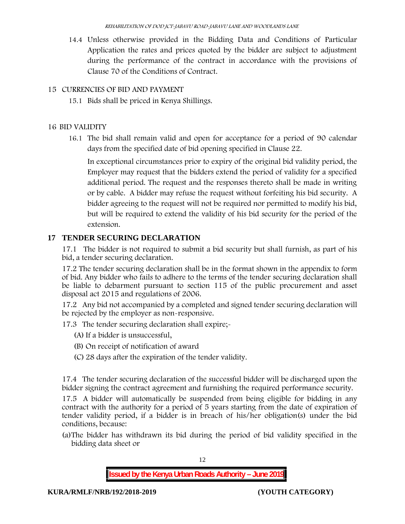14.4 Unless otherwise provided in the Bidding Data and Conditions of Particular Application the rates and prices quoted by the bidder are subject to adjustment during the performance of the contract in accordance with the provisions of Clause 70 of the Conditions of Contract.

### **15 CURRENCIES OF BID AND PAYMENT**

15.1 Bids shall be priced in Kenya Shillings.

### **16 BID VALIDITY**

16.1 The bid shall remain valid and open for acceptance for a period of 90 calendar days from the specified date of bid opening specified in Clause 22.

In exceptional circumstances prior to expiry of the original bid validity period, the Employer may request that the bidders extend the period of validity for a specified additional period. The request and the responses thereto shall be made in writing or by cable. A bidder may refuse the request without forfeiting his bid security. A bidder agreeing to the request will not be required nor permitted to modify his bid, but will be required to extend the validity of his bid security for the period of the extension.

# **17 TENDER SECURING DECLARATION**

17.1 The bidder is not required to submit a bid security but shall furnish, as part of his bid, a tender securing declaration.

17.2 The tender securing declaration shall be in the format shown in the appendix to form of bid. Any bidder who fails to adhere to the terms of the tender securing declaration shall be liable to debarment pursuant to section 115 of the public procurement and asset disposal act 2015 and regulations of 2006.

17.2 Any bid not accompanied by a completed and signed tender securing declaration will be rejected by the employer as non-responsive.

17.3 The tender securing declaration shall expire;-

- (A) If a bidder is unsuccessful,
- (B) On receipt of notification of award
- (C) 28 days after the expiration of the tender validity.

17.4 The tender securing declaration of the successful bidder will be discharged upon the bidder signing the contract agreement and furnishing the required performance security.

17.5 A bidder will automatically be suspended from being eligible for bidding in any contract with the authority for a period of 5 years starting from the date of expiration of tender validity period, if a bidder is in breach of his/her obligation(s) under the bid conditions, because:

(a)The bidder has withdrawn its bid during the period of bid validity specified in the bidding data sheet or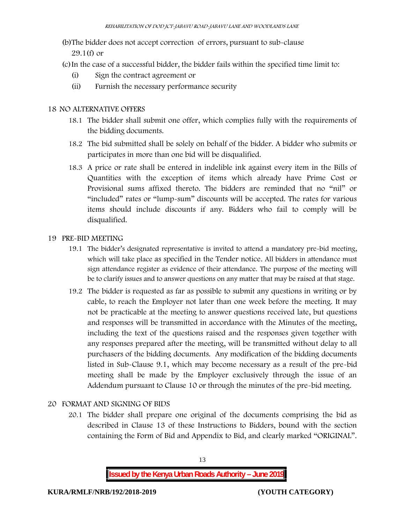(b)The bidder does not accept correction of errors, pursuant to sub-clause

29.1(f) or

(c)In the case of a successful bidder, the bidder fails within the specified time limit to:

- (i) Sign the contract agreement or
- (ii) Furnish the necessary performance security

## **18 NO ALTERNATIVE OFFERS**

- 18.1 The bidder shall submit one offer, which complies fully with the requirements of the bidding documents.
- 18.2 The bid submitted shall be solely on behalf of the bidder. A bidder who submits or participates in more than one bid will be disqualified.
- 18.3 A price or rate shall be entered in indelible ink against every item in the Bills of Quantities with the exception of items which already have Prime Cost or Provisional sums affixed thereto. The bidders are reminded that no "nil" or "included" rates or "lump-sum" discounts will be accepted. The rates for various items should include discounts if any. Bidders who fail to comply will be disqualified.

### **19 PRE-BID MEETING**

- 19.1 The bidder's designated representative is invited to attend a mandatory pre-bid meeting, which will take place as specified in the Tender notice. All bidders in attendance must sign attendance register as evidence of their attendance. The purpose of the meeting will be to clarify issues and to answer questions on any matter that may be raised at that stage.
- 19.2 The bidder is requested as far as possible to submit any questions in writing or by cable, to reach the Employer not later than one week before the meeting. It may not be practicable at the meeting to answer questions received late, but questions and responses will be transmitted in accordance with the Minutes of the meeting, including the text of the questions raised and the responses given together with any responses prepared after the meeting, will be transmitted without delay to all purchasers of the bidding documents. Any modification of the bidding documents listed in Sub-Clause 9.1, which may become necessary as a result of the pre-bid meeting shall be made by the Employer exclusively through the issue of an Addendum pursuant to Clause 10 or through the minutes of the pre-bid meeting.

# **20 FORMAT AND SIGNING OF BIDS**

20.1 The bidder shall prepare one original of the documents comprising the bid as described in Clause 13 of these Instructions to Bidders, bound with the section containing the Form of Bid and Appendix to Bid, and clearly marked "ORIGINAL".

**Issued by the Kenya Urban Roads Authority – June 2019**

13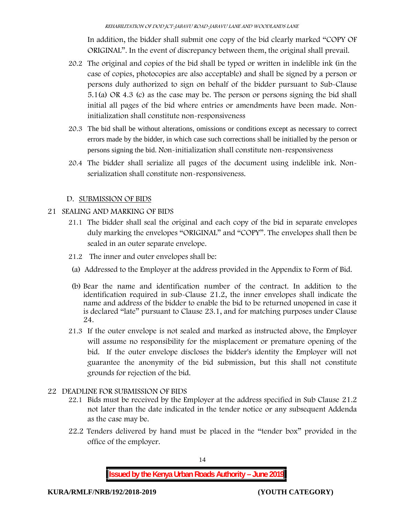In addition, the bidder shall submit one copy of the bid clearly marked "COPY OF ORIGINAL". In the event of discrepancy between them, the original shall prevail.

- 20.2 The original and copies of the bid shall be typed or written in indelible ink (in the case of copies, photocopies are also acceptable) and shall be signed by a person or persons duly authorized to sign on behalf of the bidder pursuant to Sub-Clause 5.1(a) OR 4.3 (c) as the case may be. The person or persons signing the bid shall initial all pages of the bid where entries or amendments have been made. Noninitialization shall constitute non-responsiveness
- 20.3 The bid shall be without alterations, omissions or conditions except as necessary to correct errors made by the bidder, in which case such corrections shall be initialled by the person or persons signing the bid. Non-initialization shall constitute non-responsiveness
- 20.4 The bidder shall serialize all pages of the document using indelible ink. Nonserialization shall constitute non-responsiveness.

### **D. SUBMISSION OF BIDS**

### **21 SEALING AND MARKING OF BIDS**

- 21.1 The bidder shall seal the original and each copy of the bid in separate envelopes duly marking the envelopes "ORIGINAL" and "COPY". The envelopes shall then be sealed in an outer separate envelope.
- 21.2 The inner and outer envelopes shall be:
- (a) Addressed to the Employer at the address provided in the Appendix to Form of Bid.
- (b) Bear the name and identification number of the contract. In addition to the identification required in sub-Clause 21.2, the inner envelopes shall indicate the name and address of the bidder to enable the bid to be returned unopened in case it is declared "late" pursuant to Clause 23.1, and for matching purposes under Clause 24.
- 21.3 If the outer envelope is not sealed and marked as instructed above, the Employer will assume no responsibility for the misplacement or premature opening of the bid. If the outer envelope discloses the bidder's identity the Employer will not guarantee the anonymity of the bid submission, but this shall not constitute grounds for rejection of the bid.

### **22 DEADLINE FOR SUBMISSION OF BIDS**

- 22.1 Bids must be received by the Employer at the address specified in Sub Clause 21.2 not later than **the date indicated in the tender notice or any subsequent Addenda as the case may be.**
- 22.2 Tenders delivered by hand must be placed in the "tender box" provided in the office of the employer.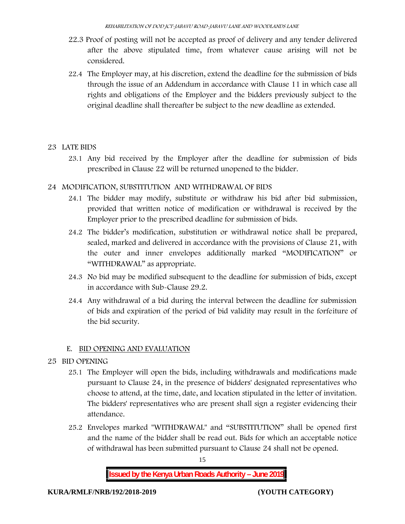- 22.3 Proof of posting will not be accepted as proof of delivery and any tender delivered after the above stipulated time, from whatever cause arising will not be considered.
- 22.4 The Employer may, at his discretion, extend the deadline for the submission of bids through the issue of an Addendum in accordance with Clause 11 in which case all rights and obligations of the Employer and the bidders previously subject to the original deadline shall thereafter be subject to the new deadline as extended.

# **23 LATE BIDS**

23.1 Any bid received by the Employer after the deadline for submission of bids prescribed in Clause 22 will be returned unopened to the bidder.

### **24 MODIFICATION, SUBSTITUTION AND WITHDRAWAL OF BIDS**

- 24.1 The bidder may modify, substitute or withdraw his bid after bid submission, provided that written notice of modification or withdrawal is received by the Employer prior to the prescribed deadline for submission of bids.
- 24.2 The bidder's modification, substitution or withdrawal notice shall be prepared, sealed, marked and delivered in accordance with the provisions of Clause 21, with the outer and inner envelopes additionally marked "MODIFICATION" or "WITHDRAWAL" as appropriate.
- 24.3 No bid may be modified subsequent to the deadline for submission of bids, except in accordance with Sub-Clause 29.2.
- 24.4 Any withdrawal of a bid during the interval between the deadline for submission of bids and expiration of the period of bid validity may result in the forfeiture of the bid security.

### **E. BID OPENING AND EVALUATION**

### **25 BID OPENING**

- 25.1 The Employer will open the bids, including withdrawals and modifications made pursuant to Clause 24, in the presence of bidders' designated representatives who choose to attend, at the time, date, and location stipulated in the letter of invitation. The bidders' representatives who are present shall sign a register evidencing their attendance.
- 25.2 Envelopes marked "WITHDRAWAL" and "SUBSTITUTION" shall be opened first and the name of the bidder shall be read out. Bids for which an acceptable notice of withdrawal has been submitted pursuant to Clause 24 shall not be opened.

15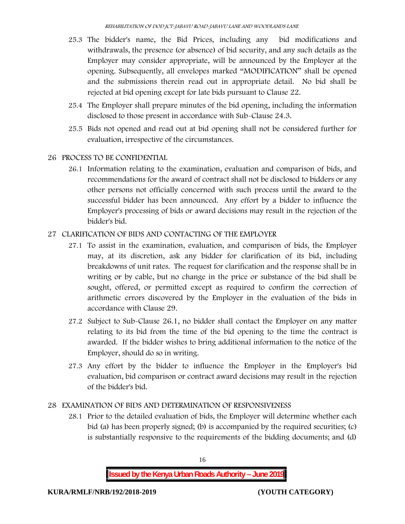- 25.3 The bidder's name, the Bid Prices, including any bid modifications and withdrawals, the presence (or absence) of bid security, and any such details as the Employer may consider appropriate, will be announced by the Employer at the opening. Subsequently, all envelopes marked "MODIFICATION" shall be opened and the submissions therein read out in appropriate detail. No bid shall be rejected at bid opening except for late bids pursuant to Clause 22.
- 25.4 The Employer shall prepare minutes of the bid opening, including the information disclosed to those present in accordance with Sub-Clause 24.3.
- 25.5 Bids not opened and read out at bid opening shall not be considered further for evaluation, irrespective of the circumstances.
- **26 PROCESS TO BE CONFIDENTIAL**
	- 26.1 Information relating to the examination, evaluation and comparison of bids, and recommendations for the award of contract shall not be disclosed to bidders or any other persons not officially concerned with such process until the award to the successful bidder has been announced. Any effort by a bidder to influence the Employer's processing of bids or award decisions may result in the rejection of the bidder's bid.

### **27 CLARIFICATION OF BIDS AND CONTACTING OF THE EMPLOYER**

- 27.1 To assist in the examination, evaluation, and comparison of bids, the Employer may, at its discretion, ask any bidder for clarification of its bid, including breakdowns of unit rates. The request for clarification and the response shall be in writing or by cable, but no change in the price or substance of the bid shall be sought, offered, or permitted except as required to confirm the correction of arithmetic errors discovered by the Employer in the evaluation of the bids in accordance with Clause 29.
- 27.2 Subject to Sub-Clause 26.1, no bidder shall contact the Employer on any matter relating to its bid from the time of the bid opening to the time the contract is awarded. If the bidder wishes to bring additional information to the notice of the Employer, should do so in writing.
- 27.3 Any effort by the bidder to influence the Employer in the Employer's bid evaluation, bid comparison or contract award decisions may result in the rejection of the bidder's bid.

### **28 EXAMINATION OF BIDS AND DETERMINATION OF RESPONSIVENESS**

28.1 Prior to the detailed evaluation of bids, the Employer will determine whether each bid (a) has been properly signed; (b) is accompanied by the required securities; (c) is substantially responsive to the requirements of the bidding documents; and (d)

**Issued by the Kenya Urban Roads Authority – June 2019**

16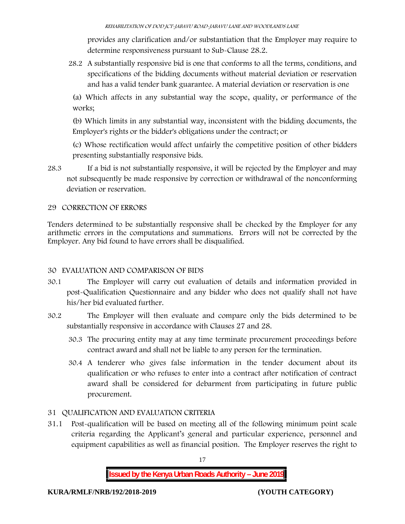provides any clarification and/or substantiation that the Employer may require to determine responsiveness pursuant to Sub-Clause 28.2.

28.2 A substantially responsive bid is one that conforms to all the terms, conditions, and specifications of the bidding documents without material deviation or reservation and has a valid tender bank guarantee. A material deviation or reservation is one

(a) Which affects in any substantial way the scope, quality, or performance of the works;

(b) Which limits in any substantial way, inconsistent with the bidding documents, the Employer's rights or the bidder's obligations under the contract; or

(c) Whose rectification would affect unfairly the competitive position of other bidders presenting substantially responsive bids.

28.3 If a bid is not substantially responsive, it will be rejected by the Employer and may not subsequently be made responsive by correction or withdrawal of the nonconforming deviation or reservation.

# **29 CORRECTION OF ERRORS**

Tenders determined to be substantially responsive shall be checked by the Employer for any arithmetic errors in the computations and summations. Errors will not be corrected by the Employer. Any bid found to have errors shall be disqualified.

### **30 EVALUATION AND COMPARISON OF BIDS**

- 30.1 The Employer will carry out evaluation of details and information provided in post-Qualification Questionnaire and any bidder who does not qualify shall not have his/her bid evaluated further.
- 30.2 The Employer will then evaluate and compare only the bids determined to be substantially responsive in accordance with Clauses 27 and 28.
	- 30.3 The procuring entity may at any time terminate procurement proceedings before contract award and shall not be liable to any person for the termination.
	- 30.4 A tenderer who gives false information in the tender document about its qualification or who refuses to enter into a contract after notification of contract award shall be considered for debarment from participating in future public procurement.

# **31 QUALIFICATION AND EVALUATION CRITERIA**

31.1 Post-qualification will be based on meeting all of the following minimum point scale criteria regarding the Applicant's general and particular experience, personnel and equipment capabilities as well as financial position. The Employer reserves the right to

17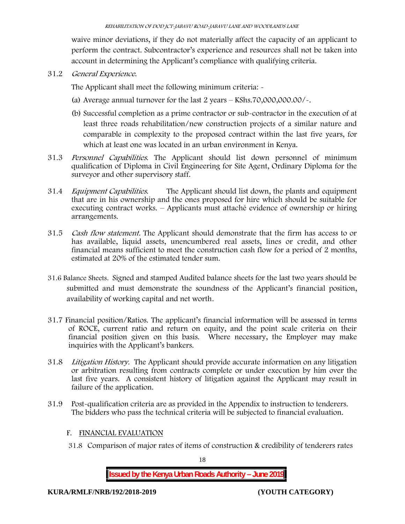waive minor deviations, if they do not materially affect the capacity of an applicant to perform the contract. Subcontractor's experience and resources shall not be taken into account in determining the Applicant's compliance with qualifying criteria.

**31.2** *General Experience***.**

The Applicant shall meet the following minimum criteria: -

- (a) Average annual turnover for the last 2 years **KShs.70,000,000.00/-.**
- (b) Successful completion as a prime contractor or sub-contractor in the execution of at least three roads rehabilitation/new construction projects of a similar nature and comparable in complexity to the proposed contract within the last five years, for which at least one was located in an urban environment in Kenya.
- 31.3 *Personnel Capabilities***.** The Applicant should list down personnel of minimum qualification of Diploma in Civil Engineering for Site Agent, Ordinary Diploma for the surveyor and other supervisory staff.
- 31.4 *Equipment Capabilities.* The Applicant should list down, the plants and equipment that are in his ownership and the ones proposed for hire which should be suitable for executing contract works. – Applicants must attaché evidence of ownership or hiring arrangements.
- 31.5 *Cash flow statement.* The Applicant should demonstrate that the firm has access to or has available, liquid assets, unencumbered real assets, lines or credit, and other financial means sufficient to meet the construction cash flow for a period of 2 months, estimated at 20% of the estimated tender sum.
- **31.6 Balance Sheets***.* Signed and stamped Audited balance sheets for the last two years should be submitted and must demonstrate the soundness of the Applicant's financial position, availability of working capital and net worth.
- **31.7 Financial position/Ratios.** The applicant's financial information will be assessed in terms of ROCE, current ratio and return on equity, and the point scale criteria on their financial position given on this basis. Where necessary, the Employer may make inquiries with the Applicant's bankers.
- 31.8 *Litigation History.* The Applicant should provide accurate information on any litigation or arbitration resulting from contracts complete or under execution by him over the last five years. A consistent history of litigation against the Applicant may result in failure of the application.
- 31.9 Post-qualification criteria are as provided in the Appendix to instruction to tenderers. The bidders who pass the technical criteria will be subjected to financial evaluation.

#### **F. FINANCIAL EVALUATION**

31.8 Comparison of major rates of items of construction & credibility of tenderers rates

18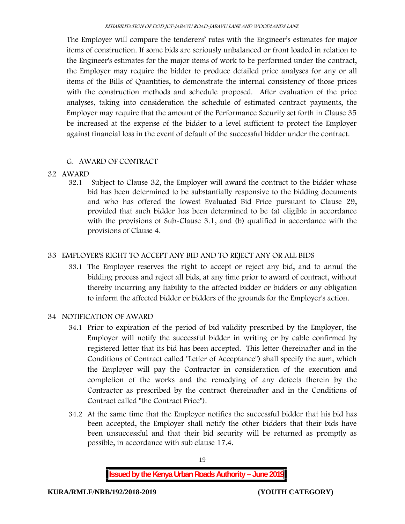The Employer will compare the tenderers' rates with the Engineer's estimates for major items of construction. If some bids are seriously unbalanced or front loaded in relation to the Engineer's estimates for the major items of work to be performed under the contract, the Employer may require the bidder to produce detailed price analyses for any or all items of the Bills of Quantities, to demonstrate the internal consistency of those prices with the construction methods and schedule proposed. After evaluation of the price analyses, taking into consideration the schedule of estimated contract payments, the Employer may require that the amount of the Performance Security set forth in Clause 35 be increased at the expense of the bidder to a level sufficient to protect the Employer against financial loss in the event of default of the successful bidder under the contract.

### **G. AWARD OF CONTRACT**

### **32 AWARD**

32.1 Subject to Clause 32, the Employer will award the contract to the bidder whose bid has been determined to be substantially responsive to the bidding documents and who has offered the lowest Evaluated Bid Price pursuant to Clause 29, provided that such bidder has been determined to be (a) eligible in accordance with the provisions of Sub-Clause 3.1, and (b) qualified in accordance with the provisions of Clause 4.

### **33 EMPLOYER'S RIGHT TO ACCEPT ANY BID AND TO REJECT ANY OR ALL BIDS**

33.1 The Employer reserves the right to accept or reject any bid, and to annul the bidding process and reject all bids, at any time prior to award of contract, without thereby incurring any liability to the affected bidder or bidders or any obligation to inform the affected bidder or bidders of the grounds for the Employer's action.

### **34 NOTIFICATION OF AWARD**

- 34.1 Prior to expiration of the period of bid validity prescribed by the Employer, the Employer will notify the successful bidder in writing or by cable confirmed by registered letter that its bid has been accepted. This letter (hereinafter and in the Conditions of Contract called "Letter of Acceptance") shall specify the sum, which the Employer will pay the Contractor in consideration of the execution and completion of the works and the remedying of any defects therein by the Contractor as prescribed by the contract (hereinafter and in the Conditions of Contract called "the Contract Price").
- 34.2 At the same time that the Employer notifies the successful bidder that his bid has been accepted, the Employer shall notify the other bidders that their bids have been unsuccessful and that their bid security will be returned as promptly as possible, in accordance with sub clause 17.4.

19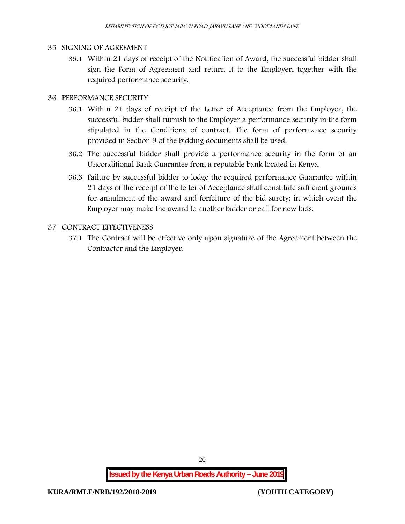#### **35 SIGNING OF AGREEMENT**

35.1 Within 21 days of receipt of the Notification of Award, the successful bidder shall sign the Form of Agreement and return it to the Employer, together with the required performance security.

## **36 PERFORMANCE SECURITY**

- 36.1 Within 21 days of receipt of the Letter of Acceptance from the Employer, the successful bidder shall furnish to the Employer a performance security in the form stipulated in the Conditions of contract. The form of performance security provided in Section 9 of the bidding documents shall be used.
- 36.2 The successful bidder shall provide a performance security in the form of an Unconditional Bank Guarantee from a reputable bank located in Kenya.
- 36.3 Failure by successful bidder to lodge the required performance Guarantee within 21 days of the receipt of the letter of Acceptance shall constitute sufficient grounds for annulment of the award and forfeiture of the bid surety; in which event the Employer may make the award to another bidder or call for new bids.

### **37 CONTRACT EFFECTIVENESS**

37.1 The Contract will be effective only upon signature of the Agreement between the Contractor and the Employer.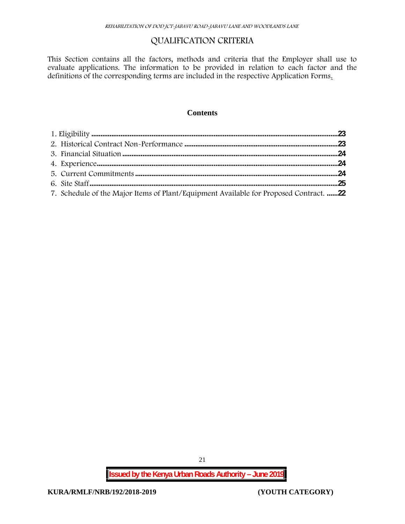# **QUALIFICATION CRITERIA**

This Section contains all the factors, methods and criteria that the Employer shall use to evaluate applications. The information to be provided in relation to each factor and the definitions of the corresponding terms are included in the respective Application Forms.

#### **Contents**

| 7. Schedule of the Major Items of Plant/Equipment Available for Proposed Contract. 22 |  |
|---------------------------------------------------------------------------------------|--|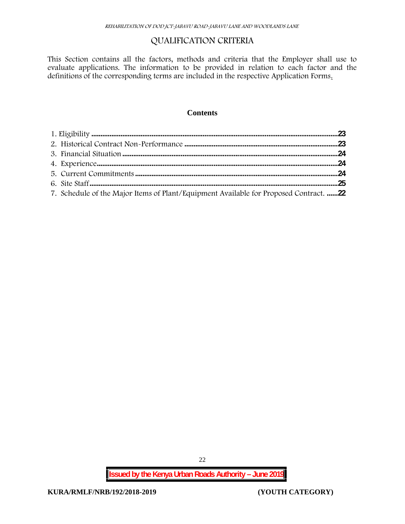# **QUALIFICATION CRITERIA**

This Section contains all the factors, methods and criteria that the Employer shall use to evaluate applications. The information to be provided in relation to each factor and the definitions of the corresponding terms are included in the respective Application Forms.

#### **Contents**

| 7. Schedule of the Major Items of Plant/Equipment Available for Proposed Contract. 22 |  |
|---------------------------------------------------------------------------------------|--|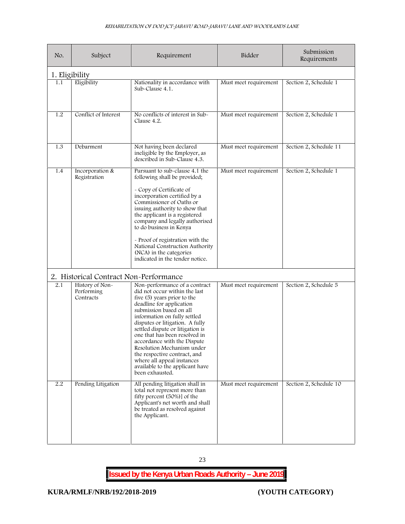| No.            | Subject                                    | Requirement                                                                                                                                                                                                                                                                                                                                                                                                                                                                   | Bidder                | Submission<br>Requirements |
|----------------|--------------------------------------------|-------------------------------------------------------------------------------------------------------------------------------------------------------------------------------------------------------------------------------------------------------------------------------------------------------------------------------------------------------------------------------------------------------------------------------------------------------------------------------|-----------------------|----------------------------|
| 1. Eligibility |                                            |                                                                                                                                                                                                                                                                                                                                                                                                                                                                               |                       |                            |
| 1.1            | Eligibility                                | Nationality in accordance with<br>Sub-Clause 4.1.                                                                                                                                                                                                                                                                                                                                                                                                                             | Must meet requirement | Section 2, Schedule 1      |
| 1.2            | Conflict of Interest                       | No conflicts of interest in Sub-<br>Clause 4.2.                                                                                                                                                                                                                                                                                                                                                                                                                               | Must meet requirement | Section 2, Schedule 1      |
| 1.3            | Debarment                                  | Not having been declared<br>ineligible by the Employer, as<br>described in Sub-Clause 4.3.                                                                                                                                                                                                                                                                                                                                                                                    | Must meet requirement | Section 2, Schedule 11     |
| 1.4            | Incorporation &<br>Registration            | Pursuant to sub-clause 4.1 the<br>following shall be provided;<br>- Copy of Certificate of<br>incorporation certified by a<br>Commissioner of Oaths or<br>issuing authority to show that<br>the applicant is a registered<br>company and legally authorised<br>to do business in Kenya<br>- Proof of registration with the<br>National Construction Authority<br>(NCA) in the categories<br>indicated in the tender notice.                                                   | Must meet requirement | Section 2, Schedule 1      |
|                | 2. Historical Contract Non-Performance     |                                                                                                                                                                                                                                                                                                                                                                                                                                                                               |                       |                            |
| 2.1            | History of Non-<br>Performing<br>Contracts | Non-performance of a contract<br>did not occur within the last<br>five (5) years prior to the<br>deadline for application<br>submission based on all<br>information on fully settled<br>disputes or litigation. A fully<br>settled dispute or litigation is<br>one that has been resolved in<br>accordance with the Dispute<br>Resolution Mechanism under<br>the respective contract, and<br>where all appeal instances<br>available to the applicant have<br>been exhausted. | Must meet requirement | Section 2, Schedule 5      |
| 2.2            | Pending Litigation                         | All pending litigation shall in<br>total not represent more than<br>fifty percent (50%)] of the<br>Applicant's net worth and shall<br>be treated as resolved against<br>the Applicant.                                                                                                                                                                                                                                                                                        | Must meet requirement | Section 2, Schedule 10     |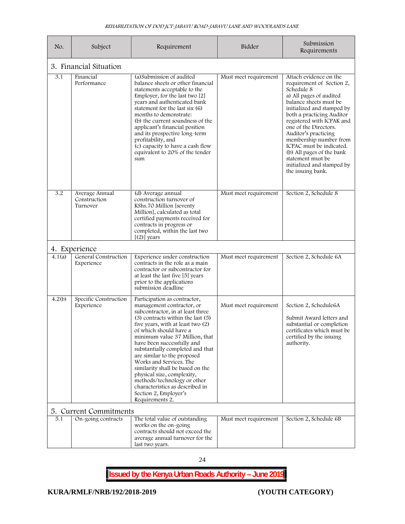| No.    | Subject                                                                                                                                                                                                                                                                                                                                                                                                                                                                                                                                                                                    | Requirement                                                                                                                                                                                 | Bidder                | Submission<br>Requirements                                                                                                                                                                                                                                                                                                                                                                                                 |
|--------|--------------------------------------------------------------------------------------------------------------------------------------------------------------------------------------------------------------------------------------------------------------------------------------------------------------------------------------------------------------------------------------------------------------------------------------------------------------------------------------------------------------------------------------------------------------------------------------------|---------------------------------------------------------------------------------------------------------------------------------------------------------------------------------------------|-----------------------|----------------------------------------------------------------------------------------------------------------------------------------------------------------------------------------------------------------------------------------------------------------------------------------------------------------------------------------------------------------------------------------------------------------------------|
|        | 3. Financial Situation                                                                                                                                                                                                                                                                                                                                                                                                                                                                                                                                                                     |                                                                                                                                                                                             |                       |                                                                                                                                                                                                                                                                                                                                                                                                                            |
| 3.1    | (a) Submission of audited<br>Financial<br>Performance<br>balance sheets or other financial<br>statements acceptable to the<br>Employer, for the last two [2]<br>years and authenticated bank<br>statement for the last six (6)<br>months to demonstrate:<br>(b) the current soundness of the<br>applicant's financial position<br>and its prospective long-term<br>profitability, and<br>(c) capacity to have a cash flow<br>equivalent to 20% of the tender<br>sum                                                                                                                        |                                                                                                                                                                                             | Must meet requirement | Attach evidence on the<br>requirement of Section 2,<br>Schedule 8<br>a) All pages of audited<br>balance sheets must be<br>initialized and stamped by<br>both a practicing Auditor<br>registered with ICPAK and<br>one of the Directors.<br>Auditor's practicing<br>membership number from<br>ICPAC must be indicated.<br>(b) All pages of the bank<br>statement must be<br>initialized and stamped by<br>the issuing bank. |
| 3.2    | (d) Average annual<br>Average Annual<br>Construction<br>construction turnover of<br>Turnover<br>KShs.70 Million [seventy<br>Million], calculated as total<br>certified payments received for<br>contracts in progress or<br>completed, within the last two<br>$[(2)]$ years                                                                                                                                                                                                                                                                                                                |                                                                                                                                                                                             | Must meet requirement | Section 2, Schedule 8                                                                                                                                                                                                                                                                                                                                                                                                      |
|        | 4. Experience                                                                                                                                                                                                                                                                                                                                                                                                                                                                                                                                                                              |                                                                                                                                                                                             |                       |                                                                                                                                                                                                                                                                                                                                                                                                                            |
| 4.1(a) | General Construction<br>Experience                                                                                                                                                                                                                                                                                                                                                                                                                                                                                                                                                         | Experience under construction<br>contracts in the role as a main<br>contractor or subcontractor for<br>at least the last five [5] years<br>prior to the applications<br>submission deadline | Must meet requirement | Section 2, Schedule 6A                                                                                                                                                                                                                                                                                                                                                                                                     |
| 4.2(b) | Specific Construction<br>Participation as contractor,<br>Experience<br>management contractor, or<br>subcontractor, in at least three<br>$(3)$ contracts within the last $(5)$<br>five years, with at least two (2)<br>of which should have a<br>minimum value 37 Million, that<br>have been successfully and<br>substantially completed and that<br>are similar to the proposed<br>Works and Services. The<br>similarity shall be based on the<br>physical size, complexity,<br>methods/technology or other<br>characteristics as described in<br>Section 2, Employer's<br>Requirements 2. |                                                                                                                                                                                             | Must meet requirement | Section 2, Schedule6A<br>Submit Award letters and<br>substantial or completion<br>certificates which must be<br>certified by the issuing<br>authority.                                                                                                                                                                                                                                                                     |
|        | 5. Current Commitments                                                                                                                                                                                                                                                                                                                                                                                                                                                                                                                                                                     |                                                                                                                                                                                             |                       |                                                                                                                                                                                                                                                                                                                                                                                                                            |
| 5.1    | On-going contracts                                                                                                                                                                                                                                                                                                                                                                                                                                                                                                                                                                         | The total value of outstanding<br>works on the on-going<br>contracts should not exceed the<br>average annual turnover for the<br>last two years.                                            | Must meet requirement | Section 2, Schedule 6B                                                                                                                                                                                                                                                                                                                                                                                                     |

24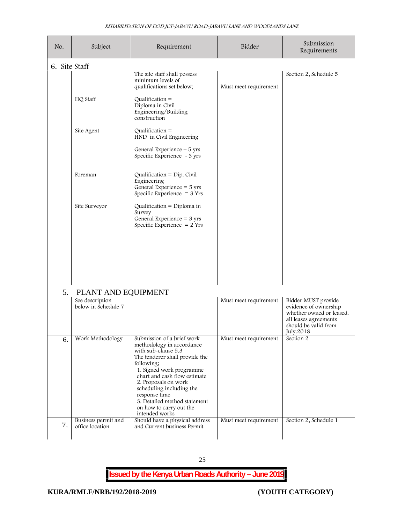| No.           | Subject                                | Requirement                                                                                                                                                                                                                                                                                                                                  | Bidder                | Submission<br>Requirements                                                                                                             |
|---------------|----------------------------------------|----------------------------------------------------------------------------------------------------------------------------------------------------------------------------------------------------------------------------------------------------------------------------------------------------------------------------------------------|-----------------------|----------------------------------------------------------------------------------------------------------------------------------------|
| 6. Site Staff |                                        |                                                                                                                                                                                                                                                                                                                                              |                       |                                                                                                                                        |
|               |                                        | The site staff shall possess<br>minimum levels of<br>qualifications set below;                                                                                                                                                                                                                                                               | Must meet requirement | Section 2, Schedule 5                                                                                                                  |
|               | HQ Staff                               | Qualification $=$<br>Diploma in Civil<br>Engineering/Building<br>construction                                                                                                                                                                                                                                                                |                       |                                                                                                                                        |
|               | Site Agent                             | Qualification $=$<br>HND in Civil Engineering<br>General Experience - 5 yrs                                                                                                                                                                                                                                                                  |                       |                                                                                                                                        |
|               |                                        | Specific Experience ~ 3 yrs                                                                                                                                                                                                                                                                                                                  |                       |                                                                                                                                        |
|               | Foreman                                | Qualification = $Dip$ . Civil<br>Engineering<br>General Experience $=$ 5 yrs<br>Specific Experience $=$ 3 Yrs                                                                                                                                                                                                                                |                       |                                                                                                                                        |
|               | Site Surveyor                          | Qualification = Diploma in<br>Survey<br>General Experience = $3 \text{ yrs}$<br>Specific Experience $= 2$ Yrs                                                                                                                                                                                                                                |                       |                                                                                                                                        |
|               |                                        |                                                                                                                                                                                                                                                                                                                                              |                       |                                                                                                                                        |
|               |                                        |                                                                                                                                                                                                                                                                                                                                              |                       |                                                                                                                                        |
| 5.            | PLANT AND EQUIPMENT                    |                                                                                                                                                                                                                                                                                                                                              |                       |                                                                                                                                        |
|               | See description<br>below in Schedule 7 |                                                                                                                                                                                                                                                                                                                                              | Must meet requirement | Bidder MUST provide<br>evidence of ownership<br>whether owned or leased.<br>all leases agreements<br>should be valid from<br>July.2018 |
| 6.            | Work Methodology                       | Submission of a brief work<br>methodology in accordance<br>with sub-clause 5.3<br>The tenderer shall provide the<br>following;<br>1. Signed work programme<br>chart and cash flow estimate<br>2. Proposals on work<br>scheduling including the<br>response time<br>3. Detailed method statement<br>on how to carry out the<br>intended works | Must meet requirement | Section 2                                                                                                                              |
| 7.            | Business permit and<br>office location | Should have a physical address<br>and Current business Permit                                                                                                                                                                                                                                                                                | Must meet requirement | Section 2, Schedule 1                                                                                                                  |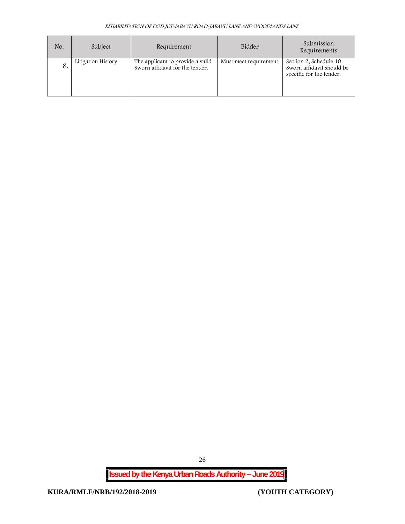| No. | Subject            | Requirement                                                         | Bidder                | Submission<br>Requirements                                                      |
|-----|--------------------|---------------------------------------------------------------------|-----------------------|---------------------------------------------------------------------------------|
| 8.  | Litigation History | The applicant to provide a valid<br>Sworn affidavit for the tender. | Must meet requirement | Section 2, Schedule 10<br>Sworn affidavit should be<br>specific for the tender. |

**Issued by the Kenya Urban Roads Authority – June 2019**

26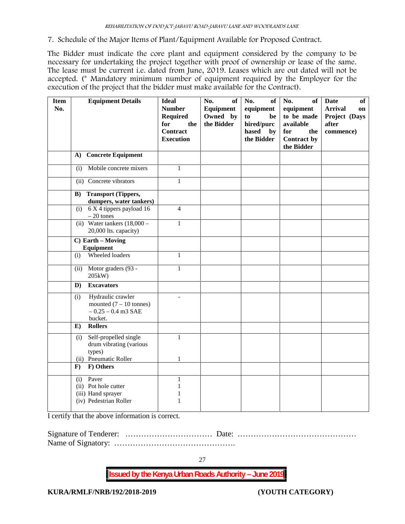**7. Schedule of the Major Items of Plant/Equipment Available for Proposed Contract.**

The Bidder must indicate the core plant and equipment considered by the company to be necessary for undertaking the project together with proof of ownership or lease of the same. The lease must be current i.e. dated from June, 2019. Leases which are out dated will not be accepted. (\* Mandatory minimum number of equipment required by the Employer for the execution of the project that the bidder must make available for the Contract).

| <b>Item</b><br>No. | <b>Equipment Details</b>                                                                         | <b>Ideal</b><br><b>Number</b><br><b>Required</b><br>for<br>the<br><b>Contract</b><br><b>Execution</b> | <b>of</b><br>No.<br>Equipment<br>Owned by<br>the Bidder | of<br>No.<br>equipment<br>to<br>be<br>hired/purc<br>hased by<br>the Bidder | No.<br>of<br>equipment<br>to be made<br>available<br>for<br>the<br>Contract by<br>the Bidder | <b>of</b><br>Date<br><b>Arrival</b><br>on<br>Project (Days<br>after<br>commence) |
|--------------------|--------------------------------------------------------------------------------------------------|-------------------------------------------------------------------------------------------------------|---------------------------------------------------------|----------------------------------------------------------------------------|----------------------------------------------------------------------------------------------|----------------------------------------------------------------------------------|
|                    | <b>Concrete Equipment</b><br>A)                                                                  |                                                                                                       |                                                         |                                                                            |                                                                                              |                                                                                  |
|                    | Mobile concrete mixers<br>(i)                                                                    | $\mathbf{1}$                                                                                          |                                                         |                                                                            |                                                                                              |                                                                                  |
|                    | (ii) Concrete vibrators                                                                          | $\mathbf{1}$                                                                                          |                                                         |                                                                            |                                                                                              |                                                                                  |
|                    | <b>Transport (Tippers,</b><br>$\bf{B}$ )<br>dumpers, water tankers)                              |                                                                                                       |                                                         |                                                                            |                                                                                              |                                                                                  |
|                    | 6 X 4 tippers payload 16<br>(i)<br>$-20$ tones                                                   | $\overline{4}$                                                                                        |                                                         |                                                                            |                                                                                              |                                                                                  |
|                    | (ii) Water tankers $(18,000 -$<br>20,000 lts. capacity)                                          | $\mathbf{1}$                                                                                          |                                                         |                                                                            |                                                                                              |                                                                                  |
|                    | C) Earth - Moving<br>Equipment                                                                   |                                                                                                       |                                                         |                                                                            |                                                                                              |                                                                                  |
|                    | Wheeled loaders<br>(i)                                                                           | $\mathbf{1}$                                                                                          |                                                         |                                                                            |                                                                                              |                                                                                  |
|                    | Motor graders (93 -<br>(ii)<br>205kW)                                                            | $\mathbf{1}$                                                                                          |                                                         |                                                                            |                                                                                              |                                                                                  |
|                    | <b>Excavators</b><br>D)                                                                          |                                                                                                       |                                                         |                                                                            |                                                                                              |                                                                                  |
|                    | Hydraulic crawler<br>(i)<br>mounted $(7 - 10 \text{ tonnes})$<br>$-0.25 - 0.4$ m3 SAE<br>bucket. | $\overline{a}$                                                                                        |                                                         |                                                                            |                                                                                              |                                                                                  |
|                    | <b>Rollers</b><br>E)                                                                             |                                                                                                       |                                                         |                                                                            |                                                                                              |                                                                                  |
|                    | Self-propelled single<br>(i)<br>drum vibrating (various<br>types)                                | $\mathbf{1}$                                                                                          |                                                         |                                                                            |                                                                                              |                                                                                  |
|                    | (ii) Pneumatic Roller                                                                            | $\mathbf{1}$                                                                                          |                                                         |                                                                            |                                                                                              |                                                                                  |
|                    | F) Others<br>$\mathbf{F}$                                                                        |                                                                                                       |                                                         |                                                                            |                                                                                              |                                                                                  |
|                    | Paver<br>(i)<br>(ii) Pot hole cutter<br>(iii) Hand sprayer<br>(iv) Pedestrian Roller             | $\mathbf{1}$<br>1<br>1<br>1                                                                           |                                                         |                                                                            |                                                                                              |                                                                                  |

I certify that the above information is correct.

Signature of Tenderer: …………………………… Date: ……………………………………… Name of Signatory: ……………………………………….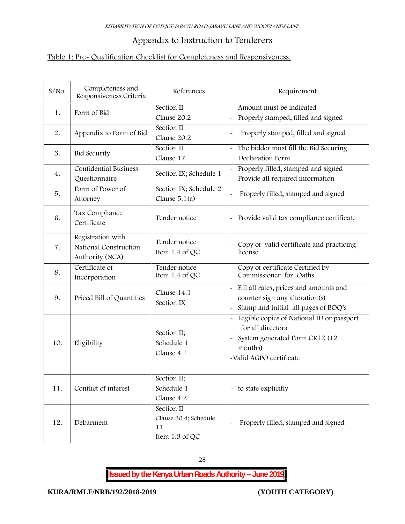# **Appendix to Instruction to Tenderers**

# **Table 1: Pre- Qualification Checklist for Completeness and Responsiveness.**

| $S/NO$ . | Completeness and<br>Responsiveness Criteria                   | References                                                  | Requirement                                                                                                                                                                                  |
|----------|---------------------------------------------------------------|-------------------------------------------------------------|----------------------------------------------------------------------------------------------------------------------------------------------------------------------------------------------|
| 1.       | Form of Bid                                                   | Section II                                                  | Amount must be indicated<br>$\tilde{\phantom{a}}$                                                                                                                                            |
|          |                                                               | Clause 20.2                                                 | Properly stamped, filled and signed                                                                                                                                                          |
| 2.       | Appendix to Form of Bid                                       | Section II<br>Clause 20.2                                   | Properly stamped, filled and signed                                                                                                                                                          |
| 3.       | <b>Bid Security</b>                                           | Section II<br>Clause 17                                     | The bidder must fill the Bid Securing<br>$\tilde{\phantom{a}}$<br>Declaration Form                                                                                                           |
| 4.       | <b>Confidential Business</b><br>Questionnaire                 | Section IX; Schedule 1                                      | Properly filled, stamped and signed<br>Provide all required information                                                                                                                      |
| 5.       | Form of Power of<br>Attorney                                  | Section IX; Schedule 2<br>Clause $5.1(a)$                   | Properly filled, stamped and signed                                                                                                                                                          |
| 6.       | Tax Compliance<br>Certificate                                 | Tender notice                                               | Provide valid tax compliance certificate<br>$\tilde{}$                                                                                                                                       |
| 7.       | Registration with<br>National Construction<br>Authority (NCA) | Tender notice<br>Item 1.4 of QC                             | Copy of valid certificate and practicing<br>license                                                                                                                                          |
| 8.       | Certificate of<br>Incorporation                               | Tender notice<br>Item 1.4 of QC                             | Copy of certificate Certified by<br>$\sim$<br>Commissioner for Oaths                                                                                                                         |
| 9.       | Priced Bill of Quantities                                     | Clause 14.1<br>Section IX                                   | Fill all rates, prices and amounts and<br>counter sign any alteration(s)<br>Stamp and initial all pages of BOQ's                                                                             |
| 10.      | Eligibility                                                   | Section II;<br>Schedule 1<br>Clause 4.1                     | Legible copies of National ID or passport<br>$\widetilde{\phantom{m}}$<br>for all directors<br>System generated Form CR12 (12<br>$\tilde{\phantom{a}}$<br>months)<br>-Valid AGPO certificate |
| 11.      | Conflict of interest                                          | Section II;<br>Schedule 1<br>Clause 4.2                     | - to state explicitly                                                                                                                                                                        |
| 12.      | Debarment                                                     | Section II<br>Clause 30.4; Schedule<br>11<br>Item 1.3 of QC | Properly filled, stamped and signed                                                                                                                                                          |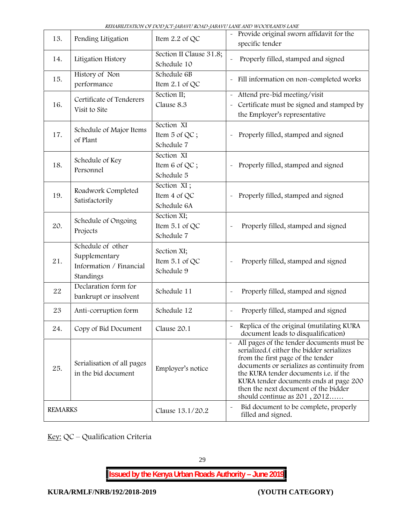|                |                                                                            | КИНАЛИНАТІОН ОТ DOD JCT - ЈАЛА VU КОАД - ЈАЛА VU LATIL ATID WOODLATIDS LATIL |                                                                                                                                                                                                                                                                                                                                                                 |  |
|----------------|----------------------------------------------------------------------------|------------------------------------------------------------------------------|-----------------------------------------------------------------------------------------------------------------------------------------------------------------------------------------------------------------------------------------------------------------------------------------------------------------------------------------------------------------|--|
| 13.            | Pending Litigation                                                         | Item $2.2$ of QC                                                             | - Provide original sworn affidavit for the<br>specific tender                                                                                                                                                                                                                                                                                                   |  |
| 14.            | Litigation History                                                         | Section II Clause 31.8;<br>Schedule 10                                       | Properly filled, stamped and signed                                                                                                                                                                                                                                                                                                                             |  |
| 15.            | History of Non<br>performance                                              | Schedule 6B<br>Item 2.1 of QC                                                | Fill information on non-completed works<br>$\tilde{}$                                                                                                                                                                                                                                                                                                           |  |
| 16.            | Certificate of Tenderers<br>Visit to Site                                  | Section $\overline{II}$ ;<br>Clause 8.3                                      | Attend pre-bid meeting/visit<br>$\widetilde{\phantom{m}}$<br>Certificate must be signed and stamped by<br>$\tilde{\phantom{a}}$<br>the Employer's representative                                                                                                                                                                                                |  |
| 17.            | Schedule of Major Items<br>of Plant                                        | Section XI<br>Item $5$ of QC;<br>Schedule 7                                  | Properly filled, stamped and signed<br>$\tilde{}$                                                                                                                                                                                                                                                                                                               |  |
| 18.            | Schedule of Key<br>Personnel                                               | Section XI<br>Item 6 of QC;<br>Schedule 5                                    | Properly filled, stamped and signed                                                                                                                                                                                                                                                                                                                             |  |
| 19.            | Roadwork Completed<br>Satisfactorily                                       | Section XI;<br>Item 4 of QC<br>Schedule 6A                                   | Properly filled, stamped and signed                                                                                                                                                                                                                                                                                                                             |  |
| 20.            | Schedule of Ongoing<br>Projects                                            | Section XI;<br>Item 5.1 of QC<br>Schedule 7                                  | Properly filled, stamped and signed<br>$\ddot{\phantom{1}}$                                                                                                                                                                                                                                                                                                     |  |
| 21.            | Schedule of other<br>Supplementary<br>Information / Financial<br>Standings | Section XI;<br>Item 5.1 of QC<br>Schedule 9                                  | Properly filled, stamped and signed                                                                                                                                                                                                                                                                                                                             |  |
| $2\sqrt{2}$    | Declaration form for<br>bankrupt or insolvent                              | Schedule 11                                                                  | Properly filled, stamped and signed<br>$\ddot{\phantom{1}}$                                                                                                                                                                                                                                                                                                     |  |
| 23             | Anti-corruption form                                                       | Schedule 12                                                                  | Properly filled, stamped and signed                                                                                                                                                                                                                                                                                                                             |  |
| 24.            | Copy of Bid Document                                                       | Clause 20.1                                                                  | Replica of the original (mutilating KURA<br>document leads to disqualification)                                                                                                                                                                                                                                                                                 |  |
| 25.            | Serialisation of all pages<br>in the bid document                          | Employer's notice                                                            | All pages of the tender documents must be<br>$\tilde{\phantom{a}}$<br>serialized. (either the bidder serializes<br>from the first page of the tender<br>documents or serializes as continuity from<br>the KURA tender documents i.e. if the<br>KURA tender documents ends at page 200<br>then the next document of the bidder<br>should continue as $201, 2012$ |  |
| <b>REMARKS</b> |                                                                            | Clause 13.1/20.2                                                             | Bid document to be complete, properly<br>$\tilde{}$<br>filled and signed.                                                                                                                                                                                                                                                                                       |  |

*REHABILITATION OF DOD JCT-JABAVU ROAD-JABAVU LANE AND WOODLANDS LANE*

**Key:** QC – Qualification Criteria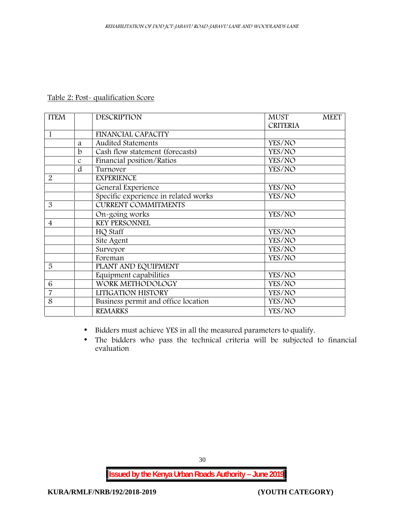# **Table 2: Post- qualification Score**

| <b>ITEM</b>    |               | <b>DESCRIPTION</b>                   | <b>MUST</b><br><b>MEET</b><br><b>CRITERIA</b> |
|----------------|---------------|--------------------------------------|-----------------------------------------------|
| $\mathbf{1}$   |               | <b>FINANCIAL CAPACITY</b>            |                                               |
|                | a             | <b>Audited Statements</b>            | YES/NO                                        |
|                | b             | Cash flow statement (forecasts)      | YES/NO                                        |
|                | $\mathcal{C}$ | Financial position/Ratios            | YES/NO                                        |
|                | d             | Turnover                             | YES/NO                                        |
| $\overline{2}$ |               | <b>EXPERIENCE</b>                    |                                               |
|                |               | General Experience                   | YES/NO                                        |
|                |               | Specific experience in related works | YES/NO                                        |
| 3              |               | <b>CURRENT COMMITMENTS</b>           |                                               |
|                |               | On-going works                       | YES/NO                                        |
| $\overline{4}$ |               | <b>KEY PERSONNEL</b>                 |                                               |
|                |               | HQ Staff                             | YES/NO                                        |
|                |               | Site Agent                           | YES/NO                                        |
|                |               | Surveyor                             | YES/NO                                        |
|                |               | Foreman                              | YES/NO                                        |
| 5              |               | PLANT AND EQUIPMENT                  |                                               |
|                |               | Equipment capabilities               | YES/NO                                        |
| 6              |               | WORK METHODOLOGY                     | YES/NO                                        |
| 7              |               | LITIGATION HISTORY                   | YES/NO                                        |
| 8              |               | Business permit and office location  | YES/NO                                        |
|                |               | <b>REMARKS</b>                       | YES/NO                                        |

- Bidders must achieve **YES** in all the measured parameters to qualify.
- The bidders who pass the technical criteria will be subjected to financial evaluation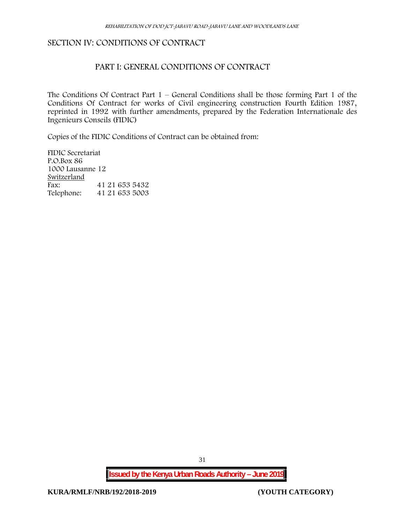#### **SECTION IV: CONDITIONS OF CONTRACT**

#### **PART I: GENERAL CONDITIONS OF CONTRACT**

The Conditions Of Contract Part  $1$  – General Conditions shall be those forming Part 1 of the Conditions Of Contract for works of Civil engineering construction Fourth Edition 1987, reprinted in 1992 with further amendments, prepared by the Federation Internationale des Ingenieurs Conseils (FIDIC)

Copies of the FIDIC Conditions of Contract can be obtained from:

FIDIC Secretariat P.O.Box 86 1000 Lausanne 12 **Switzerland** Fax: 41 21 653 5432 Telephone: 41 21 653 5003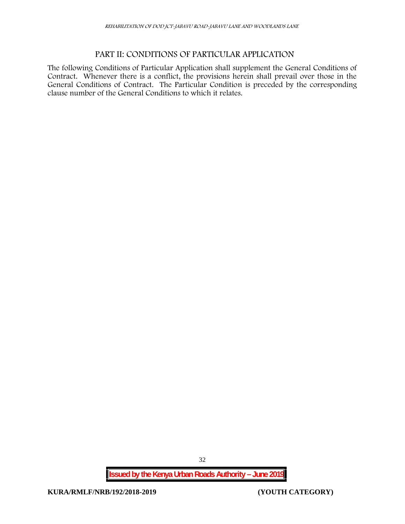### **PART II: CONDITIONS OF PARTICULAR APPLICATION**

The following Conditions of Particular Application shall supplement the General Conditions of Contract. Whenever there is a conflict, the provisions herein shall prevail over those in the General Conditions of Contract. The Particular Condition is preceded by the corresponding clause number of the General Conditions to which it relates.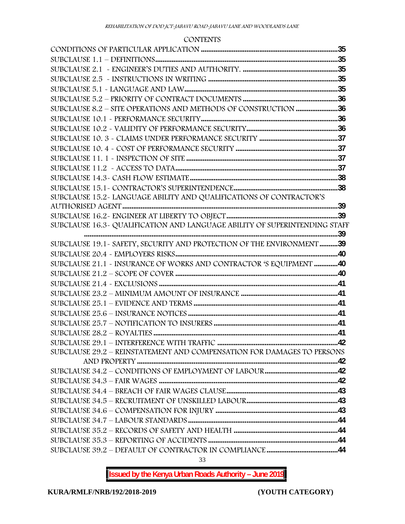#### **CONTENTS**

| SUBCLAUSE 8.2 - SITE OPERATIONS AND METHODS OF CONSTRUCTION 36             |  |
|----------------------------------------------------------------------------|--|
|                                                                            |  |
|                                                                            |  |
|                                                                            |  |
|                                                                            |  |
|                                                                            |  |
|                                                                            |  |
|                                                                            |  |
|                                                                            |  |
| SUBCLAUSE 15.2-LANGUAGE ABILITY AND QUALIFICATIONS OF CONTRACTOR'S         |  |
|                                                                            |  |
|                                                                            |  |
| SUBCLAUSE 16.3~ QUALIFICATION AND LANGUAGE ABILITY OF SUPERINTENDING STAFF |  |
| SUBCLAUSE 19.1 - SAFETY, SECURITY AND PROTECTION OF THE ENVIRONMENT 39     |  |
|                                                                            |  |
| SUBCLAUSE 21.1 - INSURANCE OF WORKS AND CONTRACTOR 'S EQUIPMENT 40         |  |
|                                                                            |  |
| SUBCLAUSE 21.4 ~ EXCLUSIONS …………………………………………………………………………………………41           |  |
|                                                                            |  |
|                                                                            |  |
|                                                                            |  |
|                                                                            |  |
|                                                                            |  |
|                                                                            |  |
| SUBCLAUSE 29.2 - REINSTATEMENT AND COMPENSATION FOR DAMAGES TO PERSONS     |  |
|                                                                            |  |
|                                                                            |  |
|                                                                            |  |
|                                                                            |  |
|                                                                            |  |
|                                                                            |  |
|                                                                            |  |
|                                                                            |  |
|                                                                            |  |
|                                                                            |  |
|                                                                            |  |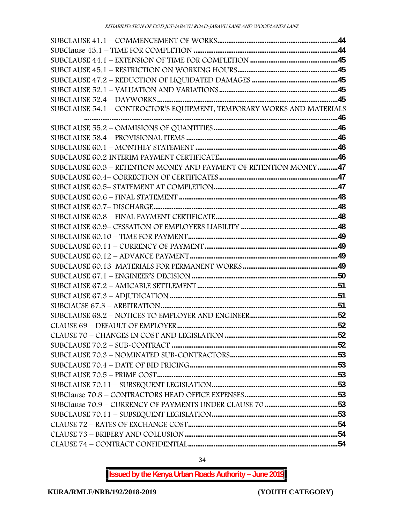| SUBCLAUSE 54.1 - CONTROCTOR'S EQUIPMENT, TEMPORARY WORKS AND MATERIALS |  |
|------------------------------------------------------------------------|--|
|                                                                        |  |
|                                                                        |  |
|                                                                        |  |
|                                                                        |  |
|                                                                        |  |
| SUBCLAUSE 60.3 - RETENTION MONEY AND PAYMENT OF RETENTION MONEY47      |  |
|                                                                        |  |
|                                                                        |  |
|                                                                        |  |
|                                                                        |  |
|                                                                        |  |
|                                                                        |  |
|                                                                        |  |
|                                                                        |  |
|                                                                        |  |
|                                                                        |  |
|                                                                        |  |
|                                                                        |  |
|                                                                        |  |
|                                                                        |  |
|                                                                        |  |
|                                                                        |  |
|                                                                        |  |
|                                                                        |  |
|                                                                        |  |
|                                                                        |  |
|                                                                        |  |
|                                                                        |  |
|                                                                        |  |
|                                                                        |  |
|                                                                        |  |
|                                                                        |  |
|                                                                        |  |
|                                                                        |  |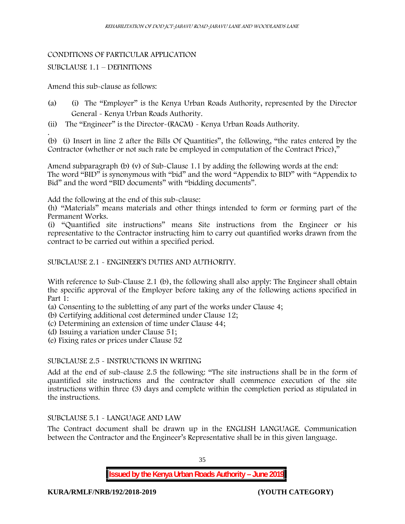#### CONDITIONS OF PARTICULAR APPLICATION

#### SUBCLAUSE 1.1 – DEFINITIONS

#### Amend this sub-clause as follows:

- (a) (i) The "Employer" is the Kenya Urban Roads Authority, represented by the Director General - Kenya Urban Roads Authority.
- (ii) The "Engineer" is the Director-(RACM) Kenya Urban Roads Authority.

.(b) (i) Insert in line 2 after the Bills Of Quantities", the following, "the rates entered by the Contractor (whether or not such rate be employed in computation of the Contract Price),"

Amend subparagraph (b) (v) of Sub-Clause 1.1 by adding the following words at the end: The word "BID" is synonymous with "bid" and the word "Appendix to BID" with "Appendix to Bid" and the word "BID documents" with "bidding documents".

Add the following at the end of this sub-clause:

(h) "Materials" means materials and other things intended to form or forming part of the Permanent Works.

(i) "Quantified site instructions" means Site instructions from the Engineer or his representative to the Contractor instructing him to carry out quantified works drawn from the contract to be carried out within a specified period.

#### SUBCLAUSE 2.1 - ENGINEER'S DUTIES AND AUTHORITY.

With reference to Sub-Clause 2.1 (b), the following shall also apply: The Engineer shall obtain the specific approval of the Employer before taking any of the following actions specified in Part 1:

(a) Consenting to the subletting of any part of the works under Clause 4;

- (b) Certifying additional cost determined under Clause 12;
- (c) Determining an extension of time under Clause 44;
- (d) Issuing a variation under Clause 51;
- (e) Fixing rates or prices under Clause 52

#### SUBCLAUSE 2.5 - INSTRUCTIONS IN WRITING

Add at the end of sub-clause 2.5 the following: "The site instructions shall be in the form of quantified site instructions and the contractor shall commence execution of the site instructions within three (3) days and complete within the completion period as stipulated in the instructions.

#### SUBCLAUSE 5.1 - LANGUAGE AND LAW

The Contract document shall be drawn up in the ENGLISH LANGUAGE. Communication between the Contractor and the Engineer's Representative shall be in this given language.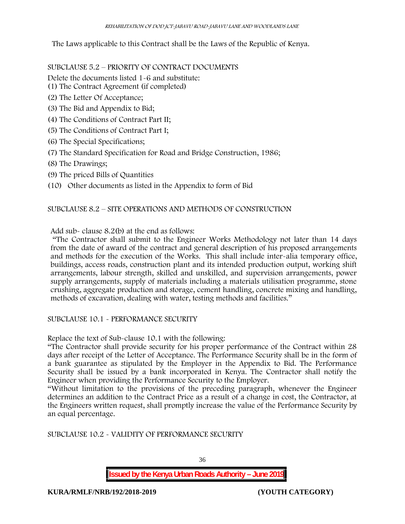The Laws applicable to this Contract shall be the Laws of the Republic of Kenya.

SUBCLAUSE 5.2 – PRIORITY OF CONTRACT DOCUMENTS

Delete the documents listed 1-6 and substitute:

- (1) The Contract Agreement (if completed)
- (2) The Letter Of Acceptance;
- (3) The Bid and Appendix to Bid;
- (4) The Conditions of Contract Part II;
- (5) The Conditions of Contract Part I;
- (6) The Special Specifications;
- (7) The Standard Specification for Road and Bridge Construction, 1986;
- (8) The Drawings;
- (9) The priced Bills of Quantities
- (10) Other documents as listed in the Appendix to form of Bid

# SUBCLAUSE 8.2 – SITE OPERATIONS AND METHODS OF CONSTRUCTION

Add sub- clause 8.2(b) at the end as follows:

"The Contractor shall submit to the Engineer Works Methodology not later than 14 days from the date of award of the contract and general description of his proposed arrangements and methods for the execution of the Works. This shall include inter-alia temporary office, buildings, access roads, construction plant and its intended production output, working shift arrangements, labour strength, skilled and unskilled, and supervision arrangements, power supply arrangements, supply of materials including a materials utilisation programme, stone crushing, aggregate production and storage, cement handling, concrete mixing and handling, methods of excavation, dealing with water, testing methods and facilities."

SUBCLAUSE 10.1 - PERFORMANCE SECURITY

Replace the text of Sub-clause 10.1 with the following:

"The Contractor shall provide security for his proper performance of the Contract within 28 days after receipt of the Letter of Acceptance. The Performance Security shall be in the form of a bank guarantee as stipulated by the Employer in the Appendix to Bid. The Performance Security shall be issued by a bank incorporated in Kenya. The Contractor shall notify the Engineer when providing the Performance Security to the Employer.

"Without limitation to the provisions of the preceding paragraph, whenever the Engineer determines an addition to the Contract Price as a result of a change in cost, the Contractor, at the Engineers written request, shall promptly increase the value of the Performance Security by an equal percentage.

SUBCLAUSE 10.2 - VALIDITY OF PERFORMANCE SECURITY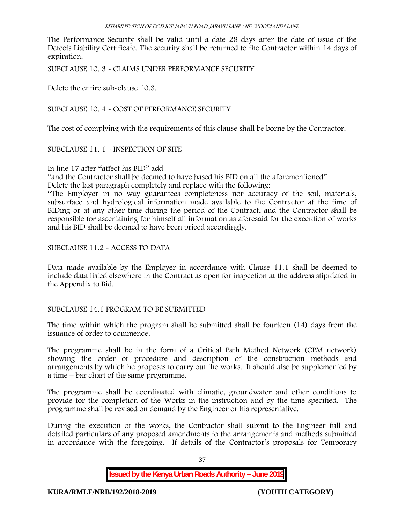The Performance Security shall be valid until a date 28 days after the date of issue of the Defects Liability Certificate. The security shall be returned to the Contractor within 14 days of expiration.

SUBCLAUSE 10. 3 - CLAIMS UNDER PERFORMANCE SECURITY

Delete the entire sub-clause 10.3.

SUBCLAUSE 10. 4 - COST OF PERFORMANCE SECURITY

The cost of complying with the requirements of this clause shall be borne by the Contractor.

SUBCLAUSE 11. 1 - INSPECTION OF SITE

In line 17 after "affect his BID" add

"and the Contractor shall be deemed to have based his BID on all the aforementioned"

Delete the last paragraph completely and replace with the following:

"The Employer in no way guarantees completeness nor accuracy of the soil, materials, subsurface and hydrological information made available to the Contractor at the time of BIDing or at any other time during the period of the Contract, and the Contractor shall be responsible for ascertaining for himself all information as aforesaid for the execution of works and his BID shall be deemed to have been priced accordingly.

SUBCLAUSE 11.2 - ACCESS TO DATA

Data made available by the Employer in accordance with Clause 11.1 shall be deemed to include data listed elsewhere in the Contract as open for inspection at the address stipulated in the Appendix to Bid.

# SUBCLAUSE 14.1 PROGRAM TO BE SUBMITTED

The time within which the program shall be submitted shall be fourteen (14) days from the issuance of order to commence**.**

The programme shall be in the form of a Critical Path Method Network (CPM network) showing the order of procedure and description of the construction methods and arrangements by which he proposes to carry out the works. It should also be supplemented by a time – bar chart of the same programme.

The programme shall be coordinated with climatic, groundwater and other conditions to provide for the completion of the Works in the instruction and by the time specified. The programme shall be revised on demand by the Engineer or his representative.

During the execution of the works, the Contractor shall submit to the Engineer full and detailed particulars of any proposed amendments to the arrangements and methods submitted in accordance with the foregoing. If details of the Contractor's proposals for Temporary

37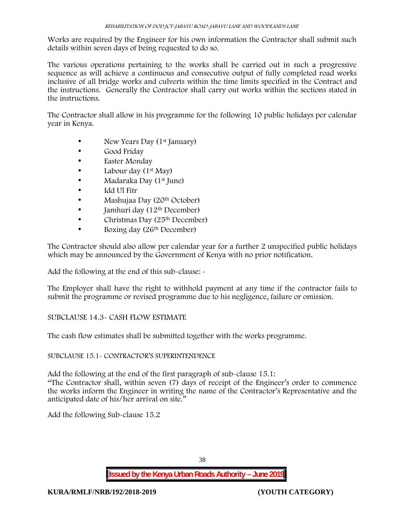Works are required by the Engineer for his own information the Contractor shall submit such details within seven days of being requested to do so.

The various operations pertaining to the works shall be carried out in such a progressive sequence as will achieve a continuous and consecutive output of fully completed road works inclusive of all bridge works and culverts within the time limits specified in the Contract and the instructions. Generally the Contractor shall carry out works within the sections stated in the instructions.

The Contractor shall allow in his programme for the following 10 public holidays per calendar year in Kenya.

- New Years Day (1<sup>st</sup> January)
- Good Friday
- Easter Monday
- Labour day  $(1^{st}$  May)
- Madaraka Day (1<sup>st</sup> June)
- Idd Ul Fitr
- Mashujaa Day (20<sup>th</sup> October)
- Jamhuri day (12th December)
- Christmas Day  $(25<sup>th</sup> December)$
- Boxing day (26<sup>th</sup> December)

The Contractor should also allow per calendar year for a further 2 unspecified public holidays which may be announced by the Government of Kenya with no prior notification.

Add the following at the end of this sub-clause: -

The Employer shall have the right to withhold payment at any time if the contractor fails to submit the programme or revised programme due to his negligence, failure or omission.

# SUBCLAUSE 14.3- CASH FLOW ESTIMATE

The cash flow estimates shall be submitted together with the works programme.

SUBCLAUSE 15.1- CONTRACTOR'S SUPERINTENDENCE

Add the following at the end of the first paragraph of sub-clause 15.1:

"The Contractor shall, within seven (7) days of receipt of the Engineer's order to commence the works inform the Engineer in writing the name of the Contractor's Representative and the anticipated date of his/her arrival on site."

Add the following Sub-clause 15.2

38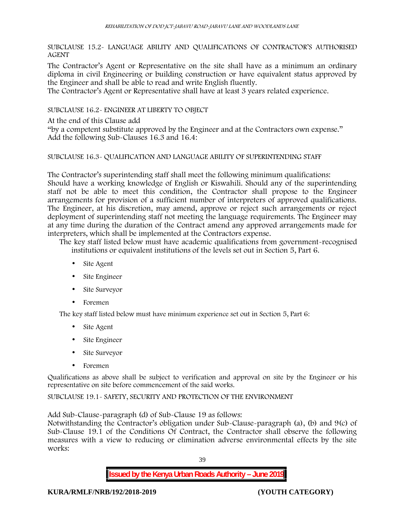SUBCLAUSE 15.2- LANGUAGE ABILITY AND QUALIFICATIONS OF CONTRACTOR'S AUTHORISED AGENT

The Contractor's Agent or Representative on the site shall have as a minimum an ordinary diploma in civil Engineering or building construction or have equivalent status approved by the Engineer and shall be able to read and write English fluently.

The Contractor's Agent or Representative shall have at least 3 years related experience.

SUBCLAUSE 16.2- ENGINEER AT LIBERTY TO OBJECT

At the end of this Clause add

"by a competent substitute approved by the Engineer and at the Contractors own expense." Add the following Sub-Clauses 16.3 and 16.4:

### SUBCLAUSE 16.3- QUALIFICATION AND LANGUAGE ABILITY OF SUPERINTENDING STAFF

The Contractor's superintending staff shall meet the following minimum qualifications: Should have a working knowledge of English or Kiswahili. Should any of the superintending staff not be able to meet this condition, the Contractor shall propose to the Engineer arrangements for provision of a sufficient number of interpreters of approved qualifications. The Engineer, at his discretion, may amend, approve or reject such arrangements or reject deployment of superintending staff not meeting the language requirements. The Engineer may at any time during the duration of the Contract amend any approved arrangements made for interpreters, which shall be implemented at the Contractors expense.

The key staff listed below must have academic qualifications from government-recognised institutions or equivalent institutions of the levels set out in Section 5, Part 6.

- Site Agent
- Site Engineer
- Site Surveyor
- Foremen

The key staff listed below must have minimum experience set out in Section 5, Part 6:

- Site Agent
- Site Engineer
- Site Surveyor
- Foremen

Qualifications as above shall be subject to verification and approval on site by the Engineer or his representative on site before commencement of the said works.

SUBCLAUSE 19.1- SAFETY, SECURITY AND PROTECTION OF THE ENVIRONMENT

Add Sub-Clause-paragraph (d) of Sub-Clause 19 as follows:

Notwithstanding the Contractor's obligation under Sub-Clause-paragraph (a), (b) and 9(c) of Sub-Clause 19.1 of the Conditions Of Contract, the Contractor shall observe the following measures with a view to reducing or elimination adverse environmental effects by the site works:

39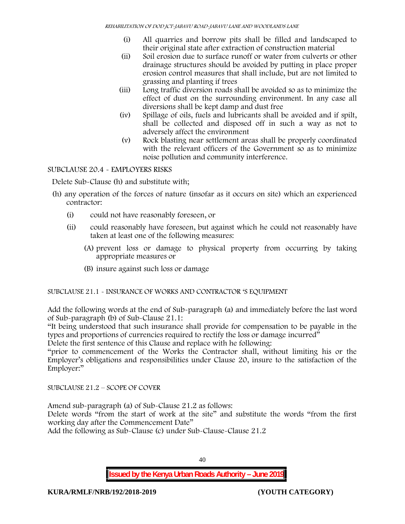- (i) All quarries and borrow pits shall be filled and landscaped to their original state after extraction of construction material
- (ii) Soil erosion due to surface runoff or water from culverts or other drainage structures should be avoided by putting in place proper erosion control measures that shall include, but are not limited to grassing and planting if trees
- (iii) Long traffic diversion roads shall be avoided so as to minimize the effect of dust on the surrounding environment. In any case all diversions shall be kept damp and dust free
- (iv) Spillage of oils, fuels and lubricants shall be avoided and if spilt, shall be collected and disposed off in such a way as not to adversely affect the environment
- (v) Rock blasting near settlement areas shall be properly coordinated with the relevant officers of the Government so as to minimize noise pollution and community interference.

# SUBCLAUSE 20.4 - EMPLOYERS RISKS

Delete Sub-Clause (h) and substitute with;

- (h) any operation of the forces of nature (insofar as it occurs on site) which an experienced contractor:
	- (i) could not have reasonably foreseen, or
	- (ii) could reasonably have foreseen, but against which he could not reasonably have taken at least one of the following measures:
		- (A) prevent loss or damage to physical property from occurring by taking appropriate measures or
		- (B) insure against such loss or damage

# SUBCLAUSE 21.1 - INSURANCE OF WORKS AND CONTRACTOR 'S EQUIPMENT

Add the following words at the end of Sub-paragraph (a) and immediately before the last word of Sub-paragraph (b) of Sub-Clause 21.1:

"It being understood that such insurance shall provide for compensation to be payable in the types and proportions of currencies required to rectify the loss or damage incurred"

Delete the first sentence of this Clause and replace with he following:

"prior to commencement of the Works the Contractor shall, without limiting his or the Employer's obligations and responsibilities under Clause 20, insure to the satisfaction of the Employer:"

SUBCLAUSE 21.2 – SCOPE OF COVER

Amend sub-paragraph (a) of Sub-Clause 21.2 as follows:

Delete words "from the start of work at the site" and substitute the words "from the first working day after the Commencement Date"

Add the following as Sub-Clause (c) under Sub-Clause-Clause 21.2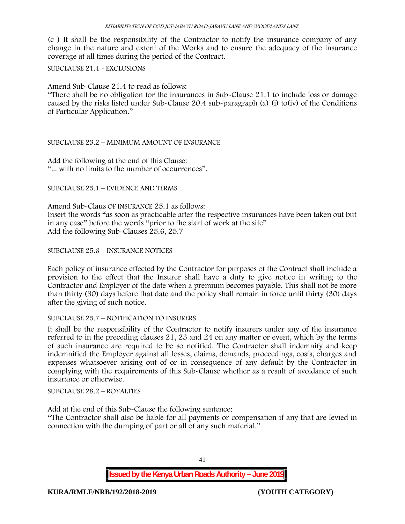(c ) It shall be the responsibility of the Contractor to notify the insurance company of any change in the nature and extent of the Works and to ensure the adequacy of the insurance coverage at all times during the period of the Contract.

### SUBCLAUSE 21.4 - EXCLUSIONS

Amend Sub-Clause 21.4 to read as follows:

"There shall be no obligation for the insurances in Sub-Clause 21.1 to include loss or damage caused by the risks listed under Sub-Clause 20.4 sub-paragraph (a) (i) to(iv) of the Conditions of Particular Application."

## SUBCLAUSE 23.2 – MINIMUM AMOUNT OF INSURANCE

Add the following at the end of this Clause: "... with no limits to the number of occurrences".

SUBCLAUSE 25.1 – EVIDENCE AND TERMS

Amend Sub-Claus OF INSURANCE 25.1 as follows: Insert the words "as soon as practicable after the respective insurances have been taken out but in any case" before the words "prior to the start of work at the site" Add the following Sub-Clauses 25.6, 25.7

## SUBCLAUSE 25.6 – INSURANCE NOTICES

Each policy of insurance effected by the Contractor for purposes of the Contract shall include a provision to the effect that the Insurer shall have a duty to give notice in writing to the Contractor and Employer of the date when a premium becomes payable. This shall not be more than thirty (30) days before that date and the policy shall remain in force until thirty (30) days after the giving of such notice.

### SUBCLAUSE 25.7 – NOTIFICATION TO INSURERS

It shall be the responsibility of the Contractor to notify insurers under any of the insurance referred to in the preceding clauses 21, 23 and 24 on any matter or event, which by the terms of such insurance are required to be so notified. The Contractor shall indemnify and keep indemnified the Employer against all losses, claims, demands, proceedings, costs, charges and expenses whatsoever arising out of or in consequence of any default by the Contractor in complying with the requirements of this Sub-Clause whether as a result of avoidance of such insurance or otherwise.

SUBCLAUSE 28.2 – ROYALTIES

Add at the end of this Sub-Clause the following sentence:

"The Contractor shall also be liable for all payments or compensation if any that are levied in connection with the dumping of part or all of any such material."

**Issued by the Kenya Urban Roads Authority – June 2019**

41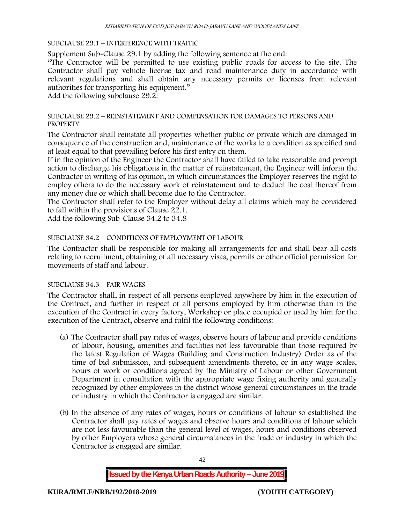#### SUBCLAUSE 29.1 – INTERFERENCE WITH TRAFFIC

Supplement Sub-Clause 29.1 by adding the following sentence at the end:

"The Contractor will be permitted to use existing public roads for access to the site. The Contractor shall pay vehicle license tax and road maintenance duty in accordance with relevant regulations and shall obtain any necessary permits or licenses from relevant authorities for transporting his equipment."

Add the following subclause 29.2:

## SUBCLAUSE 29.2 – REINSTATEMENT AND COMPENSATION FOR DAMAGES TO PERSONS AND **PROPERTY**

The Contractor shall reinstate all properties whether public or private which are damaged in consequence of the construction and, maintenance of the works to a condition as specified and at least equal to that prevailing before his first entry on them.

If in the opinion of the Engineer the Contractor shall have failed to take reasonable and prompt action to discharge his obligations in the matter of reinstatement, the Engineer will inform the Contractor in writing of his opinion, in which circumstances the Employer reserves the right to employ others to do the necessary work of reinstatement and to deduct the cost thereof from any money due or which shall become due to the Contractor.

The Contractor shall refer to the Employer without delay all claims which may be considered to fall within the provisions of Clause 22.1.

Add the following Sub-Clause 34.2 to 34.8

## SUBCLAUSE 34.2 – CONDITIONS OF EMPLOYMENT OF LABOUR

The Contractor shall be responsible for making all arrangements for and shall bear all costs relating to recruitment, obtaining of all necessary visas, permits or other official permission for movements of staff and labour.

## SUBCLAUSE 34.3 – FAIR WAGES

The Contractor shall, in respect of all persons employed anywhere by him in the execution of the Contract, and further in respect of all persons employed by him otherwise than in the execution of the Contract in every factory, Workshop or place occupied or used by him for the execution of the Contract, observe and fulfil the following conditions:

- (a) The Contractor shall pay rates of wages, observe hours of labour and provide conditions of labour, housing, amenities and facilities not less favourable than those required by the latest Regulation of Wages (Building and Construction Industry) Order as of the time of bid submission, and subsequent amendments thereto, or in any wage scales, hours of work or conditions agreed by the Ministry of Labour or other Government Department in consultation with the appropriate wage fixing authority and generally recognized by other employees in the district whose general circumstances in the trade or industry in which the Contractor is engaged are similar.
- (b) In the absence of any rates of wages, hours or conditions of labour so established the Contractor shall pay rates of wages and observe hours and conditions of labour which are not less favourable than the general level of wages, hours and conditions observed by other Employers whose general circumstances in the trade or industry in which the Contractor is engaged are similar.

42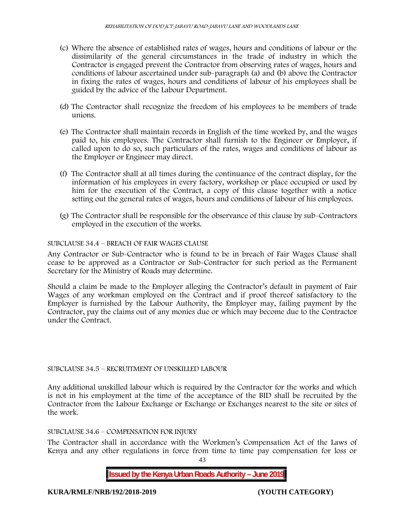- (c) Where the absence of established rates of wages, hours and conditions of labour or the dissimilarity of the general circumstances in the trade of industry in which the Contractor is engaged prevent the Contractor from observing rates of wages, hours and conditions of labour ascertained under sub-paragraph (a) and (b) above the Contractor in fixing the rates of wages, hours and conditions of labour of his employees shall be guided by the advice of the Labour Department.
- (d) The Contractor shall recognize the freedom of his employees to be members of trade unions.
- (e) The Contractor shall maintain records in English of the time worked by, and the wages paid to, his employees. The Contractor shall furnish to the Engineer or Employer, if called upon to do so, such particulars of the rates, wages and conditions of labour as the Employer or Engineer may direct.
- (f) The Contractor shall at all times during the continuance of the contract display, for the information of his employees in every factory, workshop or place occupied or used by him for the execution of the Contract, a copy of this clause together with a notice setting out the general rates of wages, hours and conditions of labour of his employees.
- (g) The Contractor shall be responsible for the observance of this clause by sub-Contractors employed in the execution of the works.

## SUBCLAUSE 34.4 – BREACH OF FAIR WAGES CLAUSE

Any Contractor or Sub-Contractor who is found to be in breach of Fair Wages Clause shall cease to be approved as a Contractor or Sub-Contractor for such period as the Permanent Secretary for the Ministry of Roads may determine.

Should a claim be made to the Employer alleging the Contractor's default in payment of Fair Wages of any workman employed on the Contract and if proof thereof satisfactory to the Employer is furnished by the Labour Authority, the Employer may, failing payment by the Contractor, pay the claims out of any monies due or which may become due to the Contractor under the Contract.

### SUBCLAUSE 34.5 – RECRUITMENT OF UNSKILLED LABOUR

Any additional unskilled labour which is required by the Contractor for the works and which is not in his employment at the time of the acceptance of the BID shall be recruited by the Contractor from the Labour Exchange or Exchange or Exchanges nearest to the site or sites of the work.

# SUBCLAUSE 34.6 – COMPENSATION FOR INJURY

The Contractor shall in accordance with the Workmen's Compensation Act of the Laws of Kenya and any other regulations in force from time to time pay compensation for loss or

43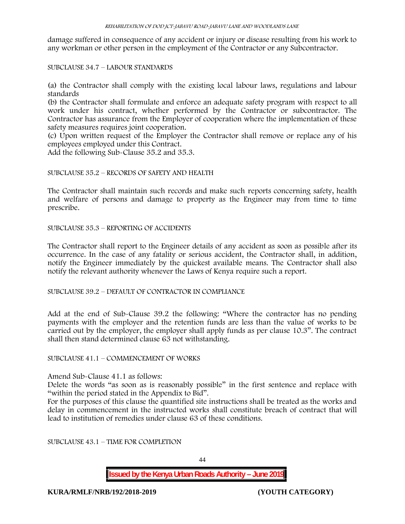damage suffered in consequence of any accident or injury or disease resulting from his work to any workman or other person in the employment of the Contractor or any Subcontractor.

# SUBCLAUSE 34.7 – LABOUR STANDARDS

(a) the Contractor shall comply with the existing local labour laws, regulations and labour standards

(b) the Contractor shall formulate and enforce an adequate safety program with respect to all work under his contract, whether performed by the Contractor or subcontractor. The Contractor has assurance from the Employer of cooperation where the implementation of these safety measures requires joint cooperation.

(c) Upon written request of the Employer the Contractor shall remove or replace any of his employees employed under this Contract.

Add the following Sub-Clause 35.2 and 35.3.

## SUBCLAUSE 35.2 – RECORDS OF SAFETY AND HEALTH

The Contractor shall maintain such records and make such reports concerning safety, health and welfare of persons and damage to property as the Engineer may from time to time prescribe.

SUBCLAUSE 35.3 – REPORTING OF ACCIDENTS

The Contractor shall report to the Engineer details of any accident as soon as possible after its occurrence. In the case of any fatality or serious accident, the Contractor shall, in addition, notify the Engineer immediately by the quickest available means. The Contractor shall also notify the relevant authority whenever the Laws of Kenya require such a report.

SUBCLAUSE 39.2 – DEFAULT OF CONTRACTOR IN COMPLIANCE

Add at the end of Sub-Clause 39.2 the following: "Where the contractor has no pending payments with the employer and the retention funds are less than the value of works to be carried out by the employer, the employer shall apply funds as per clause 10.3". The contract shall then stand determined clause 63 not withstanding.

# SUBCLAUSE 41.1 – COMMENCEMENT OF WORKS

Amend Sub-Clause 41.1 as follows:

Delete the words "as soon as is reasonably possible" in the first sentence and replace with "within the period stated in the Appendix to Bid".

For the purposes of this clause the quantified site instructions shall be treated as the works and delay in commencement in the instructed works shall constitute breach of contract that will lead to institution of remedies under clause 63 of these conditions.

SUBCLAUSE 43.1 – TIME FOR COMPLETION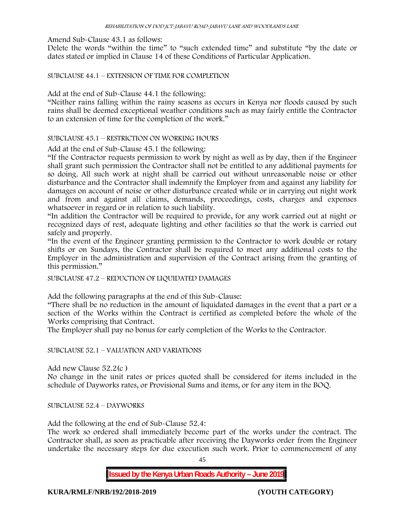Amend Sub-Clause 43.1 as follows:

Delete the words "within the time" to "such extended time" and substitute "by the date or dates stated or implied in Clause 14 of these Conditions of Particular Application.

SUBCLAUSE 44.1 – EXTENSION OF TIME FOR COMPLETION

Add at the end of Sub-Clause 44.1 the following:

"Neither rains falling within the rainy seasons as occurs in Kenya nor floods caused by such rains shall be deemed exceptional weather conditions such as may fairly entitle the Contractor to an extension of time for the completion of the work."

SUBCLAUSE 45.1 – RESTRICTION ON WORKING HOURS

Add at the end of Sub-Clause 45.1 the following:

"If the Contractor requests permission to work by night as well as by day, then if the Engineer shall grant such permission the Contractor shall not be entitled to any additional payments for so doing. All such work at night shall be carried out without unreasonable noise or other disturbance and the Contractor shall indemnify the Employer from and against any liability for damages on account of noise or other disturbance created while or in carrying out night work and from and against all claims, demands, proceedings, costs, charges and expenses whatsoever in regard or in relation to such liability.

"In addition the Contractor will be required to provide, for any work carried out at night or recognized days of rest, adequate lighting and other facilities so that the work is carried out safely and properly.

"In the event of the Engineer granting permission to the Contractor to work double or rotary shifts or on Sundays, the Contractor shall be required to meet any additional costs to the Employer in the administration and supervision of the Contract arising from the granting of this permission."

SUBCLAUSE 47.2 – REDUCTION OF LIQUIDATED DAMAGES

Add the following paragraphs at the end of this Sub-Clause:

"There shall be no reduction in the amount of liquidated damages in the event that a part or a section of the Works within the Contract is certified as completed before the whole of the Works comprising that Contract.

The Employer shall pay no bonus for early completion of the Works to the Contractor.

SUBCLAUSE 52.1 – VALUATION AND VARIATIONS

Add new Clause 52.2(c )

No change in the unit rates or prices quoted shall be considered for items included in the schedule of Dayworks rates, or Provisional Sums and items, or for any item in the BOQ.

SUBCLAUSE 52.4 – DAYWORKS

Add the following at the end of Sub-Clause 52.4:

The work so ordered shall immediately become part of the works under the contract. The Contractor shall, as soon as practicable after receiving the Dayworks order from the Engineer undertake the necessary steps for due execution such work. Prior to commencement of any

45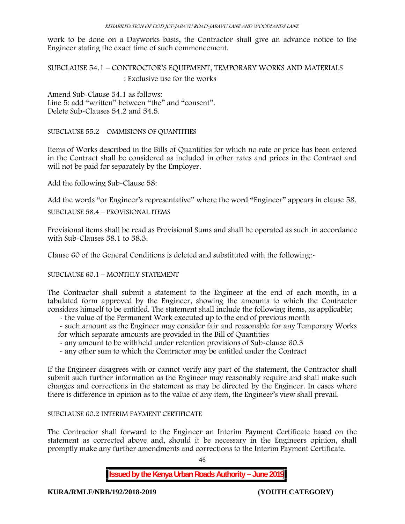work to be done on a Dayworks basis, the Contractor shall give an advance notice to the Engineer stating the exact time of such commencement.

SUBCLAUSE 54.1 – CONTROCTOR'S EQUIPMENT, TEMPORARY WORKS AND MATERIALS : Exclusive use for the works

Amend Sub-Clause 54.1 as follows: Line 5: add "written" between "the" and "consent". Delete Sub-Clauses 54.2 and 54.5.

SUBCLAUSE 55.2 – OMMISIONS OF QUANTITIES

Items of Works described in the Bills of Quantities for which no rate or price has been entered in the Contract shall be considered as included in other rates and prices in the Contract and will not be paid for separately by the Employer.

Add the following Sub-Clause 58:

Add the words "or Engineer's representative" where the word "Engineer" appears in clause 58.

SUBCLAUSE 58.4 – PROVISIONAL ITEMS

Provisional items shall be read as Provisional Sums and shall be operated as such in accordance with Sub-Clauses 58.1 to 58.3.

Clause 60 of the General Conditions is deleted and substituted with the following:-

SUBCLAUSE 60.1 – MONTHLY STATEMENT

The Contractor shall submit a statement to the Engineer at the end of each month, in a tabulated form approved by the Engineer, showing the amounts to which the Contractor considers himself to be entitled. The statement shall include the following items, as applicable;

- the value of the Permanent Work executed up to the end of previous month

- such amount as the Engineer may consider fair and reasonable for any Temporary Works for which separate amounts are provided in the Bill of Quantities
- any amount to be withheld under retention provisions of Sub-clause 60.3
- any other sum to which the Contractor may be entitled under the Contract

If the Engineer disagrees with or cannot verify any part of the statement, the Contractor shall submit such further information as the Engineer may reasonably require and shall make such changes and corrections in the statement as may be directed by the Engineer. In cases where there is difference in opinion as to the value of any item, the Engineer's view shall prevail.

# SUBCLAUSE 60.2 INTERIM PAYMENT CERTIFICATE

The Contractor shall forward to the Engineer an Interim Payment Certificate based on the statement as corrected above and, should it be necessary in the Engineers opinion, shall promptly make any further amendments and corrections to the Interim Payment Certificate.

46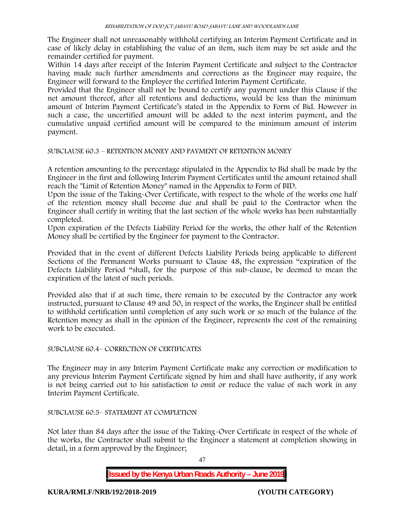The Engineer shall not unreasonably withhold certifying an Interim Payment Certificate and in case of likely delay in establishing the value of an item, such item may be set aside and the remainder certified for payment.

Within 14 days after receipt of the Interim Payment Certificate and subject to the Contractor having made such further amendments and corrections as the Engineer may require, the Engineer will forward to the Employer the certified Interim Payment Certificate.

Provided that the Engineer shall not be bound to certify any payment under this Clause if the net amount thereof, after all retentions and deductions, would be less than the minimum amount of Interim Payment Certificate's stated in the Appendix to Form of Bid. However in such a case, the uncertified amount will be added to the next interim payment, and the cumulative unpaid certified amount will be compared to the minimum amount of interim payment.

SUBCLAUSE 60.3 – RETENTION MONEY AND PAYMENT OF RETENTION MONEY

A retention amounting to the percentage stipulated in the Appendix to Bid shall be made by the Engineer in the first and following Interim Payment Certificates until the amount retained shall reach the "Limit of Retention Money" named in the Appendix to Form of BID.

Upon the issue of the Taking-Over Certificate, with respect to the whole of the works one half of the retention money shall become due and shall be paid to the Contractor when the Engineer shall certify in writing that the last section of the whole works has been substantially completed.

Upon expiration of the Defects Liability Period for the works, the other half of the Retention Money shall be certified by the Engineer for payment to the Contractor.

Provided that in the event of different Defects Liability Periods being applicable to different Sections of the Permanent Works pursuant to Clause 48, the expression "expiration of the Defects Liability Period "shall, for the purpose of this sub-clause, be deemed to mean the expiration of the latest of such periods.

Provided also that if at such time, there remain to be executed by the Contractor any work instructed, pursuant to Clause 49 and 50, in respect of the works, the Engineer shall be entitled to withhold certification until completion of any such work or so much of the balance of the Retention money as shall in the opinion of the Engineer, represents the cost of the remaining work to be executed.

# SUBCLAUSE 60.4– CORRECTION OF CERTIFICATES

The Engineer may in any Interim Payment Certificate make any correction or modification to any previous Interim Payment Certificate signed by him and shall have authority, if any work is not being carried out to his satisfaction to omit or reduce the value of such work in any Interim Payment Certificate.

### SUBCLAUSE 60.5– STATEMENT AT COMPLETION

Not later than 84 days after the issue of the Taking-Over Certificate in respect of the whole of the works, the Contractor shall submit to the Engineer a statement at completion showing in detail, in a form approved by the Engineer;

47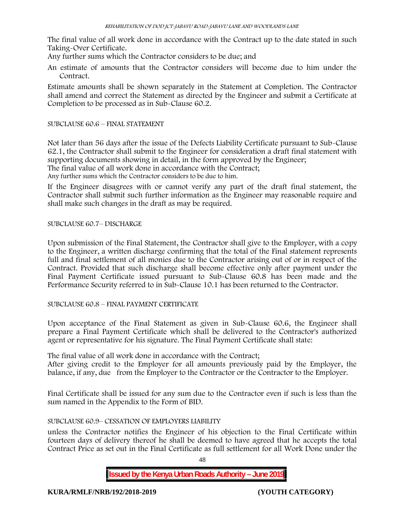The final value of all work done in accordance with the Contract up to the date stated in such Taking-Over Certificate.

Any further sums which the Contractor considers to be due; and

An estimate of amounts that the Contractor considers will become due to him under the Contract.

Estimate amounts shall be shown separately in the Statement at Completion. The Contractor shall amend and correct the Statement as directed by the Engineer and submit a Certificate at Completion to be processed as in Sub-Clause 60.2.

### SUBCLAUSE 60.6 – FINAL STATEMENT

Not later than 56 days after the issue of the Defects Liability Certificate pursuant to Sub-Clause 62.1, the Contractor shall submit to the Engineer for consideration a draft final statement with supporting documents showing in detail, in the form approved by the Engineer; The final value of all work done in accordance with the Contract;

Any further sums which the Contractor considers to be due to him.

If the Engineer disagrees with or cannot verify any part of the draft final statement, the Contractor shall submit such further information as the Engineer may reasonable require and shall make such changes in the draft as may be required.

SUBCLAUSE 60.7– DISCHARGE

Upon submission of the Final Statement, the Contractor shall give to the Employer, with a copy to the Engineer, a written discharge confirming that the total of the Final statement represents full and final settlement of all monies due to the Contractor arising out of or in respect of the Contract. Provided that such discharge shall become effective only after payment under the Final Payment Certificate issued pursuant to Sub-Clause 60.8 has been made and the Performance Security referred to in Sub-Clause 10.1 has been returned to the Contractor.

SUBCLAUSE 60.8 – FINAL PAYMENT CERTIFICATE

Upon acceptance of the Final Statement as given in Sub-Clause 60.6, the Engineer shall prepare a Final Payment Certificate which shall be delivered to the Contractor's authorized agent or representative for his signature. The Final Payment Certificate shall state:

The final value of all work done in accordance with the Contract;

After giving credit to the Employer for all amounts previously paid by the Employer, the balance, if any, due from the Employer to the Contractor or the Contractor to the Employer.

Final Certificate shall be issued for any sum due to the Contractor even if such is less than the sum named in the Appendix to the Form of BID.

### SUBCLAUSE 60.9– CESSATION OF EMPLOYERS LIABILITY

unless the Contractor notifies the Engineer of his objection to the Final Certificate within fourteen days of delivery thereof he shall be deemed to have agreed that he accepts the total Contract Price as set out in the Final Certificate as full settlement for all Work Done under the

48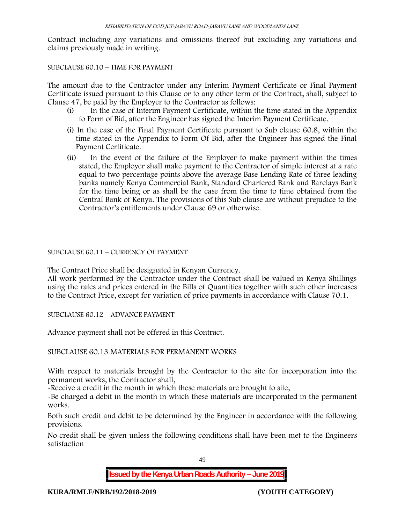Contract including any variations and omissions thereof but excluding any variations and claims previously made in writing.

## SUBCLAUSE 60.10 – TIME FOR PAYMENT

The amount due to the Contractor under any Interim Payment Certificate or Final Payment Certificate issued pursuant to this Clause or to any other term of the Contract, shall, subject to Clause 47, be paid by the Employer to the Contractor as follows:

- (i) In the case of Interim Payment Certificate, within the time stated in the Appendix to Form of Bid, after the Engineer has signed the Interim Payment Certificate.
- (i) In the case of the Final Payment Certificate pursuant to Sub clause 60.8, within the time stated in the Appendix to Form Of Bid, after the Engineer has signed the Final Payment Certificate.
- (ii) In the event of the failure of the Employer to make payment within the times stated, the Employer shall make payment to the Contractor of simple interest at a rate equal to two percentage points above the average Base Lending Rate of three leading banks namely Kenya Commercial Bank, Standard Chartered Bank and Barclays Bank for the time being or as shall be the case from the time to time obtained from the Central Bank of Kenya. The provisions of this Sub clause are without prejudice to the Contractor's entitlements under Clause 69 or otherwise.

## SUBCLAUSE 60.11 – CURRENCY OF PAYMENT

The Contract Price shall be designated in Kenyan Currency.

All work performed by the Contractor under the Contract shall be valued in Kenya Shillings using the rates and prices entered in the Bills of Quantities together with such other increases to the Contract Price, except for variation of price payments in accordance with Clause 70.1.

SUBCLAUSE 60.12 – ADVANCE PAYMENT

Advance payment shall not be offered in this Contract.

SUBCLAUSE 60.13 MATERIALS FOR PERMANENT WORKS

With respect to materials brought by the Contractor to the site for incorporation into the permanent works, the Contractor shall,

-Receive a credit in the month in which these materials are brought to site,

-Be charged a debit in the month in which these materials are incorporated in the permanent works.

Both such credit and debit to be determined by the Engineer in accordance with the following provisions.

No credit shall be given unless the following conditions shall have been met to the Engineers satisfaction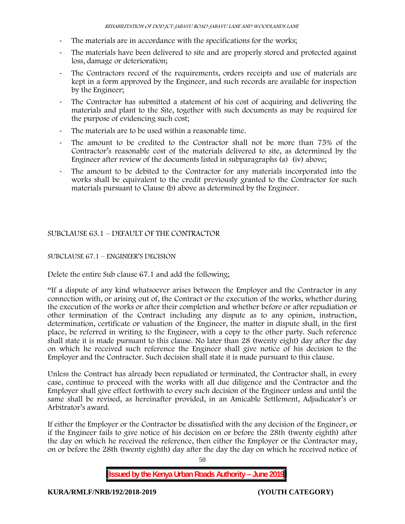- The materials are in accordance with the specifications for the works;
- The materials have been delivered to site and are properly stored and protected against loss, damage or deterioration;
- The Contractors record of the requirements, orders receipts and use of materials are kept in a form approved by the Engineer, and such records are available for inspection by the Engineer;
- The Contractor has submitted a statement of his cost of acquiring and delivering the materials and plant to the Site, together with such documents as may be required for the purpose of evidencing such cost;
- The materials are to be used within a reasonable time.
- The amount to be credited to the Contractor shall not be more than 75% of the Contractor's reasonable cost of the materials delivered to site, as determined by the Engineer after review of the documents listed in subparagraphs (a) (iv) above;
- The amount to be debited to the Contractor for any materials incorporated into the works shall be equivalent to the credit previously granted to the Contractor for such materials pursuant to Clause (b) above as determined by the Engineer.

# SUBCLAUSE 63.1 – DEFAULT OF THE CONTRACTOR

## SUBCLAUSE 67.1 – ENGINEER'S DECISION

Delete the entire Sub clause 67.1 and add the following;

"If a dispute of any kind whatsoever arises between the Employer and the Contractor in any connection with, or arising out of, the Contract or the execution of the works, whether during the execution of the works or after their completion and whether before or after repudiation or other termination of the Contract including any dispute as to any opinion, instruction, determination, certificate or valuation of the Engineer, the matter in dispute shall, in the first place, be referred in writing to the Engineer, with a copy to the other party. Such reference shall state it is made pursuant to this clause. No later than 28 (twenty eight) day after the day on which he received such reference the Engineer shall give notice of his decision to the Employer and the Contractor. Such decision shall state it is made pursuant to this clause.

Unless the Contract has already been repudiated or terminated, the Contractor shall, in every case, continue to proceed with the works with all due diligence and the Contractor and the Employer shall give effect forthwith to every such decision of the Engineer unless and until the same shall be revised, as hereinafter provided, in an Amicable Settlement, Adjudicator's or Arbitrator's award.

If either the Employer or the Contractor be dissatisfied with the any decision of the Engineer, or if the Engineer fails to give notice of his decision on or before the 28th (twenty eighth) after the day on which he received the reference, then either the Employer or the Contractor may, on or before the 28th (twenty eighth) day after the day the day on which he received notice of

50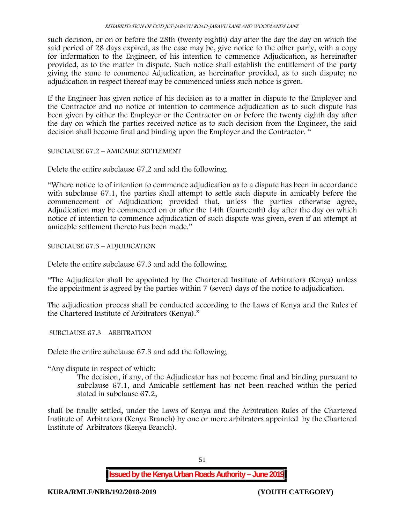such decision, or on or before the 28th (twenty eighth) day after the day the day on which the said period of 28 days expired, as the case may be, give notice to the other party, with a copy for information to the Engineer, of his intention to commence Adjudication, as hereinafter provided, as to the matter in dispute. Such notice shall establish the entitlement of the party giving the same to commence Adjudication, as hereinafter provided, as to such dispute; no adjudication in respect thereof may be commenced unless such notice is given.

If the Engineer has given notice of his decision as to a matter in dispute to the Employer and the Contractor and no notice of intention to commence adjudication as to such dispute has been given by either the Employer or the Contractor on or before the twenty eighth day after the day on which the parties received notice as to such decision from the Engineer, the said decision shall become final and binding upon the Employer and the Contractor. "

SUBCLAUSE 67.2 – AMICABLE SETTLEMENT

Delete the entire subclause 67.2 and add the following;

"Where notice to of intention to commence adjudication as to a dispute has been in accordance with subclause 67.1, the parties shall attempt to settle such dispute in amicably before the commencement of Adjudication; provided that, unless the parties otherwise agree, Adjudication may be commenced on or after the 14th (fourteenth) day after the day on which notice of intention to commence adjudication of such dispute was given, even if an attempt at amicable settlement thereto has been made."

SUBCLAUSE 67.3 – ADJUDICATION

Delete the entire subclause 67.3 and add the following;

"The Adjudicator shall be appointed by the Chartered Institute of Arbitrators (Kenya) unless the appointment is agreed by the parties within 7 (seven) days of the notice to adjudication.

The adjudication process shall be conducted according to the Laws of Kenya and the Rules of the Chartered Institute of Arbitrators (Kenya)."

SUBCLAUSE 67.3 – ARBITRATION

Delete the entire subclause 67.3 and add the following;

"Any dispute in respect of which:

The decision, if any, of the Adjudicator has not become final and binding pursuant to subclause 67.1, and Amicable settlement has not been reached within the period stated in subclause 67.2,

shall be finally settled, under the Laws of Kenya and the Arbitration Rules of the Chartered Institute of Arbitrators (Kenya Branch) by one or more arbitrators appointed by the Chartered Institute of Arbitrators (Kenya Branch).

51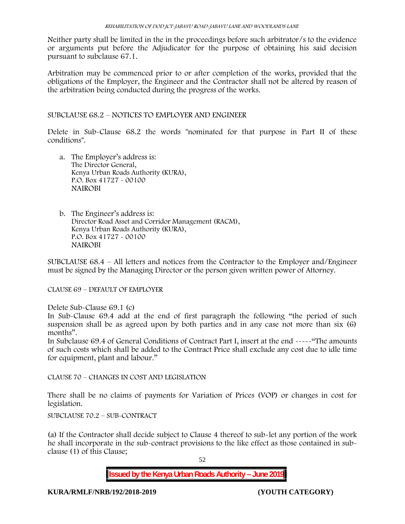Neither party shall be limited in the in the proceedings before such arbitrator/s to the evidence or arguments put before the Adjudicator for the purpose of obtaining his said decision pursuant to subclause 67.1.

Arbitration may be commenced prior to or after completion of the works, provided that the obligations of the Employer, the Engineer and the Contractor shall not be altered by reason of the arbitration being conducted during the progress of the works.

SUBCLAUSE 68.2 – NOTICES TO EMPLOYER AND ENGINEER

Delete in Sub-Clause 68.2 the words "nominated for that purpose in Part II of these conditions".

- a. The Employer's address is: The Director General, Kenya Urban Roads Authority (KURA), P.O. Box 41727 - 00100 **NAIROBI**
- b. The Engineer's address is: Director Road Asset and Corridor Management (RACM), Kenya Urban Roads Authority (KURA), P.O. Box 41727 - 00100 **NAIROBI**

SUBCLAUSE 68.4 – All letters and notices from the Contractor to the Employer and/Engineer must be signed by the Managing Director or the person given written power of Attorney.

CLAUSE 69 – DEFAULT OF EMPLOYER

Delete Sub-Clause 69.1 (c)

In Sub-Clause 69.4 add at the end of first paragraph the following "the period of such suspension shall be as agreed upon by both parties and in any case not more than six (6) months".

In Subclause 69.4 of General Conditions of Contract Part I, insert at the end -----"The amounts of such costs which shall be added to the Contract Price shall exclude any cost due to idle time for equipment, plant and labour."

CLAUSE 70 – CHANGES IN COST AND LEGISLATION

There shall be no claims of payments for Variation of Prices (VOP) or changes in cost for legislation.

SUBCLAUSE 70.2 – SUB-CONTRACT

(a) If the Contractor shall decide subject to Clause 4 thereof to sub-let any portion of the work he shall incorporate in the sub-contract provisions to the like effect as those contained in sub clause (1) of this Clause;

52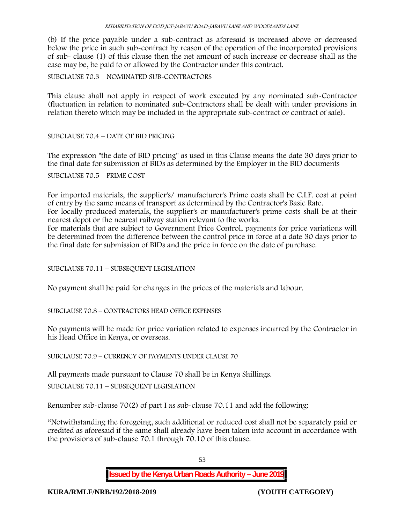(b) If the price payable under a sub-contract as aforesaid is increased above or decreased below the price in such sub-contract by reason of the operation of the incorporated provisions of sub- clause (1) of this clause then the net amount of such increase or decrease shall as the case may be, be paid to or allowed by the Contractor under this contract.

SUBCLAUSE 70.3 – NOMINATED SUB-CONTRACTORS

This clause shall not apply in respect of work executed by any nominated sub-Contractor (fluctuation in relation to nominated sub-Contractors shall be dealt with under provisions in relation thereto which may be included in the appropriate sub-contract or contract of sale).

## SUBCLAUSE 70.4 – DATE OF BID PRICING

The expression "the date of BID pricing" as used in this Clause means the date 30 days prior to the final date for submission of BIDs as determined by the Employer in the BID documents

SUBCLAUSE 70.5 – PRIME COST

For imported materials, the supplier's/ manufacturer's Prime costs shall be C.I.F. cost at point of entry by the same means of transport as determined by the Contractor's Basic Rate.

For locally produced materials, the supplier's or manufacturer's prime costs shall be at their nearest depot or the nearest railway station relevant to the works.

For materials that are subject to Government Price Control, payments for price variations will be determined from the difference between the control price in force at a date 30 days prior to the final date for submission of BIDs and the price in force on the date of purchase.

SUBCLAUSE 70.11 – SUBSEQUENT LEGISLATION

No payment shall be paid for changes in the prices of the materials and labour.

SUBCLAUSE 70.8 – CONTRACTORS HEAD OFFICE EXPENSES

No payments will be made for price variation related to expenses incurred by the Contractor in his Head Office in Kenya, or overseas.

SUBCLAUSE 70.9 – CURRENCY OF PAYMENTS UNDER CLAUSE 70

All payments made pursuant to Clause 70 shall be in Kenya Shillings.

SUBCLAUSE 70.11 – SUBSEQUENT LEGISLATION

Renumber sub-clause 70(2) of part I as sub-clause 70.11 and add the following:

"Notwithstanding the foregoing, such additional or reduced cost shall not be separately paid or credited as aforesaid if the same shall already have been taken into account in accordance with the provisions of sub-clause 70.1 through 70.10 of this clause.

53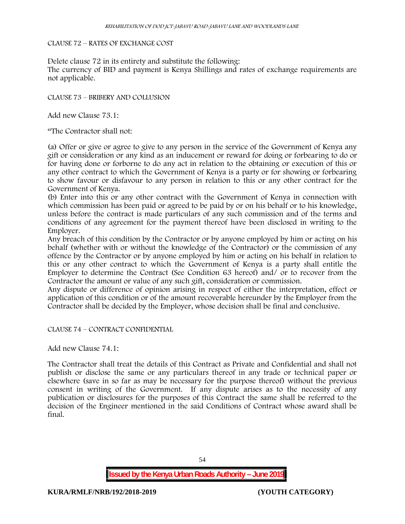### CLAUSE 72 – RATES OF EXCHANGE COST

Delete clause 72 in its entirety and substitute the following:

The currency of BID and payment is Kenya Shillings and rates of exchange requirements are not applicable.

CLAUSE 73 – BRIBERY AND COLLUSION

Add new Clause 73.1:

"The Contractor shall not:

(a) Offer or give or agree to give to any person in the service of the Government of Kenya any gift or consideration or any kind as an inducement or reward for doing or forbearing to do or for having done or forborne to do any act in relation to the obtaining or execution of this or any other contract to which the Government of Kenya is a party or for showing or forbearing to show favour or disfavour to any person in relation to this or any other contract for the Government of Kenya.

(b) Enter into this or any other contract with the Government of Kenya in connection with which commission has been paid or agreed to be paid by or on his behalf or to his knowledge, unless before the contract is made particulars of any such commission and of the terms and conditions of any agreement for the payment thereof have been disclosed in writing to the Employer.

Any breach of this condition by the Contractor or by anyone employed by him or acting on his behalf (whether with or without the knowledge of the Contractor) or the commission of any offence by the Contractor or by anyone employed by him or acting on his behalf in relation to this or any other contract to which the Government of Kenya is a party shall entitle the Employer to determine the Contract (See Condition 63 hereof) and/ or to recover from the Contractor the amount or value of any such gift, consideration or commission.

Any dispute or difference of opinion arising in respect of either the interpretation, effect or application of this condition or of the amount recoverable hereunder by the Employer from the Contractor shall be decided by the Employer, whose decision shall be final and conclusive.

CLAUSE 74 – CONTRACT CONFIDENTIAL

Add new Clause 74.1:

The Contractor shall treat the details of this Contract as Private and Confidential and shall not publish or disclose the same or any particulars thereof in any trade or technical paper or elsewhere (save in so far as may be necessary for the purpose thereof) without the previous consent in writing of the Government. If any dispute arises as to the necessity of any publication or disclosures for the purposes of this Contract the same shall be referred to the decision of the Engineer mentioned in the said Conditions of Contract whose award shall be final.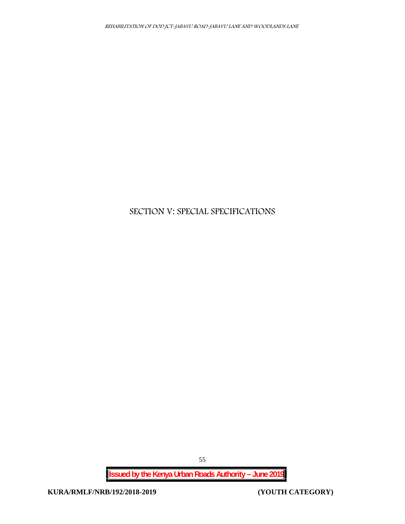# **SECTION V: SPECIAL SPECIFICATIONS**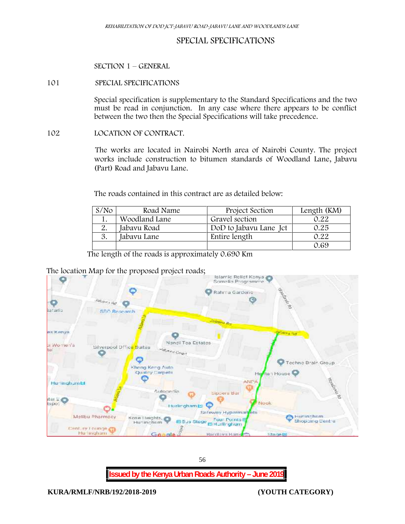# **SPECIAL SPECIFICATIONS**

**SECTION 1 – GENERAL**

#### **101 SPECIAL SPECIFICATIONS**

Special specification is supplementary to the Standard Specifications and the two must be read in conjunction. In any case where there appears to be conflict between the two then the Special Specifications will take precedence.

#### **102 LOCATION OF CONTRACT.**

The works are located in Nairobi North area of Nairobi County. The project works include construction to bitumen standards of Woodland Lane, Jabavu (Part) Road and Jabavu Lane.

The roads contained in this contract are as detailed below:

| S/N <sub>O</sub> | Road Name     | Project Section        | Length (KM) |
|------------------|---------------|------------------------|-------------|
|                  | Woodland Lane | Gravel section         | 0.22        |
|                  | Jabavu Road   | DoD to Jabavu Lane Jct | 0.25        |
|                  | Jabavu Lane   | Entire length          | 0.22        |
|                  |               |                        | 0.69        |

The length of the roads is approximately 0.690 Km

# The location Map for the proposed project roads;

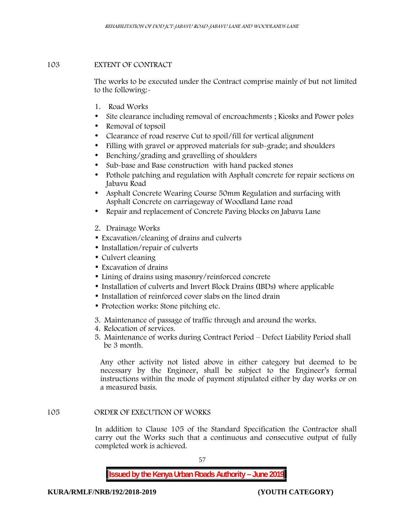## **103 EXTENT OF CONTRACT**

The works to be executed under the Contract comprise mainly of but not limited to the following:-

- **1. Road Works**
- Site clearance including removal of encroachments; Kiosks and Power poles
- Removal of topsoil
- Clearance of road reserve Cut to spoil/fill for vertical alignment
- Filling with gravel or approved materials for sub-grade; and shoulders
- Benching/grading and gravelling of shoulders
- Sub-base and Base construction with hand packed stones
- Pothole patching and regulation with Asphalt concrete for repair sections on Jabavu Road
- Asphalt Concrete Wearing Course 50mm Regulation and surfacing with Asphalt Concrete on carriageway of Woodland Lane road
- Repair and replacement of Concrete Paving blocks on Jabavu Lane
- **2. Drainage Works**
- Excavation/cleaning of drains and culverts
- Installation/repair of culverts
- Culvert cleaning
- Excavation of drains
- Lining of drains using masonry/reinforced concrete
- Installation of culverts and Invert Block Drains (IBDs) where applicable
- Installation of reinforced cover slabs on the lined drain
- Protection works: Stone pitching etc.
- **3. Maintenance of passage of traffic through and around the works.**
- **4. Relocation of services.**
- **5. Maintenance of works during Contract Period – Defect Liability Period shall be 3 month.**

**Any other activity not listed above in either category but deemed to be necessary by the Engineer, shall be subject to the Engineer's formal instructions within the mode of payment stipulated either by day works or on a measured basis.**

### **105 ORDER OF EXECUTION OF WORKS**

In addition to Clause 105 of the Standard Specification the Contractor shall carry out the Works such that a continuous and consecutive output of fully completed work is achieved.

57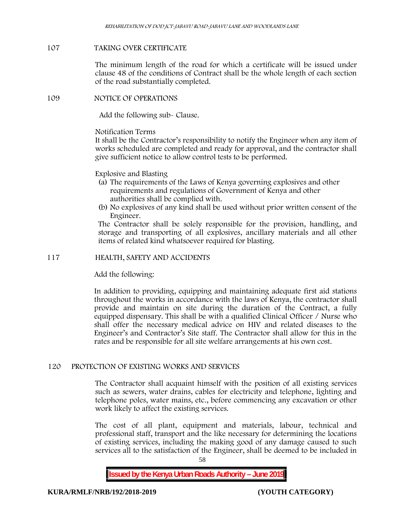#### **107 TAKING OVER CERTIFICATE**

The minimum length of the road for which a certificate will be issued under clause 48 of the conditions of Contract shall be the whole length of each section of the road substantially completed.

### **109 NOTICE OF OPERATIONS**

Add the following sub- Clause.

#### Notification Terms

It shall be the Contractor's responsibility to notify the Engineer when any item of works scheduled are completed and ready for approval, and the contractor shall give sufficient notice to allow control tests to be performed.

### Explosive and Blasting

- (a) The requirements of the Laws of Kenya governing explosives and other requirements and regulations of Government of Kenya and other authorities shall be complied with.
- (b) No explosives of any kind shall be used without prior written consent of the Engineer.

The Contractor shall be solely responsible for the provision, handling, and storage and transporting of all explosives, ancillary materials and all other items of related kind whatsoever required for blasting.

#### **117 HEALTH, SAFETY AND ACCIDENTS**

Add the following:

In addition to providing, equipping and maintaining adequate first aid stations throughout the works in accordance with the laws of Kenya, the contractor shall provide and maintain on site during the duration of the Contract, a fully equipped dispensary. This shall be with a qualified Clinical Officer / Nurse who shall offer the necessary medical advice on HIV and related diseases to the Engineer's and Contractor's Site staff. The Contractor shall allow for this in the rates and be responsible for all site welfare arrangements at his own cost.

### **120 PROTECTION OF EXISTING WORKS AND SERVICES**

The Contractor shall acquaint himself with the position of all existing services such as sewers, water drains, cables for electricity and telephone, lighting and telephone poles, water mains, etc., before commencing any excavation or other work likely to affect the existing services.

The cost of all plant, equipment and materials, labour, technical and professional staff, transport and the like necessary for determining the locations of existing services, including the making good of any damage caused to such services all to the satisfaction of the Engineer, shall be deemed to be included in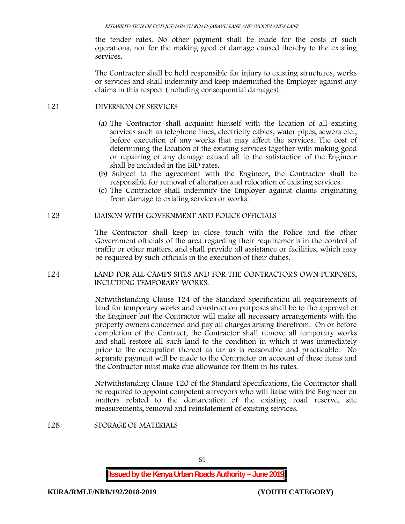the tender rates. No other payment shall be made for the costs of such operations, nor for the making good of damage caused thereby to the existing services.

The Contractor shall be held responsible for injury to existing structures, works or services and shall indemnify and keep indemnified the Employer against any claims in this respect (including consequential damages).

## **121 DIVERSION OF SERVICES**

- (a) The Contractor shall acquaint himself with the location of all existing services such as telephone lines, electricity cables, water pipes, sewers etc., before execution of any works that may affect the services. The cost of determining the location of the existing services together with making good or repairing of any damage caused all to the satisfaction of the Engineer shall be included in the BID rates.
- (b) Subject to the agreement with the Engineer, the Contractor shall be responsible for removal of alteration and relocation of existing services.
- (c) The Contractor shall indemnify the Employer against claims originating from damage to existing services or works.

### **123 LIAISON WITH GOVERNMENT AND POLICE OFFICIALS**

The Contractor shall keep in close touch with the Police and the other Government officials of the area regarding their requirements in the control of traffic or other matters, and shall provide all assistance or facilities, which may be required by such officials in the execution of their duties.

**124 LAND FOR ALL CAMPS SITES AND FOR THE CONTRACTOR'S OWN PURPOSES, INCLUDING TEMPORARY WORKS.**

> Notwithstanding Clause 124 of the Standard Specification all requirements of land for temporary works and construction purposes shall be to the approval of the Engineer but the Contractor will make all necessary arrangements with the property owners concerned and pay all charges arising therefrom. On or before completion of the Contract, the Contractor shall remove all temporary works and shall restore all such land to the condition in which it was immediately prior to the occupation thereof as far as is reasonable and practicable. No separate payment will be made to the Contractor on account of these items and the Contractor must make due allowance for them in his rates.

> Notwithstanding Clause 120 of the Standard Specifications, the Contractor shall be required to appoint competent surveyors who will liaise with the Engineer on matters related to the demarcation of the existing road reserve, site measurements, removal and reinstatement of existing services.

## **128 STORAGE OF MATERIALS**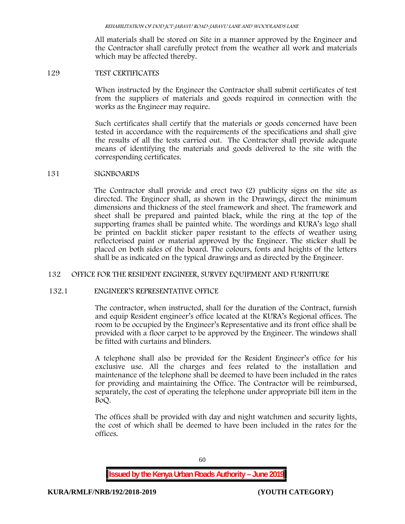All materials shall be stored on Site in a manner approved by the Engineer and the Contractor shall carefully protect from the weather all work and materials which may be affected thereby.

#### **129 TEST CERTIFICATES**

When instructed by the Engineer the Contractor shall submit certificates of test from the suppliers of materials and goods required in connection with the works as the Engineer may require.

Such certificates shall certify that the materials or goods concerned have been tested in accordance with the requirements of the specifications and shall give the results of all the tests carried out. The Contractor shall provide adequate means of identifying the materials and goods delivered to the site with the corresponding certificates.

#### **131 SIGNBOARDS**

The Contractor shall provide and erect two (2) publicity signs on the site as directed. The Engineer shall, as shown in the Drawings, direct the minimum dimensions and thickness of the steel framework and sheet. The framework and sheet shall be prepared and painted black, while the ring at the top of the supporting frames shall be painted white. The wordings and KURA's logo shall be printed on backlit sticker paper resistant to the effects of weather using reflectorised paint or material approved by the Engineer. The sticker shall be placed on both sides of the board. The colours, fonts and heights of the letters shall be as indicated on the typical drawings and as directed by the Engineer.

### **132 OFFICE FOR THE RESIDENT ENGINEER, SURVEY EQUIPMENT AND FURNITURE**

### **132.1 ENGINEER'S REPRESENTATIVE OFFICE**

The contractor, when instructed, shall for the duration of the Contract, furnish and equip Resident engineer's office located at the KURA's Regional offices. The room to be occupied by the Engineer's Representative and its front office shall be provided with a floor carpet to be approved by the Engineer. The windows shall be fitted with curtains and blinders.

A telephone shall also be provided for the Resident Engineer's office for his exclusive use. All the charges and fees related to the installation and maintenance of the telephone shall be deemed to have been included in the rates for providing and maintaining the Office. The Contractor will be reimbursed, separately, the cost of operating the telephone under appropriate bill item in the BoQ.

The offices shall be provided with day and night watchmen and security lights, the cost of which shall be deemed to have been included in the rates for the offices.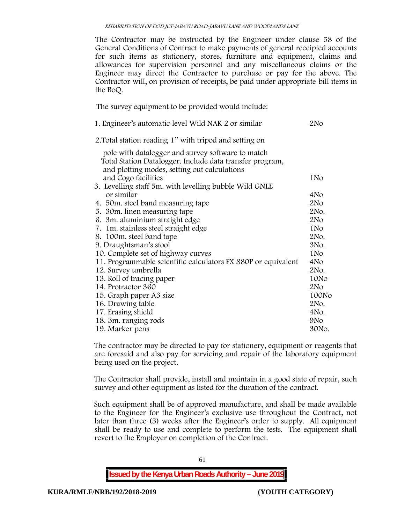The Contractor may be instructed by the Engineer under clause 58 of the General Conditions of Contract to make payments of general receipted accounts for such items as stationery, stores, furniture and equipment, claims and allowances for supervision personnel and any miscellaneous claims or the Engineer may direct the Contractor to purchase or pay for the above. The Contractor will, on provision of receipts, be paid under appropriate bill items in the BoQ.

**The survey equipment to be provided would include:**

| 1. Engineer's automatic level Wild NAK 2 or similar           | 2No             |
|---------------------------------------------------------------|-----------------|
| 2. Total station reading 1" with tripod and setting on        |                 |
| pole with datalogger and survey software to match             |                 |
| Total Station Datalogger. Include data transfer program,      |                 |
| and plotting modes, setting out calculations                  |                 |
| and Cogo facilities                                           | 1No             |
| 3. Levelling staff 5m. with levelling bubble Wild GNLE        |                 |
| or similar                                                    | 4No             |
| 4. 50 m. steel band measuring tape                            | 2No             |
| 5. 30m. linen measuring tape                                  | 2No.            |
| 6. 3m. aluminium straight edge                                | 2No             |
| 7. 1m. stainless steel straight edge                          | 1No             |
| 8. 100m. steel band tape                                      | 2No.            |
| 9. Draughtsman's stool                                        | 3No.            |
| 10. Complete set of highway curves                            | 1N <sub>o</sub> |
| 11. Programmable scientific calculators FX 880P or equivalent | 4No             |
| 12. Survey umbrella                                           | 2No.            |
| 13. Roll of tracing paper                                     | 10No            |
| 14. Protractor 360                                            | 2N <sub>O</sub> |
| 15. Graph paper A3 size                                       | 100No           |
| 16. Drawing table                                             | 2No.            |
| 17. Erasing shield                                            | 4No.            |
| 18. 3m. ranging rods                                          | 9N <sub>o</sub> |
| 19. Marker pens                                               | 30No.           |

The contractor may be directed to pay for stationery, equipment or reagents that are foresaid and also pay for servicing and repair of the laboratory equipment being used on the project.

The Contractor shall provide, install and maintain in a good state of repair, such survey and other equipment as listed for the duration of the contract.

Such equipment shall be of approved manufacture, and shall be made available to the Engineer for the Engineer's exclusive use throughout the Contract, not later than three (3) weeks after the Engineer's order to supply. All equipment shall be ready to use and complete to perform the tests. The equipment shall revert to the Employer on completion of the Contract.

**Issued by the Kenya Urban Roads Authority – June 2019**

61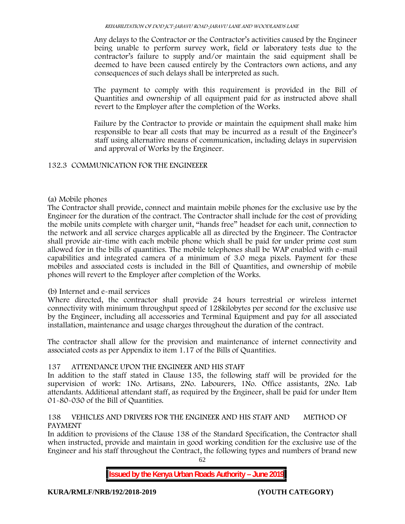Any delays to the Contractor or the Contractor's activities caused by the Engineer being unable to perform survey work, field or laboratory tests due to the contractor's failure to supply and/or maintain the said equipment shall be deemed to have been caused entirely by the Contractors own actions, and any consequences of such delays shall be interpreted as such.

The payment to comply with this requirement is provided in the Bill of Quantities and ownership of all equipment paid for as instructed above shall revert to the Employer after the completion of the Works.

Failure by the Contractor to provide or maintain the equipment shall make him responsible to bear all costs that may be incurred as a result of the Engineer's staff using alternative means of communication, including delays in supervision and approval of Works by the Engineer.

# **132.3 COMMUNICATION FOR THE ENGINEEER**

## **(a) Mobile phones**

The Contractor shall provide, connect and maintain mobile phones for the exclusive use by the Engineer for the duration of the contract. The Contractor shall include for the cost of providing the mobile units complete with charger unit, "hands free" headset for each unit, connection to the network and all service charges applicable all as directed by the Engineer. The Contractor shall provide air-time with each mobile phone which shall be paid for under prime cost sum allowed for in the bills of quantities. The mobile telephones shall be WAP enabled with e-mail capabilities and integrated camera of a minimum of 3.0 mega pixels. Payment for these mobiles and associated costs is included in the Bill of Quantities, and ownership of mobile phones will revert to the Employer after completion of the Works.

# **(b) Internet and e-mail services**

Where directed, the contractor shall provide 24 hours terrestrial or wireless internet connectivity with minimum throughput speed of 128kilobytes per second for the exclusive use by the Engineer, including all accessories and Terminal Equipment and pay for all associated installation, maintenance and usage charges throughout the duration of the contract.

The contractor shall allow for the provision and maintenance of internet connectivity and associated costs as per Appendix to item 1.17 of the Bills of Quantities.

# **137 ATTENDANCE UPON THE ENGINEER AND HIS STAFF**

In addition to the staff stated in Clause 135, the following staff will be provided for the supervision of work: 1No. Artisans, 2No. Labourers, 1No. Office assistants, 2No. Lab attendants. Additional attendant staff, as required by the Engineer, shall be paid for under Item 01-80-030 of the Bill of Quantities.

# **138 VEHICLES AND DRIVERS FOR THE ENGINEER AND HIS STAFF AND METHOD OF PAYMENT**

In addition to provisions of the Clause 138 of the Standard Specification, the Contractor shall when instructed, provide and maintain in good working condition for the exclusive use of the Engineer and his staff throughout the Contract, the following types and numbers of brand new

62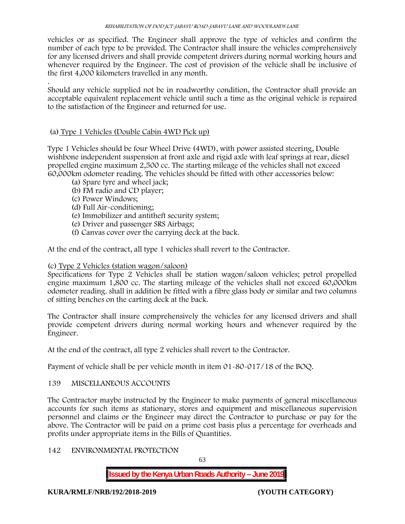vehicles or as specified. The Engineer shall approve the type of vehicles and confirm the number of each type to be provided. The Contractor shall insure the vehicles comprehensively for any licensed drivers and shall provide competent drivers during normal working hours and whenever required by the Engineer. The cost of provision of the vehicle shall be inclusive of the first 4,000 kilometers travelled in any month.

.Should any vehicle supplied not be in roadworthy condition, the Contractor shall provide an acceptable equivalent replacement vehicle until such a time as the original vehicle is repaired to the satisfaction of the Engineer and returned for use.

# **(a) Type 1 Vehicles (Double Cabin 4WD Pick up)**

Type 1 Vehicles should be four Wheel Drive (4WD), with power assisted steering, Double wishbone independent suspension at front axle and rigid axle with leaf springs at rear, diesel propelled engine maximum 2,500 cc. The starting mileage of the vehicles shall not exceed 60,000km odometer reading. The vehicles should be fitted with other accessories below:

- (a) Spare tyre and wheel jack;
- (b) FM radio and CD player;
- (c) Power Windows;
- (d) Full Air-conditioning;
- (e) Immobilizer and antitheft security system;
- (e) Driver and passenger SRS Airbags;
- (f) Canvas cover over the carrying deck at the back.

At the end of the contract, all type 1 vehicles shall revert to the Contractor.

# **(c) Type 2 Vehicles (station wagon/saloon)**

Specifications for Type 2 Vehicles shall be station wagon/saloon vehicles; petrol propelled engine maximum 1,800 cc. The starting mileage of the vehicles shall not exceed 60,000km odometer reading. shall in addition be fitted with a fibre glass body or similar and two columns of sitting benches on the carting deck at the back.

The Contractor shall insure comprehensively the vehicles for any licensed drivers and shall provide competent drivers during normal working hours and whenever required by the Engineer.

At the end of the contract, all type 2 vehicles shall revert to the Contractor.

Payment of vehicle shall be per vehicle month in item 01-80-017/18 of the BOQ.

# **139 MISCELLANEOUS ACCOUNTS**

The Contractor maybe instructed by the Engineer to make payments of general miscellaneous accounts for such items as stationary, stores and equipment and miscellaneous supervision personnel and claims or the Engineer may direct the Contractor to purchase or pay for the above. The Contractor will be paid on a prime cost basis plus a percentage for overheads and profits under appropriate items in the Bills of Quantities.

# **142 ENVIRONMENTAL PROTECTION**

63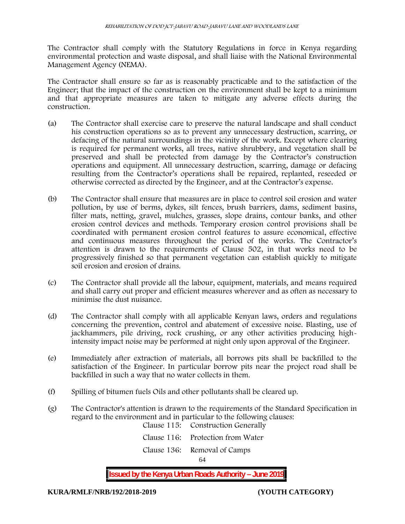The Contractor shall comply with the Statutory Regulations in force in Kenya regarding environmental protection and waste disposal, and shall liaise with the National Environmental Management Agency (NEMA).

The Contractor shall ensure so far as is reasonably practicable and to the satisfaction of the Engineer; that the impact of the construction on the environment shall be kept to a minimum and that appropriate measures are taken to mitigate any adverse effects during the construction.

- (a) The Contractor shall exercise care to preserve the natural landscape and shall conduct his construction operations so as to prevent any unnecessary destruction, scarring, or defacing of the natural surroundings in the vicinity of the work. Except where clearing is required for permanent works, all trees, native shrubbery, and vegetation shall be preserved and shall be protected from damage by the Contractor's construction operations and equipment. All unnecessary destruction, scarring, damage or defacing resulting from the Contractor's operations shall be repaired, replanted, reseeded or otherwise corrected as directed by the Engineer, and at the Contractor's expense.
- (b) The Contractor shall ensure that measures are in place to control soil erosion and water pollution, by use of berms, dykes, silt fences, brush barriers, dams, sediment basins, filter mats, netting, gravel, mulches, grasses, slope drains, contour banks, and other erosion control devices and methods. Temporary erosion control provisions shall be coordinated with permanent erosion control features to assure economical, effective and continuous measures throughout the period of the works. The Contractor's attention is drawn to the requirements of Clause 502, in that works need to be progressively finished so that permanent vegetation can establish quickly to mitigate soil erosion and erosion of drains.
- (c) The Contractor shall provide all the labour, equipment, materials, and means required and shall carry out proper and efficient measures wherever and as often as necessary to minimise the dust nuisance.
- (d) The Contractor shall comply with all applicable Kenyan laws, orders and regulations concerning the prevention, control and abatement of excessive noise. Blasting, use of jackhammers, pile driving, rock crushing, or any other activities producing highintensity impact noise may be performed at night only upon approval of the Engineer.
- (e) Immediately after extraction of materials, all borrows pits shall be backfilled to the satisfaction of the Engineer. In particular borrow pits near the project road shall be backfilled in such a way that no water collects in them.
- (f) Spilling of bitumen fuels Oils and other pollutants shall be cleared up.
- (g) The Contractor's attention is drawn to the requirements of the Standard Specification in regard to the environment and in particular to the following clauses:

| 64 |                                    |  |
|----|------------------------------------|--|
|    | Clause 136: Removal of Camps       |  |
|    | Clause 116: Protection from Water  |  |
|    | Clause 115: Construction Generally |  |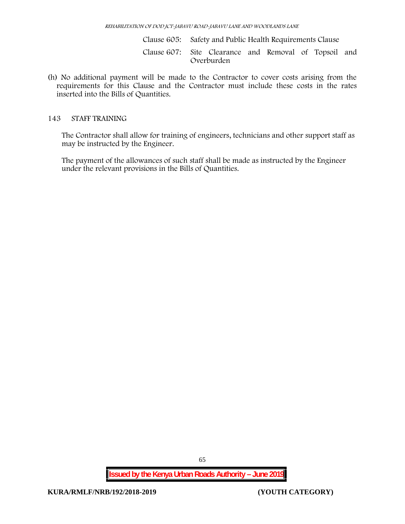Clause 605: Safety and Public Health Requirements Clause

Clause 607: Site Clearance and Removal of Topsoil and Overburden

(h) No additional payment will be made to the Contractor to cover costs arising from the requirements for this Clause and the Contractor must include these costs in the rates inserted into the Bills of Quantities.

#### **143 STAFF TRAINING**

The Contractor shall allow for training of engineers, technicians and other support staff as may be instructed by the Engineer.

The payment of the allowances of such staff shall be made as instructed by the Engineer under the relevant provisions in the Bills of Quantities.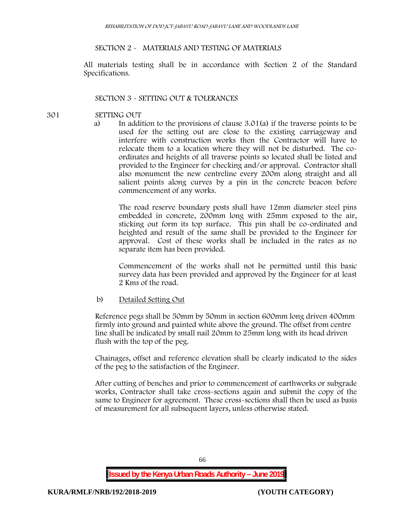#### **SECTION 2 - MATERIALS AND TESTING OF MATERIALS**

All materials testing shall be in accordance with Section 2 of the Standard Specifications.

### **SECTION 3 - SETTING OUT & TOLERANCES**

#### **301 SETTING OUT**

a) In addition to the provisions of clause 3.01(a) if the traverse points to be used for the setting out are close to the existing carriageway and interfere with construction works then the Contractor will have to relocate them to a location where they will not be disturbed. The co ordinates and heights of all traverse points so located shall be listed and provided to the Engineer for checking and/or approval. Contractor shall also monument the new centreline every 200m along straight and all salient points along curves by a pin in the concrete beacon before commencement of any works.

The road reserve boundary posts shall have 12mm diameter steel pins embedded in concrete, 200mm long with 25mm exposed to the air, sticking out form its top surface. This pin shall be co-ordinated and heighted and result of the same shall be provided to the Engineer for approval. Cost of these works shall be included in the rates as no separate item has been provided.

Commencement of the works shall not be permitted until this basic survey data has been provided and approved by the Engineer for at least 2 Kms of the road.

b) Detailed Setting Out

Reference pegs shall be 50mm by 50mm in section 600mm long driven 400mm firmly into ground and painted white above the ground. The offset from centre line shall be indicated by small nail 20mm to 25mm long with its head driven flush with the top of the peg.

Chainages, offset and reference elevation shall be clearly indicated to the sides of the peg to the satisfaction of the Engineer.

After cutting of benches and prior to commencement of earthworks or subgrade works, Contractor shall take cross-sections again and submit the copy of the same to Engineer for agreement. These cross-sections shall then be used as basis of measurement for all subsequent layers, unless otherwise stated.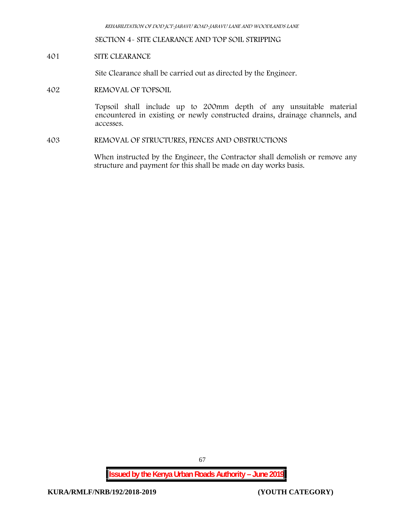*REHABILITATION OF DOD JCT-JABAVU ROAD-JABAVU LANE AND WOODLANDS LANE*

**SECTION 4- SITE CLEARANCE AND TOP SOIL STRIPPING**

**401 SITE CLEARANCE**

Site Clearance shall be carried out as directed by the Engineer.

**402 REMOVAL OF TOPSOIL**

Topsoil shall include up to 200mm depth of any unsuitable material encountered in existing or newly constructed drains, drainage channels, and accesses.

**403 REMOVAL OF STRUCTURES, FENCES AND OBSTRUCTIONS**

When instructed by the Engineer, the Contractor shall demolish or remove any structure and payment for this shall be made on day works basis.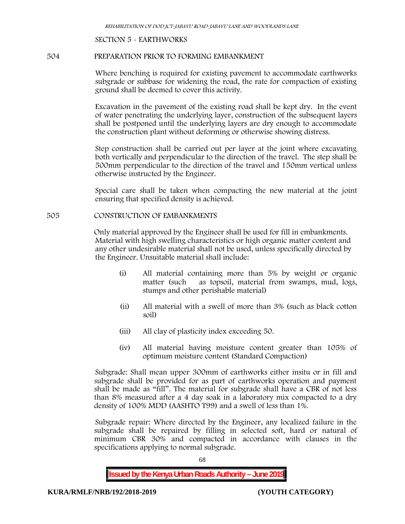#### **SECTION 5 - EARTHWORKS**

#### **504 PREPARATION PRIOR TO FORMING EMBANKMENT**

Where benching is required for existing pavement to accommodate earthworks subgrade or subbase for widening the road, the rate for compaction of existing ground shall be deemed to cover this activity.

Excavation in the pavement of the existing road shall be kept dry. In the event of water penetrating the underlying layer, construction of the subsequent layers shall be postponed until the underlying layers are dry enough to accommodate the construction plant without deforming or otherwise showing distress.

Step construction shall be carried out per layer at the joint where excavating both vertically and perpendicular to the direction of the travel. The step shall be 500mm perpendicular to the direction of the travel and 150mm vertical unless otherwise instructed by the Engineer.

Special care shall be taken when compacting the new material at the joint ensuring that specified density is achieved.

#### **505 CONSTRUCTION OF EMBANKMENTS**

Only material approved by the Engineer shall be used for fill in embankments. Material with high swelling characteristics or high organic matter content and any other undesirable material shall not be used, unless specifically directed by the Engineer. Unsuitable material shall include:

- (i) All material containing more than 5% by weight or organic matter (such as topsoil, material from swamps, mud, logs, stumps and other perishable material)
- (ii) All material with a swell of more than 3% (such as black cotton soil)
- (iii) All clay of plasticity index exceeding 50.
- (iv) All material having moisture content greater than 105% of optimum moisture content (Standard Compaction)

Subgrade: Shall mean upper 300mm of earthworks either insitu or in fill and subgrade shall be provided for as part of earthworks operation and payment shall be made as "fill". The material for subgrade shall have a CBR of not less than 8% measured after a 4 day soak in a laboratory mix compacted to a dry density of 100% MDD (AASHTO T99) and a swell of less than 1%.

Subgrade repair: Where directed by the Engineer, any localized failure in the subgrade shall be repaired by filling in selected soft, hard or natural of minimum CBR 30% and compacted in accordance with clauses in the specifications applying to normal subgrade.

68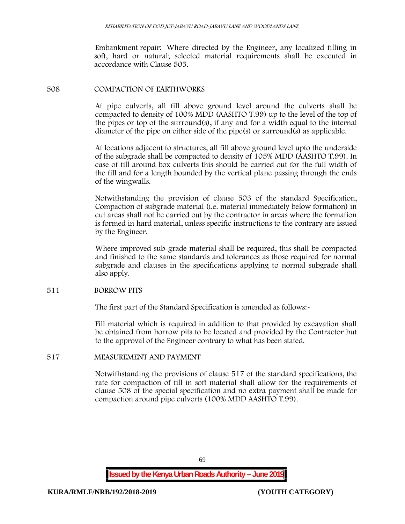Embankment repair: Where directed by the Engineer, any localized filling in soft, hard or natural; selected material requirements shall be executed in accordance with Clause 505.

### **508 COMPACTION OF EARTHWORKS**

At pipe culverts, all fill above ground level around the culverts shall be compacted to density of 100% MDD (AASHTO T.99) up to the level of the top of the pipes or top of the surround(s), if any and for a width equal to the internal diameter of the pipe on either side of the pipe(s) or surround(s) as applicable.

At locations adjacent to structures, all fill above ground level upto the underside of the subgrade shall be compacted to density of 105% MDD (AASHTO T.99). In case of fill around box culverts this should be carried out for the full width of the fill and for a length bounded by the vertical plane passing through the ends of the wingwalls.

Notwithstanding the provision of clause 503 of the standard Specification, Compaction of subgrade material (i.e. material immediately below formation) in cut areas shall not be carried out by the contractor in areas where the formation is formed in hard material, unless specific instructions to the contrary are issued by the Engineer.

Where improved sub-grade material shall be required, this shall be compacted and finished to the same standards and tolerances as those required for normal subgrade and clauses in the specifications applying to normal subgrade shall also apply.

### **511 BORROW PITS**

The first part of the Standard Specification is amended as follows:

Fill material which is required in addition to that provided by excavation shall be obtained from borrow pits to be located and provided by the Contractor but to the approval of the Engineer contrary to what has been stated.

## **517 MEASUREMENT AND PAYMENT**

Notwithstanding the provisions of clause 517 of the standard specifications, the rate for compaction of fill in soft material shall allow for the requirements of clause 508 of the special specification and no extra payment shall be made for compaction around pipe culverts (100% MDD AASHTO T.99).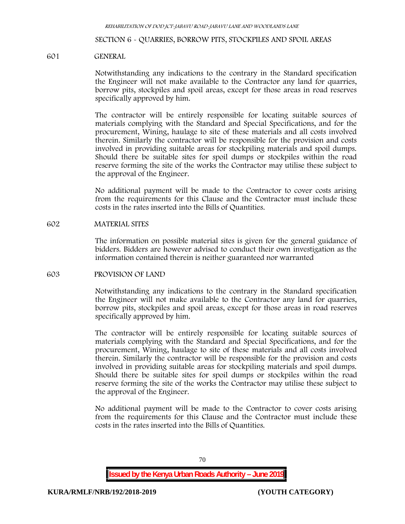#### **SECTION 6 - QUARRIES, BORROW PITS, STOCKPILES AND SPOIL AREAS**

#### **601 GENERAL**

Notwithstanding any indications to the contrary in the Standard specification the Engineer will not make available to the Contractor any land for quarries, borrow pits, stockpiles and spoil areas, except for those areas in road reserves specifically approved by him.

The contractor will be entirely responsible for locating suitable sources of materials complying with the Standard and Special Specifications, and for the procurement, Wining, haulage to site of these materials and all costs involved therein. Similarly the contractor will be responsible for the provision and costs involved in providing suitable areas for stockpiling materials and spoil dumps. Should there be suitable sites for spoil dumps or stockpiles within the road reserve forming the site of the works the Contractor may utilise these subject to the approval of the Engineer.

No additional payment will be made to the Contractor to cover costs arising from the requirements for this Clause and the Contractor must include these costs in the rates inserted into the Bills of Quantities.

#### **602 MATERIAL SITES**

The information on possible material sites is given for the general guidance of bidders. Bidders are however advised to conduct their own investigation as the information contained therein is neither guaranteed nor warranted

#### **603 PROVISION OF LAND**

Notwithstanding any indications to the contrary in the Standard specification the Engineer will not make available to the Contractor any land for quarries, borrow pits, stockpiles and spoil areas, except for those areas in road reserves specifically approved by him.

The contractor will be entirely responsible for locating suitable sources of materials complying with the Standard and Special Specifications, and for the procurement, Wining, haulage to site of these materials and all costs involved therein. Similarly the contractor will be responsible for the provision and costs involved in providing suitable areas for stockpiling materials and spoil dumps. Should there be suitable sites for spoil dumps or stockpiles within the road reserve forming the site of the works the Contractor may utilise these subject to the approval of the Engineer.

No additional payment will be made to the Contractor to cover costs arising from the requirements for this Clause and the Contractor must include these costs in the rates inserted into the Bills of Quantities.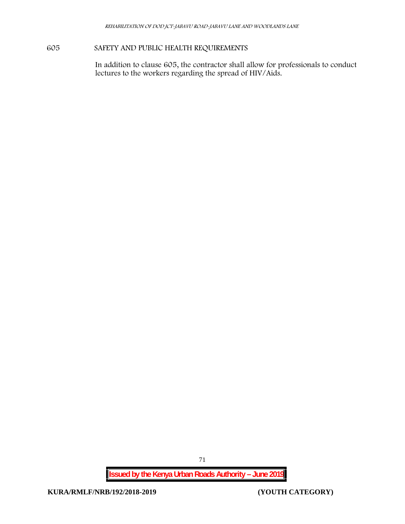# **605 SAFETY AND PUBLIC HEALTH REQUIREMENTS**

In addition to clause 605, the contractor shall allow for professionals to conduct lectures to the workers regarding the spread of HIV/Aids.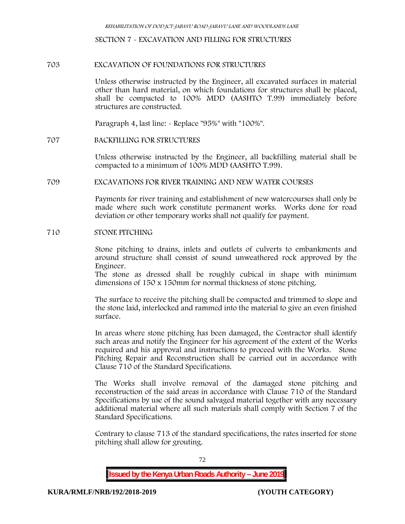**SECTION 7 - EXCAVATION AND FILLING FOR STRUCTURES**

### **703 EXCAVATION OF FOUNDATIONS FOR STRUCTURES**

Unless otherwise instructed by the Engineer, all excavated surfaces in material other than hard material, on which foundations for structures shall be placed, shall be compacted to 100% MDD (AASHTO T.99) immediately before structures are constructed.

Paragraph 4, last line: - Replace "95%" with "100%".

#### **707 BACKFILLING FOR STRUCTURES**

Unless otherwise instructed by the Engineer, all backfilling material shall be compacted to a minimum of 100% MDD (AASHTO T.99).

#### **709 EXCAVATIONS FOR RIVER TRAINING AND NEW WATER COURSES**

Payments for river training and establishment of new watercourses shall only be made where such work constitute permanent works. Works done for road deviation or other temporary works shall not qualify for payment.

### **710 STONE PITCHING**

Stone pitching to drains, inlets and outlets of culverts to embankments and around structure shall consist of sound unweathered rock approved by the Engineer.

The stone as dressed shall be roughly cubical in shape with minimum dimensions of 150 x 150mm for normal thickness of stone pitching.

The surface to receive the pitching shall be compacted and trimmed to slope and the stone laid, interlocked and rammed into the material to give an even finished surface.

In areas where stone pitching has been damaged, the Contractor shall identify such areas and notify the Engineer for his agreement of the extent of the Works required and his approval and instructions to proceed with the Works. Stone Pitching Repair and Reconstruction shall be carried out in accordance with Clause 710 of the Standard Specifications.

The Works shall involve removal of the damaged stone pitching and reconstruction of the said areas in accordance with Clause 710 of the Standard Specifications by use of the sound salvaged material together with any necessary additional material where all such materials shall comply with Section 7 of the Standard Specifications.

Contrary to clause 713 of the standard specifications, the rates inserted for stone pitching shall allow for grouting.

72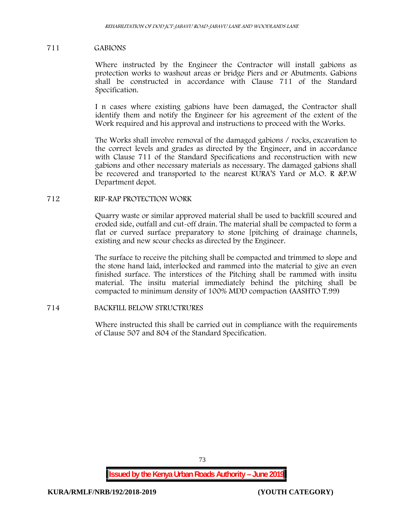### **711 GABIONS**

Where instructed by the Engineer the Contractor will install gabions as protection works to washout areas or bridge Piers and or Abutments. Gabions shall be constructed in accordance with Clause 711 of the Standard Specification.

I n cases where existing gabions have been damaged, the Contractor shall identify them and notify the Engineer for his agreement of the extent of the Work required and his approval and instructions to proceed with the Works.

The Works shall involve removal of the damaged gabions / rocks, excavation to the correct levels and grades as directed by the Engineer, and in accordance with Clause 711 of the Standard Specifications and reconstruction with new gabions and other necessary materials as necessary. The damaged gabions shall be recovered and transported to the nearest KURA'S Yard or M.O. R &P.W Department depot.

#### **712 RIP-RAP PROTECTION WORK**

Quarry waste or similar approved material shall be used to backfill scoured and eroded side, outfall and cut-off drain. The material shall be compacted to form a flat or curved surface preparatory to stone [pitching of drainage channels, existing and new scour checks as directed by the Engineer.

The surface to receive the pitching shall be compacted and trimmed to slope and the stone hand laid, interlocked and rammed into the material to give an even finished surface. The interstices of the Pitching shall be rammed with insitu material. The insitu material immediately behind the pitching shall be compacted to minimum density of 100% MDD compaction (AASHTO T.99)

# **714 BACKFILL BELOW STRUCTRURES**

Where instructed this shall be carried out in compliance with the requirements of Clause 507 and 804 of the Standard Specification.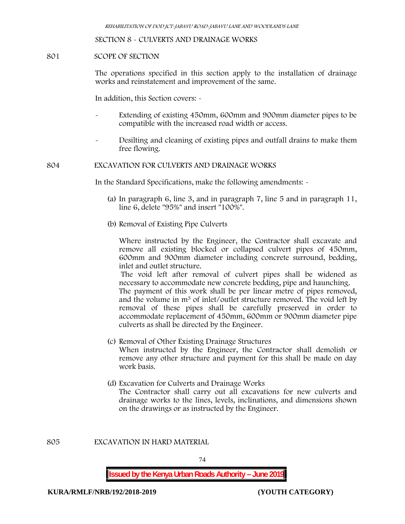#### **SECTION 8 - CULVERTS AND DRAINAGE WORKS**

#### **801 SCOPE OF SECTION**

The operations specified in this section apply to the installation of drainage works and reinstatement and improvement of the same.

In addition, this Section covers: -

- Extending of existing 450mm, 600mm and 900mm diameter pipes to be compatible with the increased road width or access.
- Desilting and cleaning of existing pipes and outfall drains to make them free flowing.

#### **804 EXCAVATION FOR CULVERTS AND DRAINAGE WORKS**

In the Standard Specifications, make the following amendments: -

- (a) In paragraph 6, line 3, and in paragraph 7, line 5 and in paragraph 11, line 6, delete "95%" and insert "100%".
- (b) Removal of Existing Pipe Culverts

Where instructed by the Engineer, the Contractor shall excavate and remove all existing blocked or collapsed culvert pipes of 450mm, 600mm and 900mm diameter including concrete surround, bedding, inlet and outlet structure.

The void left after removal of culvert pipes shall be widened as necessary to accommodate new concrete bedding, pipe and haunching. The payment of this work shall be per linear metre of pipes removed, and the volume in m<sup>3</sup> of inlet/outlet structure removed. The void left by removal of these pipes shall be carefully preserved in order to accommodate replacement of 450mm, 600mm or 900mm diameter pipe culverts as shall be directed by the Engineer.

- (c) Removal of Other Existing Drainage Structures When instructed by the Engineer, the Contractor shall demolish or remove any other structure and payment for this shall be made on day work basis.
- (d) Excavation for Culverts and Drainage Works The Contractor shall carry out all excavations for new culverts and drainage works to the lines, levels, inclinations, and dimensions shown on the drawings or as instructed by the Engineer.

**805 EXCAVATION IN HARD MATERIAL**

74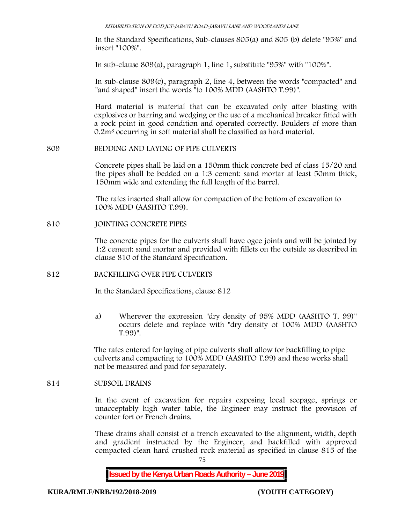*REHABILITATION OF DOD JCT-JABAVU ROAD-JABAVU LANE AND WOODLANDS LANE*

In the Standard Specifications, Sub-clauses 805(a) and 805 (b) delete "95%" and insert "100%".

In sub-clause 809(a), paragraph 1, line 1, substitute "95%" with "100%".

In sub-clause 809(c), paragraph 2, line 4, between the words "compacted" and "and shaped" insert the words "to 100% MDD (AASHTO T.99)".

Hard material is material that can be excavated only after blasting with explosives or barring and wedging or the use of a mechanical breaker fitted with a rock point in good condition and operated correctly. Boulders of more than 0.2m<sup>3</sup> occurring in soft material shall be classified as hard material.

**809 BEDDING AND LAYING OF PIPE CULVERTS**

Concrete pipes shall be laid on a 150mm thick concrete bed of class 15/20 and the pipes shall be bedded on a 1:3 cement: sand mortar at least 50mm thick, 150mm wide and extending the full length of the barrel.

The rates inserted shall allow for compaction of the bottom of excavation to 100% MDD (AASHTO T.99).

#### **810 JOINTING CONCRETE PIPES**

The concrete pipes for the culverts shall have ogee joints and will be jointed by 1:2 cement: sand mortar and provided with fillets on the outside as described in clause 810 of the Standard Specification.

#### **812 BACKFILLING OVER PIPE CULVERTS**

In the Standard Specifications, clause 812

a) Wherever the expression "dry density of 95% MDD (AASHTO T. 99)" occurs delete and replace with "dry density of 100% MDD (AASHTO T.99)".

The rates entered for laying of pipe culverts shall allow for backfilling to pipe culverts and compacting to 100% MDD (AASHTO T.99) and these works shall not be measured and paid for separately.

#### **814 SUBSOIL DRAINS**

In the event of excavation for repairs exposing local seepage, springs or unacceptably high water table, the Engineer may instruct the provision of counter fort or French drains.

These drains shall consist of a trench excavated to the alignment, width, depth and gradient instructed by the Engineer, and backfilled with approved compacted clean hard crushed rock material as specified in clause 815 of the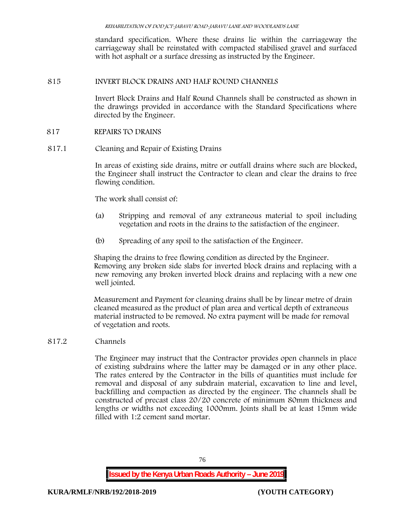standard specification. Where these drains lie within the carriageway the carriageway shall be reinstated with compacted stabilised gravel and surfaced with hot asphalt or a surface dressing as instructed by the Engineer.

# **815 INVERT BLOCK DRAINS AND HALF ROUND CHANNELS**

Invert Block Drains and Half Round Channels shall be constructed as shown in the drawings provided in accordance with the Standard Specifications where directed by the Engineer.

### **817 REPAIRS TO DRAINS**

**817.1 Cleaning and Repair of Existing Drains**

In areas of existing side drains, mitre or outfall drains where such are blocked, the Engineer shall instruct the Contractor to clean and clear the drains to free flowing condition.

The work shall consist of:

- (a) Stripping and removal of any extraneous material to spoil including vegetation and roots in the drains to the satisfaction of the engineer.
- (b) Spreading of any spoil to the satisfaction of the Engineer.

Shaping the drains to free flowing condition as directed by the Engineer. Removing any broken side slabs for inverted block drains and replacing with a new removing any broken inverted block drains and replacing with a new one well jointed.

Measurement and Payment for cleaning drains shall be by linear metre of drain cleaned measured as the product of plan area and vertical depth of extraneous material instructed to be removed. No extra payment will be made for removal of vegetation and roots.

**817.2 Channels**

The Engineer may instruct that the Contractor provides open channels in place of existing subdrains where the latter may be damaged or in any other place. The rates entered by the Contractor in the bills of quantities must include for removal and disposal of any subdrain material, excavation to line and level, backfilling and compaction as directed by the engineer. The channels shall be constructed of precast class 20/20 concrete of minimum 80mm thickness and lengths or widths not exceeding 1000mm. Joints shall be at least 15mm wide filled with 1:2 cement sand mortar.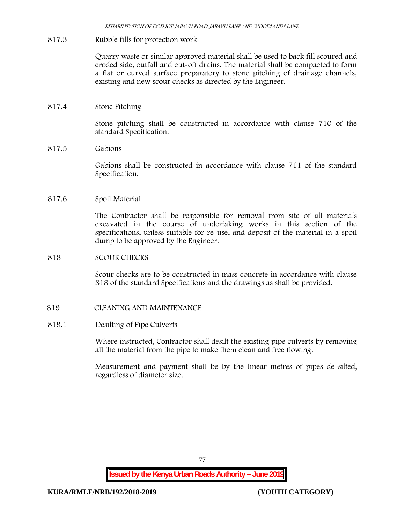*REHABILITATION OF DOD JCT-JABAVU ROAD-JABAVU LANE AND WOODLANDS LANE*

## **817.3 Rubble fills for protection work**

Quarry waste or similar approved material shall be used to back fill scoured and eroded side, outfall and cut-off drains. The material shall be compacted to form a flat or curved surface preparatory to stone pitching of drainage channels, existing and new scour checks as directed by the Engineer.

### **817.4 Stone Pitching**

Stone pitching shall be constructed in accordance with clause 710 of the standard Specification.

### **817.5 Gabions**

Gabions shall be constructed in accordance with clause 711 of the standard Specification.

# **817.6 Spoil Material**

The Contractor shall be responsible for removal from site of all materials excavated in the course of undertaking works in this section of the specifications, unless suitable for re-use, and deposit of the material in a spoil dump to be approved by the Engineer.

### **818 SCOUR CHECKS**

Scour checks are to be constructed in mass concrete in accordance with clause 818 of the standard Specifications and the drawings as shall be provided.

### **819 CLEANING AND MAINTENANCE**

### **819.1 Desilting of Pipe Culverts**

Where instructed, Contractor shall desilt the existing pipe culverts by removing all the material from the pipe to make them clean and free flowing.

Measurement and payment shall be by the linear metres of pipes de-silted, regardless of diameter size.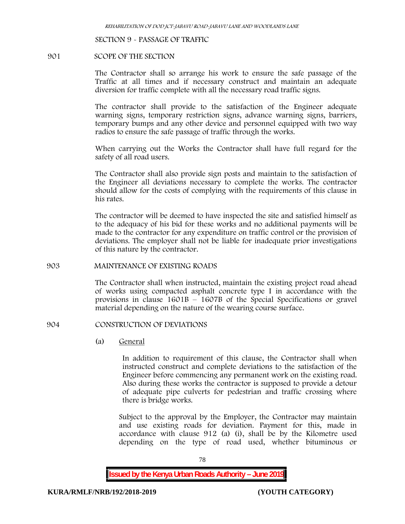#### **SECTION 9 - PASSAGE OF TRAFFIC**

#### **901 SCOPE OF THE SECTION**

The Contractor shall so arrange his work to ensure the safe passage of the Traffic at all times and if necessary construct and maintain an adequate diversion for traffic complete with all the necessary road traffic signs.

The contractor shall provide to the satisfaction of the Engineer adequate warning signs, temporary restriction signs, advance warning signs, barriers, temporary bumps and any other device and personnel equipped with two way radios to ensure the safe passage of traffic through the works.

When carrying out the Works the Contractor shall have full regard for the safety of all road users.

The Contractor shall also provide sign posts and maintain to the satisfaction of the Engineer all deviations necessary to complete the works. The contractor should allow for the costs of complying with the requirements of this clause in his rates.

The contractor will be deemed to have inspected the site and satisfied himself as to the adequacy of his bid for these works and no additional payments will be made to the contractor for any expenditure on traffic control or the provision of deviations. The employer shall not be liable for inadequate prior investigations of this nature by the contractor.

#### **903 MAINTENANCE OF EXISTING ROADS**

The Contractor shall when instructed, maintain the existing project road ahead of works using compacted asphalt concrete type I in accordance with the provisions in clause  $1601B - 1607B$  of the Special Specifications or gravel material depending on the nature of the wearing course surface.

#### **904 CONSTRUCTION OF DEVIATIONS**

(a) **General**

In addition to requirement of this clause, the Contractor shall when instructed construct and complete deviations to the satisfaction of the Engineer before commencing any permanent work on the existing road. Also during these works the contractor is supposed to provide a detour of adequate pipe culverts for pedestrian and traffic crossing where there is bridge works.

Subject to the approval by the Employer, the Contractor may maintain and use existing roads for deviation. Payment for this, made in accordance with clause 912 (a) (i), shall be by the Kilometre used depending on the type of road used, whether bituminous or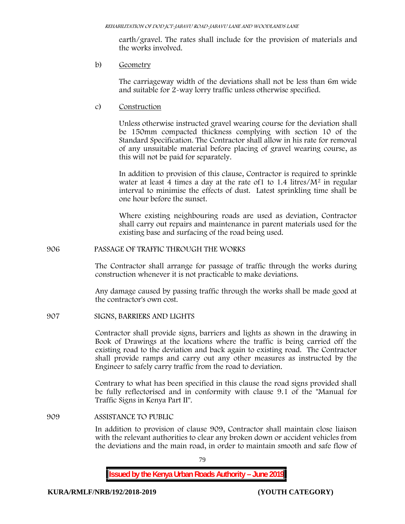earth/gravel. The rates shall include for the provision of materials and the works involved.

b) **Geometry**

The carriageway width of the deviations shall not be less than 6m wide and suitable for 2-way lorry traffic unless otherwise specified.

c) **Construction**

Unless otherwise instructed gravel wearing course for the deviation shall be 150mm compacted thickness complying with section 10 of the Standard Specification. The Contractor shall allow in his rate for removal of any unsuitable material before placing of gravel wearing course, as this will not be paid for separately.

In addition to provision of this clause, Contractor is required to sprinkle water at least 4 times a day at the rate of  $1$  to  $1.4$  litres/ $M<sup>2</sup>$  in regular interval to minimise the effects of dust. Latest sprinkling time shall be one hour before the sunset.

Where existing neighbouring roads are used as deviation, Contractor shall carry out repairs and maintenance in parent materials used for the existing base and surfacing of the road being used.

**906 PASSAGE OF TRAFFIC THROUGH THE WORKS**

The Contractor shall arrange for passage of traffic through the works during construction whenever it is not practicable to make deviations.

Any damage caused by passing traffic through the works shall be made good at the contractor's own cost.

**907 SIGNS, BARRIERS AND LIGHTS**

Contractor shall provide signs, barriers and lights as shown in the drawing in Book of Drawings at the locations where the traffic is being carried off the existing road to the deviation and back again to existing road. The Contractor shall provide ramps and carry out any other measures as instructed by the Engineer to safely carry traffic from the road to deviation.

Contrary to what has been specified in this clause the road signs provided shall be fully reflectorised and in conformity with clause 9.1 of the "Manual for Traffic Signs in Kenya Part II".

**909 ASSISTANCE TO PUBLIC**

In addition to provision of clause 909, Contractor shall maintain close liaison with the relevant authorities to clear any broken down or accident vehicles from the deviations and the main road, in order to maintain smooth and safe flow of

79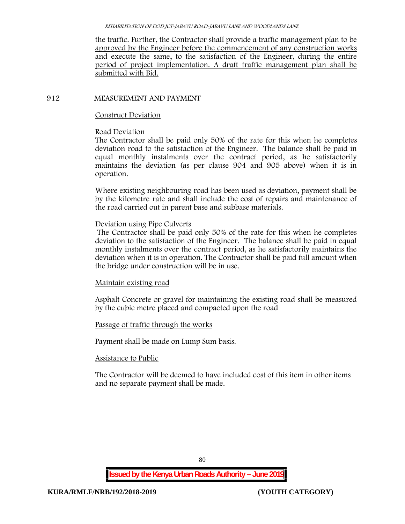the traffic. Further, the Contractor shall provide a traffic management plan to be approved by the Engineer before the commencement of any construction works and execute the same, to the satisfaction of the Engineer, during the entire period of project implementation. A draft traffic management plan shall be submitted with Bid.

# **912 MEASUREMENT AND PAYMENT**

## **Construct Deviation**

## **Road Deviation**

The Contractor shall be paid only 50% of the rate for this when he completes deviation road to the satisfaction of the Engineer. The balance shall be paid in equal monthly instalments over the contract period, as he satisfactorily maintains the deviation (as per clause 904 and 905 above) when it is in operation.

Where existing neighbouring road has been used as deviation, payment shall be by the kilometre rate and shall include the cost of repairs and maintenance of the road carried out in parent base and subbase materials.

# **Deviation using Pipe Culverts**

The Contractor shall be paid only 50% of the rate for this when he completes deviation to the satisfaction of the Engineer. The balance shall be paid in equal monthly instalments over the contract period, as he satisfactorily maintains the deviation when it is in operation. The Contractor shall be paid full amount when the bridge under construction will be in use.

# **Maintain existing road**

Asphalt Concrete or gravel for maintaining the existing road shall be measured by the cubic metre placed and compacted upon the road

# **Passage of traffic through the works**

Payment shall be made on Lump Sum basis.

### **Assistance to Public**

The Contractor will be deemed to have included cost of this item in other items and no separate payment shall be made.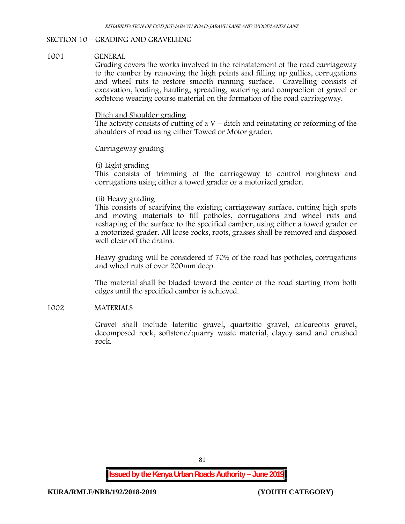# **SECTION 10 – GRADING AND GRAVELLING**

### **1001 GENERAL**

Grading covers the works involved in the reinstatement of the road carriageway to the camber by removing the high points and filling up gullies, corrugations and wheel ruts to restore smooth running surface. Gravelling consists of excavation, loading, hauling, spreading, watering and compaction of gravel or softstone wearing course material on the formation of the road carriageway.

#### Ditch and Shoulder grading

The activity consists of cutting of a  $V$  – ditch and reinstating or reforming of the shoulders of road using either Towed or Motor grader.

### Carriageway grading

#### **(i) Light grading**

This consists of trimming of the carriageway to control roughness and corrugations using either a towed grader or a motorized grader.

### **(ii) Heavy grading**

This consists of scarifying the existing carriageway surface, cutting high spots and moving materials to fill potholes, corrugations and wheel ruts and reshaping of the surface to the specified camber, using either a towed grader or a motorized grader. All loose rocks, roots, grasses shall be removed and disposed well clear off the drains.

Heavy grading will be considered if 70% of the road has potholes, corrugations and wheel ruts of over 200mm deep.

The material shall be bladed toward the center of the road starting from both edges until the specified camber is achieved.

### **1002 MATERIALS**

Gravel shall include lateritic gravel, quartzitic gravel, calcareous gravel, decomposed rock, softstone/quarry waste material, clayey sand and crushed rock.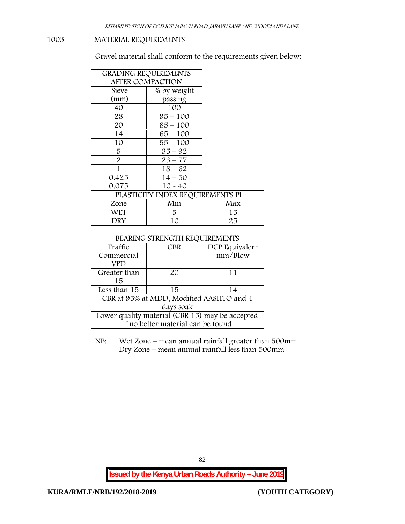# **1003 MATERIAL REQUIREMENTS**

Gravel material shall conform to the requirements given below:

| <b>GRADING REQUIREMENTS</b><br><b>AFTER COMPACTION</b> |                                  |     |
|--------------------------------------------------------|----------------------------------|-----|
| Sieve                                                  | % by weight                      |     |
| (mm)                                                   | passing                          |     |
| 40                                                     | 100                              |     |
| 28                                                     | $95 - 100$                       |     |
| 20                                                     | $85 - 100$                       |     |
| 14                                                     | $65 - 100$                       |     |
| 10                                                     | $55 - 100$                       |     |
| 5                                                      | $35 - 92$                        |     |
| $\overline{2}$                                         | $23 - 77$                        |     |
|                                                        | $18 - 62$                        |     |
| 0.425                                                  | $14 - 50$                        |     |
| 0.075                                                  | $10 - 40$                        |     |
|                                                        | PLASTICITY INDEX REQUIREMENTS PI |     |
| Zone                                                   | Min                              | Max |
| WET                                                    | 5.                               | 15  |
| DRY                                                    | 10                               | 25  |

| BEARING STRENGTH REQUIREMENTS                   |            |                |  |  |
|-------------------------------------------------|------------|----------------|--|--|
| Traffic                                         | <b>CBR</b> | DCP Equivalent |  |  |
| Commercial                                      |            | mm/Blow        |  |  |
| VPD                                             |            |                |  |  |
| Greater than                                    | 20         | 11             |  |  |
| 15                                              |            |                |  |  |
| Less than 15                                    | 15         | 14             |  |  |
| CBR at 95% at MDD, Modified AASHTO and 4        |            |                |  |  |
| days soak                                       |            |                |  |  |
| Lower quality material (CBR 15) may be accepted |            |                |  |  |
| if no better material can be found              |            |                |  |  |

NB: Wet Zone – mean annual rainfall greater than 500mm Dry Zone – mean annual rainfall less than 500mm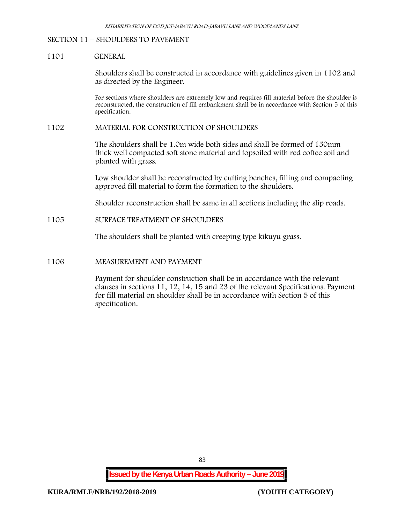### **SECTION 11 – SHOULDERS TO PAVEMENT**

#### **1101 GENERAL**

Shoulders shall be constructed in accordance with guidelines given in 1102 and as directed by the Engineer.

For sections where shoulders are extremely low and requires fill material before the shoulder is reconstructed, the construction of fill embankment shall be in accordance with Section 5 of this specification.

#### **1102 MATERIAL FOR CONSTRUCTION OF SHOULDERS**

The shoulders shall be 1.0m wide both sides and shall be formed of 150mm thick well compacted soft stone material and topsoiled with red coffee soil and planted with grass.

Low shoulder shall be reconstructed by cutting benches, filling and compacting approved fill material to form the formation to the shoulders.

Shoulder reconstruction shall be same in all sections including the slip roads.

# **1105 SURFACE TREATMENT OF SHOULDERS**

The shoulders shall be planted with creeping type kikuyu grass.

#### **1106 MEASUREMENT AND PAYMENT**

Payment for shoulder construction shall be in accordance with the relevant clauses in sections 11, 12, 14, 15 and 23 of the relevant Specifications. Payment for fill material on shoulder shall be in accordance with Section 5 of this specification.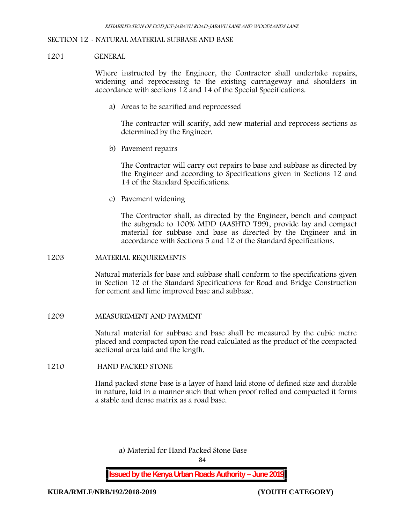#### **SECTION 12 - NATURAL MATERIAL SUBBASE AND BASE**

#### **1201 GENERAL**

Where instructed by the Engineer, the Contractor shall undertake repairs, widening and reprocessing to the existing carriageway and shoulders in accordance with sections 12 and 14 of the Special Specifications.

**a) Areas to be scarified and reprocessed**

The contractor will scarify, add new material and reprocess sections as determined by the Engineer.

**b) Pavement repairs**

The Contractor will carry out repairs to base and subbase as directed by the Engineer and according to Specifications given in Sections 12 and 14 of the Standard Specifications.

**c) Pavement widening**

The Contractor shall, as directed by the Engineer, bench and compact the subgrade to 100% MDD (AASHTO T99), provide lay and compact material for subbase and base as directed by the Engineer and in accordance with Sections 5 and 12 of the Standard Specifications.

#### **1203 MATERIAL REQUIREMENTS**

Natural materials for base and subbase shall conform to the specifications given in Section 12 of the Standard Specifications for Road and Bridge Construction for cement and lime improved base and subbase.

#### **1209 MEASUREMENT AND PAYMENT**

Natural material for subbase and base shall be measured by the cubic metre placed and compacted upon the road calculated as the product of the compacted sectional area laid and the length.

#### **1210 HAND PACKED STONE**

Hand packed stone base is a layer of hand laid stone of defined size and durable in nature, laid in a manner such that when proof rolled and compacted it forms a stable and dense matrix as a road base.

**a) Material for Hand Packed Stone Base**

84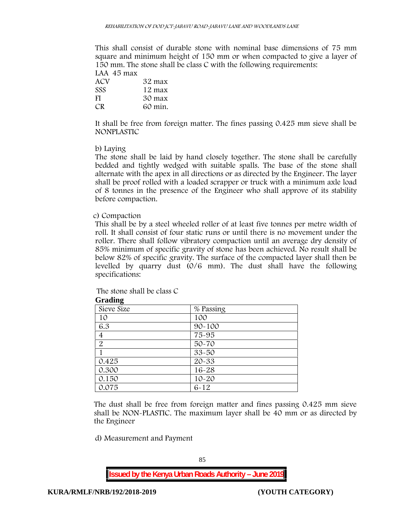This shall consist of durable stone with nominal base dimensions of 75 mm square and minimum height of 150 mm or when compacted to give a layer of 150 mm. The stone shall be class C with the following requirements:

**LAA 45 max ACV 32 max SSS 12 max FI 30 max CR 60 min.**

It shall be free from foreign matter. The fines passing 0.425 mm sieve shall be **NONPLASTIC**

### **b) Laying**

The stone shall be laid by hand closely together. The stone shall be carefully bedded and tightly wedged with suitable spalls. The base of the stone shall alternate with the apex in all directions or as directed by the Engineer. The layer shall be proof rolled with a loaded scrapper or truck with a minimum axle load of 8 tonnes in the presence of the Engineer who shall approve of its stability before compaction.

### **c) Compaction**

This shall be by a steel wheeled roller of at least five tonnes per metre width of roll. It shall consist of four static runs or until there is no movement under the roller. There shall follow vibratory compaction until an average dry density of 85% minimum of specific gravity of stone has been achieved. No result shall be below 82% of specific gravity. The surface of the compacted layer shall then be levelled by quarry dust (0/6 mm). The dust shall have the following specifications:

The stone shall be class C

| Graumg         |            |
|----------------|------------|
| Sieve Size     | % Passing  |
| 10             | 100        |
| 6.3            | $90 - 100$ |
| 4              | 75-95      |
| $\overline{2}$ | $50 - 70$  |
|                | $33 - 50$  |
| 0.425          | $20 - 33$  |
| 0.300          | $16 - 28$  |
| 0.150          | $10 - 20$  |
| 0.075          | $6 - 12$   |

**Grading**

The dust shall be free from foreign matter and fines passing 0.425 mm sieve shall be **NON-PLASTIC**. The maximum layer shall be 40 mm or as directed by the Engineer

**d) Measurement and Payment**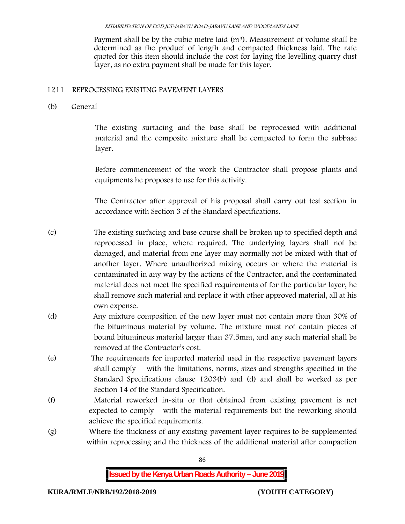Payment shall be by the cubic metre laid  $(m<sup>3</sup>)$ . Measurement of volume shall be determined as the product of length and compacted thickness laid. The rate quoted for this item should include the cost for laying the levelling quarry dust layer, as no extra payment shall be made for this layer.

# **1211 REPROCESSING EXISTING PAVEMENT LAYERS**

**(b) General**

The existing surfacing and the base shall be reprocessed with additional material and the composite mixture shall be compacted to form the subbase layer.

Before commencement of the work the Contractor shall propose plants and equipments he proposes to use for this activity.

The Contractor after approval of his proposal shall carry out test section in accordance with Section 3 of the Standard Specifications.

(c) The existing surfacing and base course shall be broken up to specified depth and reprocessed in place, where required. The underlying layers shall not be damaged, and material from one layer may normally not be mixed with that of another layer. Where unauthorized mixing occurs or where the material is contaminated in any way by the actions of the Contractor, and the contaminated material does not meet the specified requirements of for the particular layer, he shall remove such material and replace it with other approved material, all at his own expense.

- (d) Any mixture composition of the new layer must not contain more than 30% of the bituminous material by volume. The mixture must not contain pieces of bound bituminous material larger than 37.5mm, and any such material shall be removed at the Contractor's cost.
- (e) The requirements for imported material used in the respective pavement layers shall comply with the limitations, norms, sizes and strengths specified in the Standard Specifications clause 1203(b) and (d) and shall be worked as per Section 14 of the Standard Specification.
- (f) Material reworked in-situ or that obtained from existing pavement is not expected to comply with the material requirements but the reworking should achieve the specified requirements.
- (g) Where the thickness of any existing pavement layer requires to be supplemented within reprocessing and the thickness of the additional material after compaction

86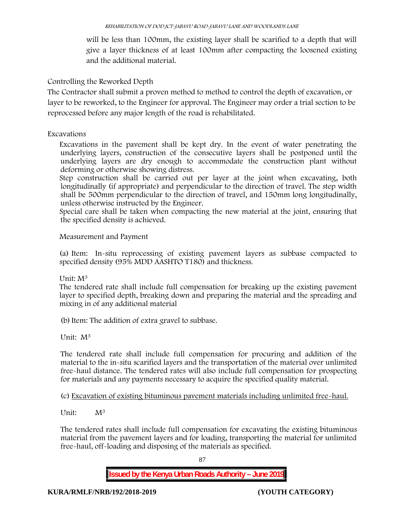will be less than 100mm, the existing layer shall be scarified to a depth that will give a layer thickness of at least 100mm after compacting the loosened existing and the additional material.

# **Controlling the Reworked Depth**

The Contractor shall submit a proven method to method to control the depth of excavation, or layer to be reworked, to the Engineer for approval. The Engineer may order a trial section to be reprocessed before any major length of the road is rehabilitated.

# **Excavations**

Excavations in the pavement shall be kept dry. In the event of water penetrating the underlying layers, construction of the consecutive layers shall be postponed until the underlying layers are dry enough to accommodate the construction plant without deforming or otherwise showing distress.

Step construction shall be carried out per layer at the joint when excavating, both longitudinally (if appropriate) and perpendicular to the direction of travel. The step width shall be 500mm perpendicular to the direction of travel, and 150mm long longitudinally, unless otherwise instructed by the Engineer.

Special care shall be taken when compacting the new material at the joint, ensuring that the specified density is achieved.

# **Measurement and Payment**

(a) Item: In-situ reprocessing of existing pavement layers as subbase compacted to specified density (95% MDD AASHTO T180) and thickness.

# Unit: M<sup>3</sup>

The tendered rate shall include full compensation for breaking up the existing pavement layer to specified depth, breaking down and preparing the material and the spreading and mixing in of any additional material

(b)Item: The addition of extra gravel to subbase.

Unit: M<sup>3</sup>

The tendered rate shall include full compensation for procuring and addition of the material to the in-situ scarified layers and the transportation of the material over unlimited free-haul distance. The tendered rates will also include full compensation for prospecting for materials and any payments necessary to acquire the specified quality material.

(c) Excavation of existing bituminous pavement materials including unlimited free-haul.

Unit:  $M^3$ 

The tendered rates shall include full compensation for excavating the existing bituminous material from the pavement layers and for loading, transporting the material for unlimited free-haul, off-loading and disposing of the materials as specified.

87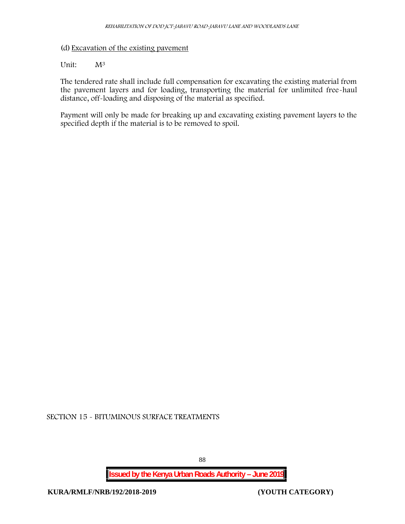# (d) Excavation of the existing pavement

## Unit:  $M^3$

The tendered rate shall include full compensation for excavating the existing material from the pavement layers and for loading, transporting the material for unlimited free-haul distance, off-loading and disposing of the material as specified.

Payment will only be made for breaking up and excavating existing pavement layers to the specified depth if the material is to be removed to spoil.

**SECTION 15 - BITUMINOUS SURFACE TREATMENTS**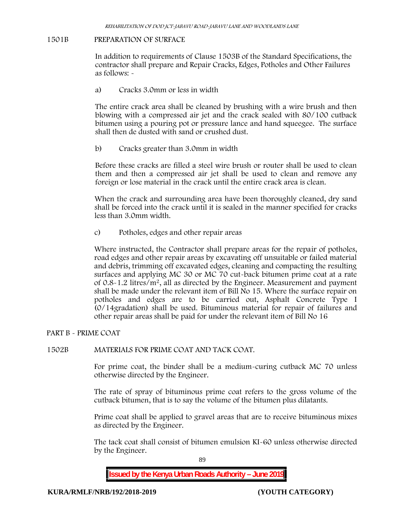### **1501B PREPARATION OF SURFACE**

In addition to requirements of Clause 1503B of the Standard Specifications, the contractor shall prepare and Repair Cracks, Edges, Potholes and Other Failures as follows: **-**

a) **Cracks 3.0mm or less in width**

The entire crack area shall be cleaned by brushing with a wire brush and then blowing with a compressed air jet and the crack sealed with 80/100 cutback bitumen using a pouring pot or pressure lance and hand squeegee. The surface shall then de dusted with sand or crushed dust.

b) **Cracks greater than 3.0mm in width**

Before these cracks are filled a steel wire brush or router shall be used to clean them and then a compressed air jet shall be used to clean and remove any foreign or lose material in the crack until the entire crack area is clean.

When the crack and surrounding area have been thoroughly cleaned, dry sand shall be forced into the crack until it is sealed in the manner specified for cracks less than 3.0mm width.

c) **Potholes, edges and other repair areas**

Where instructed, the Contractor shall prepare areas for the repair of potholes, road edges and other repair areas by excavating off unsuitable or failed material and debris, trimming off excavated edges, cleaning and compacting the resulting surfaces and applying MC 30 or MC 70 cut-back bitumen prime coat at a rate of 0.8-1.2 litres/m2, all as directed by the Engineer. Measurement and payment shall be made under the relevant item of Bill No 15. Where the surface repair on potholes and edges are to be carried out, Asphalt Concrete Type I (0/14gradation) shall be used. Bituminous material for repair of failures and other repair areas shall be paid for under the relevant item of Bill No 16

### **PART B - PRIME COAT**

### **1502B MATERIALS FOR PRIME COAT AND TACK COAT.**

For prime coat, the binder shall be a medium-curing cutback MC 70 unless otherwise directed by the Engineer.

The rate of spray of bituminous prime coat refers to the gross volume of the cutback bitumen, that is to say the volume of the bitumen plus dilatants.

Prime coat shall be applied to gravel areas that are to receive bituminous mixes as directed by the Engineer.

The tack coat shall consist of bitumen emulsion KI-60 unless otherwise directed by the Engineer.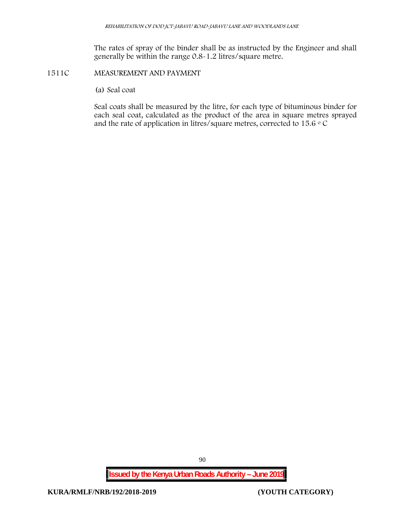The rates of spray of the binder shall be as instructed by the Engineer and shall generally be within the range 0.8-1.2 litres/square metre.

# **1511C MEASUREMENT AND PAYMENT**

(a) Seal coat

Seal coats shall be measured by the litre, for each type of bituminous binder for each seal coat, calculated as the product of the area in square metres sprayed and the rate of application in litres/square metres, corrected to 15.6  $\circ$  C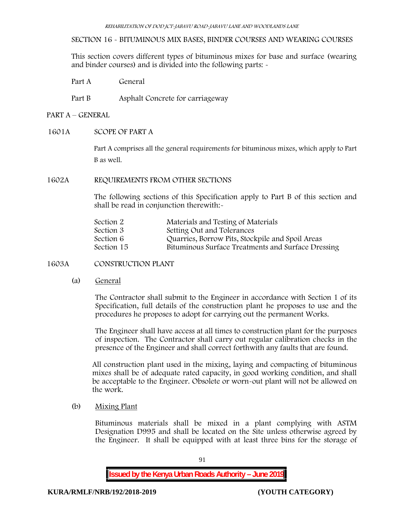## **SECTION 16 - BITUMINOUS MIX BASES, BINDER COURSES AND WEARING COURSES**

This section covers different types of bituminous mixes for base and surface (wearing and binder courses) and is divided into the following parts: -

Part A General

Part B Asphalt Concrete for carriageway

# **PART A –GENERAL**

**1601A SCOPE OF PART A**

Part A comprises all the general requirements for bituminous mixes, which apply to Part B as well.

### **1602A REQUIREMENTS FROM OTHER SECTIONS**

The following sections of this Specification apply to Part B of this section and shall be read in conjunction therewith:-

| Section 2  | Materials and Testing of Materials                 |
|------------|----------------------------------------------------|
| Section 3  | Setting Out and Tolerances                         |
| Section 6  | Quarries, Borrow Pits, Stockpile and Spoil Areas   |
| Section 15 | Bituminous Surface Treatments and Surface Dressing |

**1603A CONSTRUCTION PLANT**

(a) **General**

The Contractor shall submit to the Engineer in accordance with Section 1 of its Specification, full details of the construction plant he proposes to use and the procedures he proposes to adopt for carrying out the permanent Works.

The Engineer shall have access at all times to construction plant for the purposes of inspection. The Contractor shall carry out regular calibration checks in the presence of the Engineer and shall correct forthwith any faults that are found.

All construction plant used in the mixing, laying and compacting of bituminous mixes shall be of adequate rated capacity, in good working condition, and shall be acceptable to the Engineer. Obsolete or worn-out plant will not be allowed on the work.

(b) **Mixing Plant**

Bituminous materials shall be mixed in a plant complying with ASTM Designation D995 and shall be located on the Site unless otherwise agreed by the Engineer. It shall be equipped with at least three bins for the storage of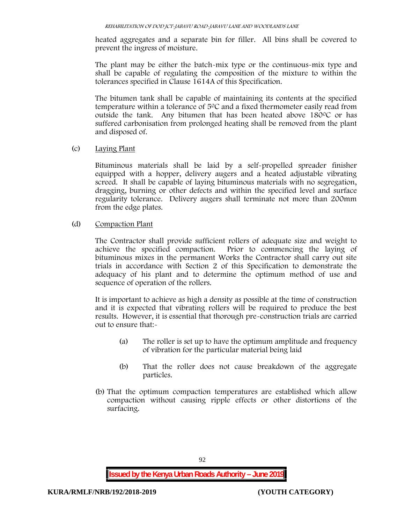heated aggregates and a separate bin for filler. All bins shall be covered to prevent the ingress of moisture.

The plant may be either the batch-mix type or the continuous-mix type and shall be capable of regulating the composition of the mixture to within the tolerances specified in Clause 1614A of this Specification.

The bitumen tank shall be capable of maintaining its contents at the specified temperature within a tolerance of  $5^{\circ}$ C and a fixed thermometer easily read from outside the tank. Any bitumen that has been heated above  $180^{\circ}$ C or has suffered carbonisation from prolonged heating shall be removed from the plant and disposed of.

(c) **Laying Plant**

Bituminous materials shall be laid by a self-propelled spreader finisher equipped with a hopper, delivery augers and a heated adjustable vibrating screed. It shall be capable of laying bituminous materials with no segregation, dragging, burning or other defects and within the specified level and surface regularity tolerance. Delivery augers shall terminate not more than 200mm from the edge plates.

(d) **Compaction Plant**

The Contractor shall provide sufficient rollers of adequate size and weight to achieve the specified compaction. Prior to commencing the laying of bituminous mixes in the permanent Works the Contractor shall carry out site trials in accordance with Section 2 of this Specification to demonstrate the adequacy of his plant and to determine the optimum method of use and sequence of operation of the rollers.

It is important to achieve as high a density as possible at the time of construction and it is expected that vibrating rollers will be required to produce the best results. However, it is essential that thorough pre-construction trials are carried out to ensure that:-

- (a) The roller is set up to have the optimum amplitude and frequency of vibration for the particular material being laid
- (b) That the roller does not cause breakdown of the aggregate particles.
- (b) That the optimum compaction temperatures are established which allow compaction without causing ripple effects or other distortions of the surfacing.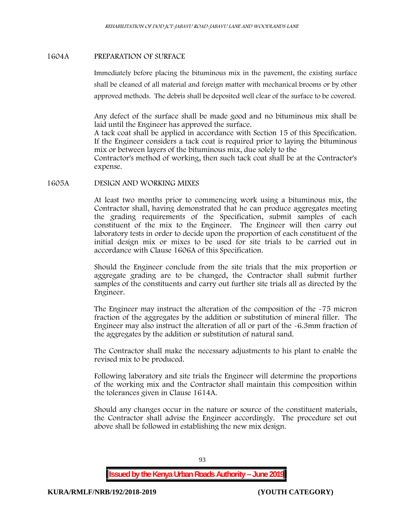### **1604A PREPARATION OF SURFACE**

Immediately before placing the bituminous mix in the pavement, the existing surface shall be cleaned of all material and foreign matter with mechanical brooms or by other approved methods. The debris shall be deposited well clear of the surface to be covered.

Any defect of the surface shall be made good and no bituminous mix shall be laid until the Engineer has approved the surface.

A tack coat shall be applied in accordance with Section 15 of this Specification. If the Engineer considers a tack coat is required prior to laying the bituminous mix or between layers of the bituminous mix, due solely to the

Contractor's method of working, then such tack coat shall be at the Contractor's expense.

#### **1605A DESIGN AND WORKING MIXES**

At least two months prior to commencing work using a bituminous mix, the Contractor shall, having demonstrated that he can produce aggregates meeting the grading requirements of the Specification, submit samples of each constituent of the mix to the Engineer. The Engineer will then carry out laboratory tests in order to decide upon the proportion of each constituent of the initial design mix or mixes to be used for site trials to be carried out in accordance with Clause 1606A of this Specification.

Should the Engineer conclude from the site trials that the mix proportion or aggregate grading are to be changed, the Contractor shall submit further samples of the constituents and carry out further site trials all as directed by the Engineer.

The Engineer may instruct the alteration of the composition of the -75 micron fraction of the aggregates by the addition or substitution of mineral filler. The Engineer may also instruct the alteration of all or part of the -6.3mm fraction of the aggregates by the addition or substitution of natural sand.

The Contractor shall make the necessary adjustments to his plant to enable the revised mix to be produced.

Following laboratory and site trials the Engineer will determine the proportions of the working mix and the Contractor shall maintain this composition within the tolerances given in Clause 1614A.

Should any changes occur in the nature or source of the constituent materials, the Contractor shall advise the Engineer accordingly. The procedure set out above shall be followed in establishing the new mix design.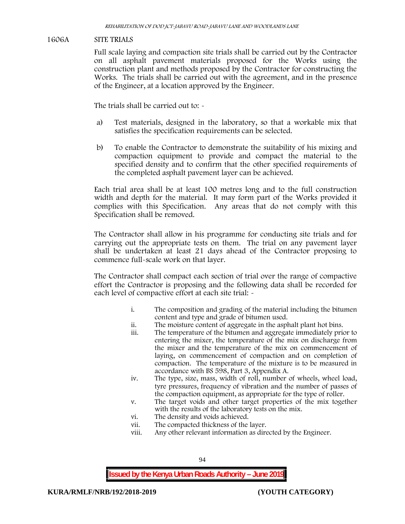### **1606A SITE TRIALS**

Full scale laying and compaction site trials shall be carried out by the Contractor on all asphalt pavement materials proposed for the Works using the construction plant and methods proposed by the Contractor for constructing the Works. The trials shall be carried out with the agreement, and in the presence of the Engineer, at a location approved by the Engineer.

The trials shall be carried out to: -

- a) Test materials, designed in the laboratory, so that a workable mix that satisfies the specification requirements can be selected.
- b) To enable the Contractor to demonstrate the suitability of his mixing and compaction equipment to provide and compact the material to the specified density and to confirm that the other specified requirements of the completed asphalt pavement layer can be achieved.

Each trial area shall be at least 100 metres long and to the full construction width and depth for the material. It may form part of the Works provided it complies with this Specification. Any areas that do not comply with this Specification shall be removed.

The Contractor shall allow in his programme for conducting site trials and for carrying out the appropriate tests on them. The trial on any pavement layer shall be undertaken at least 21 days ahead of the Contractor proposing to commence full-scale work on that layer.

The Contractor shall compact each section of trial over the range of compactive effort the Contractor is proposing and the following data shall be recorded for each level of compactive effort at each site trial:  $\sim$ 

- i. The composition and grading of the material including the bitumen content and type and grade of bitumen used.
- ii. The moisture content of aggregate in the asphalt plant hot bins.
- iii. The temperature of the bitumen and aggregate immediately prior to entering the mixer, the temperature of the mix on discharge from the mixer and the temperature of the mix on commencement of laying, on commencement of compaction and on completion of compaction. The temperature of the mixture is to be measured in accordance with BS 598, Part 3, Appendix A.
- iv. The type, size, mass, width of roll, number of wheels, wheel load, tyre pressures, frequency of vibration and the number of passes of the compaction equipment, as appropriate for the type of roller.
- v. The target voids and other target properties of the mix together with the results of the laboratory tests on the mix.
- vi. The density and voids achieved.
- vii. The compacted thickness of the layer.
- viii. Any other relevant information as directed by the Engineer.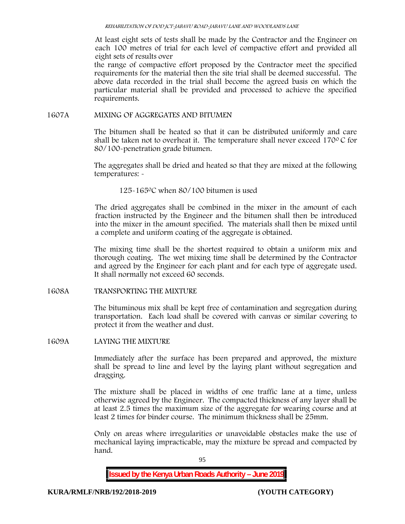At least eight sets of tests shall be made by the Contractor and the Engineer on each 100 metres of trial for each level of compactive effort and provided all eight sets of results over

the range of compactive effort proposed by the Contractor meet the specified requirements for the material then the site trial shall be deemed successful. The above data recorded in the trial shall become the agreed basis on which the particular material shall be provided and processed to achieve the specified requirements.

### **1607A MIXING OF AGGREGATES AND BITUMEN**

The bitumen shall be heated so that it can be distributed uniformly and care shall be taken not to overheat it. The temperature shall never exceed  $170^{\circ}$ C for 80/100-penetration grade bitumen.

The aggregates shall be dried and heated so that they are mixed at the following temperatures: -

125-1650C when 80/100 bitumen is used

The dried aggregates shall be combined in the mixer in the amount of each fraction instructed by the Engineer and the bitumen shall then be introduced into the mixer in the amount specified. The materials shall then be mixed until a complete and uniform coating of the aggregate is obtained.

The mixing time shall be the shortest required to obtain a uniform mix and thorough coating. The wet mixing time shall be determined by the Contractor and agreed by the Engineer for each plant and for each type of aggregate used. It shall normally not exceed 60 seconds.

**1608A TRANSPORTING THE MIXTURE**

The bituminous mix shall be kept free of contamination and segregation during transportation. Each load shall be covered with canvas or similar covering to protect it from the weather and dust.

**1609A LAYING THE MIXTURE**

Immediately after the surface has been prepared and approved, the mixture shall be spread to line and level by the laying plant without segregation and dragging.

The mixture shall be placed in widths of one traffic lane at a time, unless otherwise agreed by the Engineer. The compacted thickness of any layer shall be at least 2.5 times the maximum size of the aggregate for wearing course and at least 2 times for binder course. The minimum thickness shall be 25mm.

Only on areas where irregularities or unavoidable obstacles make the use of mechanical laying impracticable, may the mixture be spread and compacted by hand.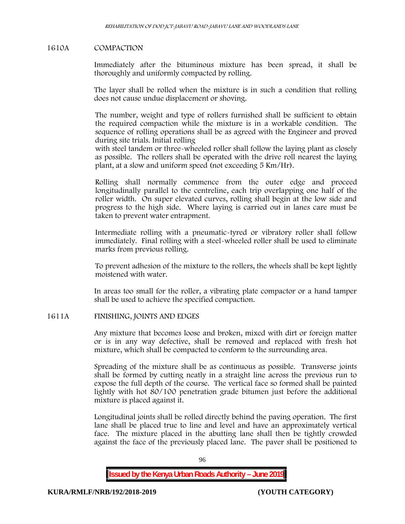### **1610A COMPACTION**

Immediately after the bituminous mixture has been spread, it shall be thoroughly and uniformly compacted by rolling.

The layer shall be rolled when the mixture is in such a condition that rolling does not cause undue displacement or shoving.

The number, weight and type of rollers furnished shall be sufficient to obtain the required compaction while the mixture is in a workable condition. The sequence of rolling operations shall be as agreed with the Engineer and proved during site trials. Initial rolling

with steel tandem or three-wheeled roller shall follow the laying plant as closely as possible. The rollers shall be operated with the drive roll nearest the laying plant, at a slow and uniform speed (not exceeding 5 Km/Hr).

Rolling shall normally commence from the outer edge and proceed longitudinally parallel to the centreline, each trip overlapping one half of the roller width. On super elevated curves, rolling shall begin at the low side and progress to the high side. Where laying is carried out in lanes care must be taken to prevent water entrapment.

Intermediate rolling with a pneumatic-tyred or vibratory roller shall follow immediately. Final rolling with a steel-wheeled roller shall be used to eliminate marks from previous rolling.

To prevent adhesion of the mixture to the rollers, the wheels shall be kept lightly moistened with water.

In areas too small for the roller, a vibrating plate compactor or a hand tamper shall be used to achieve the specified compaction.

### **1611A FINISHING, JOINTS AND EDGES**

Any mixture that becomes loose and broken, mixed with dirt or foreign matter or is in any way defective, shall be removed and replaced with fresh hot mixture, which shall be compacted to conform to the surrounding area.

Spreading of the mixture shall be as continuous as possible. Transverse joints shall be formed by cutting neatly in a straight line across the previous run to expose the full depth of the course. The vertical face so formed shall be painted lightly with hot 80/100 penetration grade bitumen just before the additional mixture is placed against it.

Longitudinal joints shall be rolled directly behind the paving operation. The first lane shall be placed true to line and level and have an approximately vertical face. The mixture placed in the abutting lane shall then be tightly crowded against the face of the previously placed lane. The paver shall be positioned to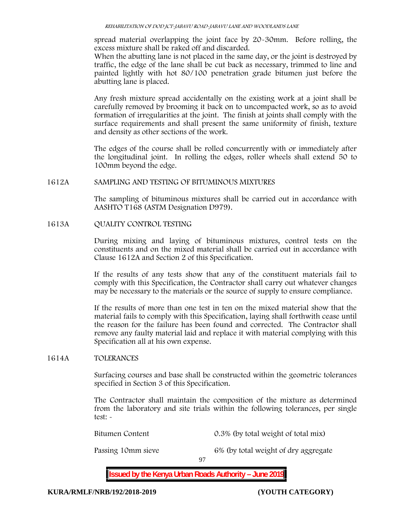spread material overlapping the joint face by 20-30mm. Before rolling, the excess mixture shall be raked off and discarded.

When the abutting lane is not placed in the same day, or the joint is destroyed by traffic, the edge of the lane shall be cut back as necessary, trimmed to line and painted lightly with hot 80/100 penetration grade bitumen just before the abutting lane is placed.

Any fresh mixture spread accidentally on the existing work at a joint shall be carefully removed by brooming it back on to uncompacted work, so as to avoid formation of irregularities at the joint. The finish at joints shall comply with the surface requirements and shall present the same uniformity of finish, texture and density as other sections of the work.

The edges of the course shall be rolled concurrently with or immediately after the longitudinal joint. In rolling the edges, roller wheels shall extend 50 to 100mm beyond the edge.

### **1612A SAMPLING AND TESTING OF BITUMINOUS MIXTURES**

The sampling of bituminous mixtures shall be carried out in accordance with AASHTO T168 (ASTM Designation D979).

**1613A QUALITY CONTROL TESTING**

During mixing and laying of bituminous mixtures, control tests on the constituents and on the mixed material shall be carried out in accordance with Clause 1612A and Section 2 of this Specification.

If the results of any tests show that any of the constituent materials fail to comply with this Specification, the Contractor shall carry out whatever changes may be necessary to the materials or the source of supply to ensure compliance.

If the results of more than one test in ten on the mixed material show that the material fails to comply with this Specification, laying shall forthwith cease until the reason for the failure has been found and corrected. The Contractor shall remove any faulty material laid and replace it with material complying with this Specification all at his own expense.

### **1614A TOLERANCES**

Surfacing courses and base shall be constructed within the geometric tolerances specified in Section 3 of this Specification.

The Contractor shall maintain the composition of the mixture as determined from the laboratory and site trials within the following tolerances, per single test: -

Bitumen Content 0.3% (by total weight of total mix)

Passing 10mm sieve 6% (by total weight of dry aggregate

97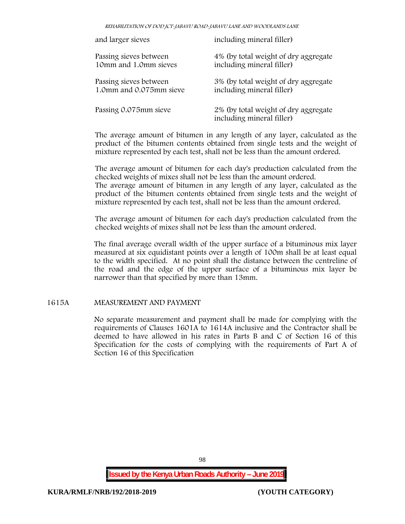*REHABILITATION OF DOD JCT-JABAVU ROAD-JABAVU LANE AND WOODLANDS LANE*

| and larger sieves       | including mineral filler)                                         |  |  |
|-------------------------|-------------------------------------------------------------------|--|--|
| Passing sieves between  | 4% (by total weight of dry aggregate                              |  |  |
| 10mm and 1.0mm sieves   | including mineral filler)                                         |  |  |
| Passing sieves between  | 3% (by total weight of dry aggregate                              |  |  |
| 1.0mm and 0.075mm sieve | including mineral filler)                                         |  |  |
| Passing 0.075mm sieve   | 2% (by total weight of dry aggregate<br>including mineral filler) |  |  |

The average amount of bitumen in any length of any layer, calculated as the product of the bitumen contents obtained from single tests and the weight of mixture represented by each test, shall not be less than the amount ordered.

The average amount of bitumen for each day's production calculated from the checked weights of mixes shall not be less than the amount ordered. The average amount of bitumen in any length of any layer, calculated as the

product of the bitumen contents obtained from single tests and the weight of mixture represented by each test, shall not be less than the amount ordered.

The average amount of bitumen for each day's production calculated from the checked weights of mixes shall not be less than the amount ordered.

The final average overall width of the upper surface of a bituminous mix layer measured at six equidistant points over a length of 100m shall be at least equal to the width specified. At no point shall the distance between the centreline of the road and the edge of the upper surface of a bituminous mix layer be narrower than that specified by more than 13mm.

## **1615A MEASUREMENT AND PAYMENT**

No separate measurement and payment shall be made for complying with the requirements of Clauses 1601A to 1614A inclusive and the Contractor shall be deemed to have allowed in his rates in Parts B and C of Section 16 of this Specification for the costs of complying with the requirements of Part A of Section 16 of this Specification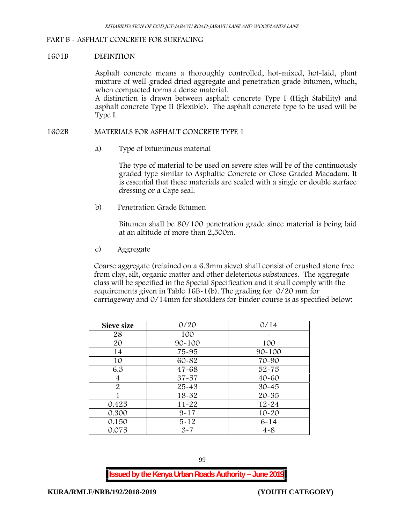#### **PART B - ASPHALT CONCRETE FOR SURFACING**

#### **1601B DEFINITION**

Asphalt concrete means a thoroughly controlled, hot-mixed, hot-laid, plant mixture of well-graded dried aggregate and penetration grade bitumen, which, when compacted forms a dense material.

A distinction is drawn between asphalt concrete Type I (High Stability) and asphalt concrete Type II (Flexible). The asphalt concrete type to be used will be Type I.

#### **1602B MATERIALS FOR ASPHALT CONCRETE TYPE 1**

a) **Type of bituminous material**

The type of material to be used on severe sites will be of the continuously graded type similar to Asphaltic Concrete or Close Graded Macadam. It is essential that these materials are sealed with a single or double surface dressing or a Cape seal.

b) **Penetration Grade Bitumen**

Bitumen shall be 80/100 penetration grade since material is being laid at an altitude of more than 2,500m.

c) **Aggregate**

Coarse aggregate (retained on a 6.3mm sieve) shall consist of crushed stone free from clay, silt, organic matter and other deleterious substances. The aggregate class will be specified in the Special Specification and it shall comply with the requirements given in Table 16B-1(b). The grading for 0/20 mm for carriageway and 0/14mm for shoulders for binder course is as specified below:

| <b>Sieve size</b> | 0/20       | 0/14       |
|-------------------|------------|------------|
| 28                | 100        |            |
| 20                | $90 - 100$ | 100        |
| 14                | 75-95      | $90 - 100$ |
| 10                | 60-82      | 70-90      |
| 6.3               | $47 - 68$  | $52 - 75$  |
| 4                 | $37 - 57$  | $40 - 60$  |
| $\overline{2}$    | $25 - 43$  | $30 - 45$  |
|                   | 18-32      | $20 - 35$  |
| 0.425             | $11 - 22$  | $12 - 24$  |
| 0.300             | $9 - 17$   | $10 - 20$  |
| 0.150             | $5 - 12$   | $6 - 14$   |
| 0.075             | $3 - 7$    | $4 - 8$    |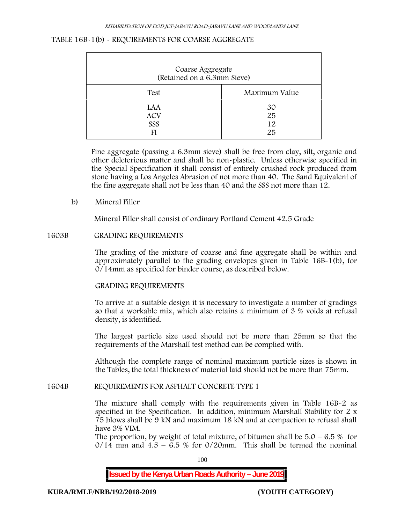| Coarse Aggregate<br>(Retained on a 6.3mm Sieve) |                      |  |  |
|-------------------------------------------------|----------------------|--|--|
| Test                                            | Maximum Value        |  |  |
| LAA<br><b>ACV</b><br>SSS<br>FI                  | 30<br>25<br>12<br>25 |  |  |

## **TABLE 16B-1(b) - REQUIREMENTS FOR COARSE AGGREGATE**

Fine aggregate (passing a 6.3mm sieve) shall be free from clay, silt, organic and other deleterious matter and shall be non-plastic. Unless otherwise specified in the Special Specification it shall consist of entirely crushed rock produced from stone having a Los Angeles Abrasion of not more than 40. The Sand Equivalent of the fine aggregate shall not be less than 40 and the SSS not more than 12.

**b) Mineral Filler**

Mineral Filler shall consist of ordinary Portland Cement 42.5 Grade

#### **1603B GRADING REQUIREMENTS**

The grading of the mixture of coarse and fine aggregate shall be within and approximately parallel to the grading envelopes given in Table 16B-1(b), for 0/14mm as specified for binder course, as described below.

### **GRADING REQUIREMENTS**

To arrive at a suitable design it is necessary to investigate a number of gradings so that a workable mix, which also retains a minimum of 3 % voids at refusal density, is identified.

The largest particle size used should not be more than 25mm so that the requirements of the Marshall test method can be complied with.

Although the complete range of nominal maximum particle sizes is shown in the Tables, the total thickness of material laid should not be more than 75mm.

### **1604B REQUIREMENTS FOR ASPHALT CONCRETE TYPE 1**

The mixture shall comply with the requirements given in Table 16B-2 as specified in the Specification. In addition, minimum Marshall Stability for 2 x 75 blows shall be 9 kN and maximum 18 kN and at compaction to refusal shall have 3% VIM.

The proportion, by weight of total mixture, of bitumen shall be  $5.0 - 6.5 %$  for  $0/14$  mm and  $4.5 - 6.5$  % for  $0/20$ mm. This shall be termed the nominal

100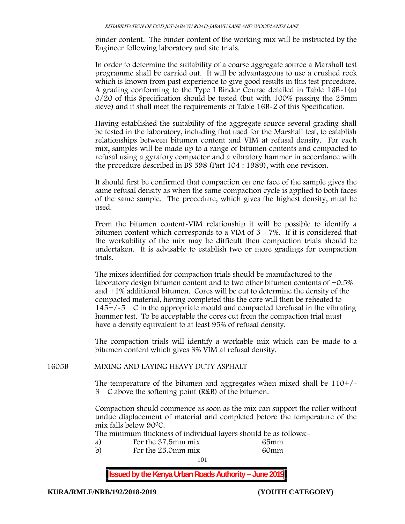binder content. The binder content of the working mix will be instructed by the Engineer following laboratory and site trials.

In order to determine the suitability of a coarse aggregate source a Marshall test programme shall be carried out. It will be advantageous to use a crushed rock which is known from past experience to give good results in this test procedure. A grading conforming to the Type I Binder Course detailed in Table 16B-1(a) 0/20 of this Specification should be tested (but with 100% passing the 25mm sieve) and it shall meet the requirements of Table 16B-2 of this Specification.

Having established the suitability of the aggregate source several grading shall be tested in the laboratory, including that used for the Marshall test, to establish relationships between bitumen content and VIM at refusal density. For each mix, samples will be made up to a range of bitumen contents and compacted to refusal using a gyratory compactor and a vibratory hammer in accordance with the procedure described in BS 598 (Part 104 : 1989), with one revision.

It should first be confirmed that compaction on one face of the sample gives the same refusal density as when the same compaction cycle is applied to both faces of the same sample. The procedure, which gives the highest density, must be used.

From the bitumen content-VIM relationship it will be possible to identify a bitumen content which corresponds to a VIM of 3 - 7%. If it is considered that the workability of the mix may be difficult then compaction trials should be undertaken. It is advisable to establish two or more gradings for compaction trials.

The mixes identified for compaction trials should be manufactured to the laboratory design bitumen content and to two other bitumen contents of +0.5% and +1% additional bitumen. Cores will be cut to determine the density of the compacted material, having completed this the core will then be reheated to  $145+/5$  C in the appropriate mould and compacted torefusal in the vibrating hammer test. To be acceptable the cores cut from the compaction trial must have a density equivalent to at least 95% of refusal density.

The compaction trials will identify a workable mix which can be made to a bitumen content which gives 3% VIM at refusal density.

**1605B MIXING AND LAYING HEAVY DUTY ASPHALT**

The temperature of the bitumen and aggregates when mixed shall be  $110+/$ 3C above the softening point (R&B) of the bitumen.

Compaction should commence as soon as the mix can support the roller without undue displacement of material and completed before the temperature of the mix falls below 900C.

The minimum thickness of individual layers should be as follows:-

- a) For the 37.5mm mix 65mm
- 101 b) For the 25.0mm mix 60mm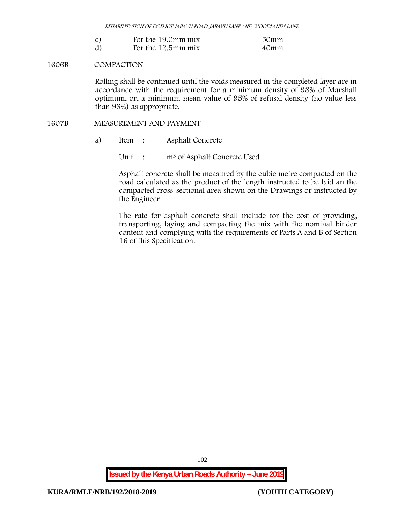*REHABILITATION OF DOD JCT-JABAVU ROAD-JABAVU LANE AND WOODLANDS LANE*

|    | For the 19.0mm mix | 50mm |
|----|--------------------|------|
| d) | For the 12.5mm mix | 40mm |

### **1606B COMPACTION**

Rolling shall be continued until the voids measured in the completed layer are in accordance with the requirement for a minimum density of 98% of Marshall optimum, or, a minimum mean value of 95% of refusal density (no value less than 93%) as appropriate.

### **1607B MEASUREMENT AND PAYMENT**

a) Item : Asphalt Concrete

Unit : m<sup>3</sup> of Asphalt Concrete Used

Asphalt concrete shall be measured by the cubic metre compacted on the road calculated as the product of the length instructed to be laid an the compacted cross-sectional area shown on the Drawings or instructed by the Engineer.

The rate for asphalt concrete shall include for the cost of providing, transporting, laying and compacting the mix with the nominal binder content and complying with the requirements of Parts A and B of Section 16 of this Specification.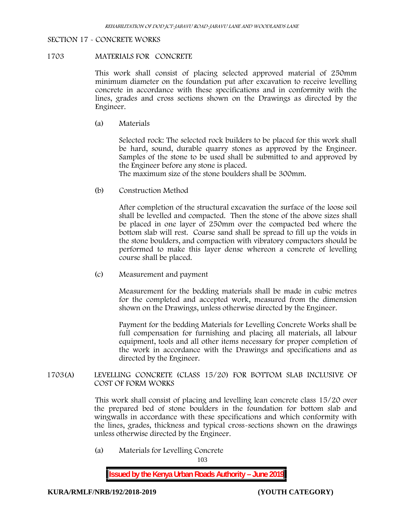#### **SECTION 17 - CONCRETE WORKS**

#### **1703 MATERIALS FOR CONCRETE**

This work shall consist of placing selected approved material of 250mm minimum diameter on the foundation put after excavation to receive levelling concrete in accordance with these specifications and in conformity with the lines, grades and cross sections shown on the Drawings as directed by the Engineer.

(a) **Materials**

Selected rock: The selected rock builders to be placed for this work shall be hard, sound, durable quarry stones as approved by the Engineer. Samples of the stone to be used shall be submitted to and approved by the Engineer before any stone is placed.

The maximum size of the stone boulders shall be 300mm.

(b) **Construction Method**

After completion of the structural excavation the surface of the loose soil shall be levelled and compacted. Then the stone of the above sizes shall be placed in one layer of 250mm over the compacted bed where the bottom slab will rest. Coarse sand shall be spread to fill up the voids in the stone boulders, and compaction with vibratory compactors should be performed to make this layer dense whereon a concrete of levelling course shall be placed.

(c) **Measurement and payment**

Measurement for the bedding materials shall be made in cubic metres for the completed and accepted work, measured from the dimension shown on the Drawings, unless otherwise directed by the Engineer.

Payment for the bedding Materials for Levelling Concrete Works shall be full compensation for furnishing and placing all materials, all labour equipment, tools and all other items necessary for proper completion of the work in accordance with the Drawings and specifications and as directed by the Engineer.

**1703(A) LEVELLING CONCRETE (CLASS 15/20) FOR BOTTOM SLAB INCLUSIVE OF COST OF FORM WORKS**

> This work shall consist of placing and levelling lean concrete class 15/20 over the prepared bed of stone boulders in the foundation for bottom slab and wingwalls in accordance with these specifications and which conformity with the lines, grades, thickness and typical cross-sections shown on the drawings unless otherwise directed by the Engineer.

(a) **Materials for Levelling Concrete**

103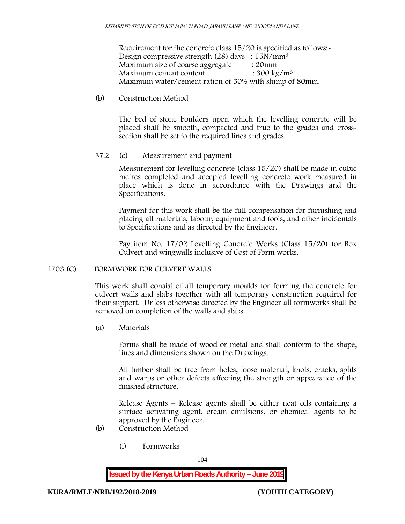Requirement for the concrete class  $15/20$  is specified as follows:-Design compressive strength (28) days : 15N/mm<sup>2</sup> Maximum size of coarse aggregate : 20mm Maximum cement content  $: 300 \text{ kg/m}^3$ . Maximum water/cement ration of 50% with slump of 80mm.

## (b) **Construction Method**

The bed of stone boulders upon which the levelling concrete will be placed shall be smooth, compacted and true to the grades and crosssection shall be set to the required lines and grades.

# **37.2** (c) **Measurement and payment**

Measurement for levelling concrete (class 15/20) shall be made in cubic metres completed and accepted levelling concrete work measured in place which is done in accordance with the Drawings and the Specifications.

Payment for this work shall be the full compensation for furnishing and placing all materials, labour, equipment and tools, and other incidentals to Specifications and as directed by the Engineer.

Pay item No. 17/02 Levelling Concrete Works (Class 15/20) for Box Culvert and wingwalls inclusive of Cost of Form works.

# **1703 (C) FORMWORK FOR CULVERT WALLS**

This work shall consist of all temporary moulds for forming the concrete for culvert walls and slabs together with all temporary construction required for their support. Unless otherwise directed by the Engineer all formworks shall be removed on completion of the walls and slabs.

(a) **Materials**

Forms shall be made of wood or metal and shall conform to the shape, lines and dimensions shown on the Drawings.

All timber shall be free from holes, loose material, knots, cracks, splits and warps or other defects affecting the strength or appearance of the finished structure.

Release Agents – Release agents shall be either neat oils containing a surface activating agent, cream emulsions, or chemical agents to be approved by the Engineer.

- (b) **Construction Method**
	- (i) **Formworks**

104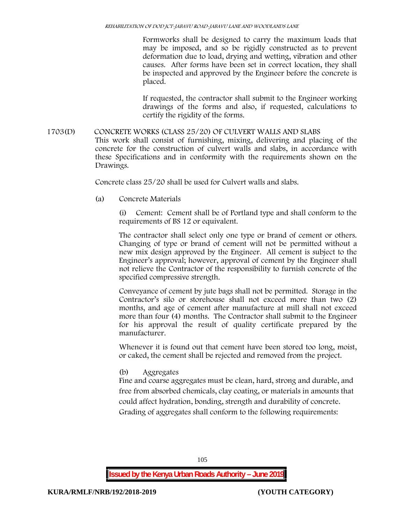Formworks shall be designed to carry the maximum loads that may be imposed, and so be rigidly constructed as to prevent deformation due to load, drying and wetting, vibration and other causes. After forms have been set in correct location, they shall be inspected and approved by the Engineer before the concrete is placed.

If requested, the contractor shall submit to the Engineer working drawings of the forms and also, if requested, calculations to certify the rigidity of the forms.

**1703(D) CONCRETE WORKS (CLASS 25/20) OF CULVERT WALLS AND SLABS** This work shall consist of furnishing, mixing, delivering and placing of the concrete for the construction of culvert walls and slabs, in accordance with these Specifications and in conformity with the requirements shown on the Drawings.

Concrete class 25/20 shall be used for Culvert walls and slabs.

**(a) Concrete Materials**

(i) Cement: Cement shall be of Portland type and shall conform to the requirements of BS 12 or equivalent.

The contractor shall select only one type or brand of cement or others. Changing of type or brand of cement will not be permitted without a new mix design approved by the Engineer. All cement is subject to the Engineer's approval; however, approval of cement by the Engineer shall not relieve the Contractor of the responsibility to furnish concrete of the specified compressive strength.

Conveyance of cement by jute bags shall not be permitted. Storage in the Contractor's silo or storehouse shall not exceed more than two (2) months, and age of cement after manufacture at mill shall not exceed more than four (4) months. The Contractor shall submit to the Engineer for his approval the result of quality certificate prepared by the manufacturer.

Whenever it is found out that cement have been stored too long, moist, or caked, the cement shall be rejected and removed from the project.

**(b) Aggregates**

Fine and coarse aggregates must be clean, hard, strong and durable, and free from absorbed chemicals, clay coating, or materials in amounts that could affect hydration, bonding, strength and durability of concrete. Grading of aggregates shall conform to the following requirements: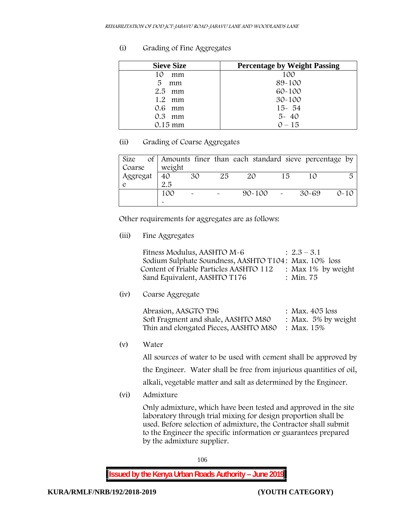# **(i) Grading of Fine Aggregates**

| <b>Sieve Size</b> | <b>Percentage by Weight Passing</b> |
|-------------------|-------------------------------------|
| 10<br>mm          | 100                                 |
| 5<br>mm           | 89-100                              |
| $2.5$ mm          | $60 - 100$                          |
| $1.2$ mm          | $30 - 100$                          |
| $0.6$ mm          | $15 - 54$                           |
| $0.3$ mm          | $5 - 40$                            |
| 0.15 mm           | $0 - 15$                            |

# **(ii) Grading of Coarse Aggregates**

| Size     |                       |                       |    | of Amounts finer than each standard sieve percentage by |    |       |          |
|----------|-----------------------|-----------------------|----|---------------------------------------------------------|----|-------|----------|
| Coarse   | weight                |                       |    |                                                         |    |       |          |
| Aggregat | 40                    | 30                    | 25 | 20                                                      | 15 |       | 局        |
|          | 2.5                   |                       |    |                                                         |    |       |          |
|          | 100                   | $\tilde{\phantom{a}}$ |    | $90 - 100 = 0$                                          |    | 30-69 | $0 - 10$ |
|          | $\tilde{\phantom{a}}$ |                       |    |                                                         |    |       |          |

Other requirements for aggregates are as follows:

**(iii) Fine Aggregates**

| Fitness Modulus, AASHTO M-6                           | $2.3 - 3.1$           |
|-------------------------------------------------------|-----------------------|
| Sodium Sulphate Soundness, AASHTO T104: Max. 10% loss |                       |
| Content of Friable Particles AASHTO 112               | : Max $1\%$ by weight |
| Sand Equivalent, AASHTO T176                          | : Min. 75             |

**(iv) Coarse Aggregate**

| Abrasion, AASGTO T96                             | : Max. 405 loss        |
|--------------------------------------------------|------------------------|
| Soft Fragment and shale, AASHTO M80              | : Max. $5\%$ by weight |
| Thin and elongated Pieces, AASHTO M80 : Max. 15% |                        |

**(v) Water**

All sources of water to be used with cement shall be approved by the Engineer. Water shall be free from injurious quantities of oil, alkali, vegetable matter and salt as determined by the Engineer.

**(vi) Admixture**

Only admixture, which have been tested and approved in the site laboratory through trial mixing for design proportion shall be used. Before selection of admixture, the Contractor shall submit to the Engineer the specific information or guarantees prepared by the admixture supplier.

106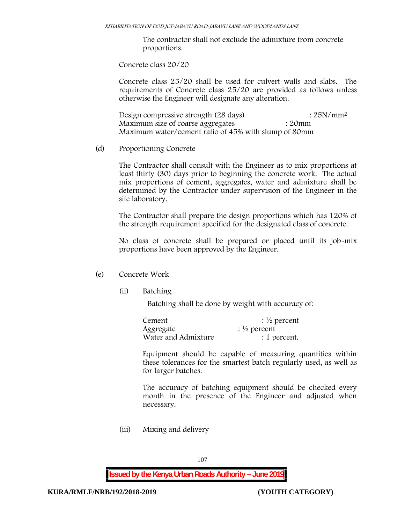The contractor shall not exclude the admixture from concrete proportions.

**Concrete class 20/20**

Concrete class 25/20 shall be used for culvert walls and slabs. The requirements of Concrete class 25/20 are provided as follows unless otherwise the Engineer will designate any alteration.

Design compressive strength (28 days) : 25N/mm<sup>2</sup> Maximum size of coarse aggregates : 20mm Maximum water/cement ratio of 45% with slump of 80mm

(d) **Proportioning Concrete**

The Contractor shall consult with the Engineer as to mix proportions at least thirty (30) days prior to beginning the concrete work. The actual mix proportions of cement, aggregates, water and admixture shall be determined by the Contractor under supervision of the Engineer in the site laboratory.

The Contractor shall prepare the design proportions which has 120% of the strength requirement specified for the designated class of concrete.

No class of concrete shall be prepared or placed until its job-mix proportions have been approved by the Engineer.

# (e) **Concrete Work**

**(ii) Batching**

Batching shall be done by weight with accuracy of:

| Cement              | $\frac{1}{2}$ percent |
|---------------------|-----------------------|
| Aggregate           | $\frac{1}{2}$ percent |
| Water and Admixture | : 1 percent.          |

Equipment should be capable of measuring quantities within these tolerances for the smartest batch regularly used, as well as for larger batches.

The accuracy of batching equipment should be checked every month in the presence of the Engineer and adjusted when necessary.

**(iii) Mixing and delivery**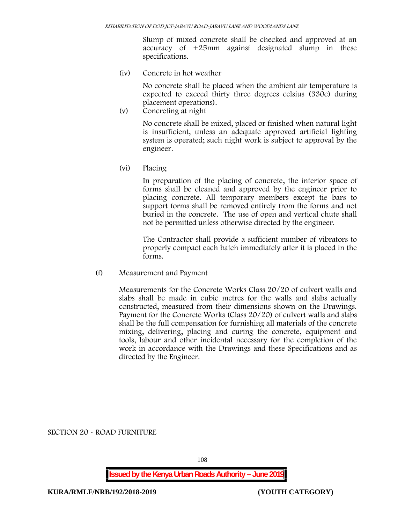Slump of mixed concrete shall be checked and approved at an accuracy of +25mm against designated slump in these specifications.

**(iv) Concrete in hot weather**

No concrete shall be placed when the ambient air temperature is expected to exceed thirty three degrees celsius (330c) during placement operations).

**(v) Concreting at night**

No concrete shall be mixed, placed or finished when natural light is insufficient, unless an adequate approved artificial lighting system is operated; such night work is subject to approval by the engineer.

**(vi) Placing**

In preparation of the placing of concrete, the interior space of forms shall be cleaned and approved by the engineer prior to placing concrete. All temporary members except tie bars to support forms shall be removed entirely from the forms and not buried in the concrete. The use of open and vertical chute shall not be permitted unless otherwise directed by the engineer.

The Contractor shall provide a sufficient number of vibrators to properly compact each batch immediately after it is placed in the forms.

(f) **Measurement and Payment**

Measurements for the Concrete Works Class 20/20 of culvert walls and slabs shall be made in cubic metres for the walls and slabs actually constructed, measured from their dimensions shown on the Drawings. Payment for the Concrete Works (Class 20/20) of culvert walls and slabs shall be the full compensation for furnishing all materials of the concrete mixing, delivering, placing and curing the concrete, equipment and tools, labour and other incidental necessary for the completion of the work in accordance with the Drawings and these Specifications and as directed by the Engineer.

**SECTION 20 - ROAD FURNITURE**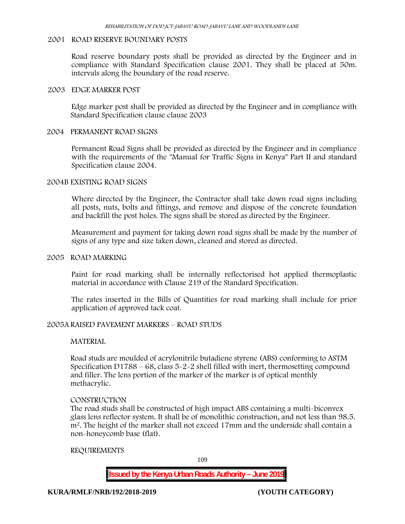# **2001 ROAD RESERVE BOUNDARY POSTS**

Road reserve boundary posts shall be provided as directed by the Engineer and in compliance with Standard Specification clause 2001. They shall be placed at 50m. intervals along the boundary of the road reserve.

#### **2003 EDGE MARKER POST**

Edge marker post shall be provided as directed by the Engineer and in compliance with Standard Specification clause clause 2003

#### **2004 PERMANENT ROAD SIGNS**

Permanent Road Signs shall be provided as directed by the Engineer and in compliance with the requirements of the "Manual for Traffic Signs in Kenya" Part II and standard Specification clause 2004.

### **2004B EXISTING ROAD SIGNS**

Where directed by the Engineer, the Contractor shall take down road signs including all posts, nuts, bolts and fittings, and remove and dispose of the concrete foundation and backfill the post holes. The signs shall be stored as directed by the Engineer.

Measurement and payment for taking down road signs shall be made by the number of signs of any type and size taken down, cleaned and stored as directed.

#### **2005 ROAD MARKING**

Paint for road marking shall be internally reflectorised hot applied thermoplastic material in accordance with Clause 219 of the Standard Specification.

The rates inserted in the Bills of Quantities for road marking shall include for prior application of approved tack coat.

#### **2005A RAISED PAVEMENT MARKERS – ROAD STUDS**

#### **MATERIAL**

Road studs are moulded of acrylonitrile butadiene styrene (ABS) conforming to ASTM Specification D1788 –  $68$ , class  $5-2-2$  shell filled with inert, thermosetting compound and filler. The lens portion of the marker of the marker is of optical menthly methacrylic.

#### **CONSTRUCTION**

The road studs shall be constructed of high impact ABS containing a multi-biconvex glass lens reflector system. It shall be of monolithic construction, and not less than 98.5. m2. The height of the marker shall not exceed 17mm and the underside shall contain a non-honeycomb base (flat).

#### **REQUIREMENTS**

109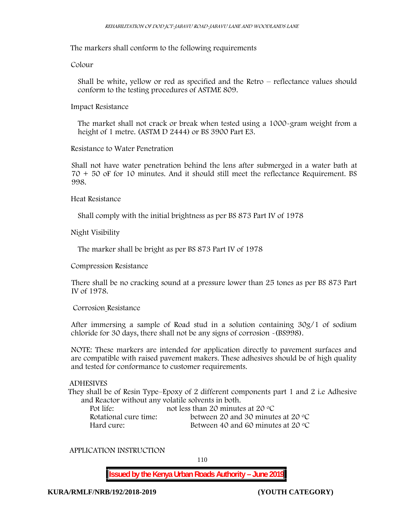The markers shall conform to the following requirements

**Colour**

Shall be white, yellow or red as specified and the Retro – reflectance values should conform to the testing procedures of ASTME 809.

### **Impact Resistance**

The market shall not crack or break when tested using a 1000**-**gram weight from a height of 1 metre. (ASTM D 2444) or BS 3900 Part E3.

### **Resistance to Water Penetration**

Shall not have water penetration behind the lens after submerged in a water bath at 70 + 50 oF for 10 minutes. And it should still meet the reflectance Requirement. BS 998.

**Heat Resistance**

Shall comply with the initial brightness as per BS 873 Part IV of 1978

**Night Visibility**

The marker shall be bright as per BS 873 Part IV of 1978

**Compression Resistance**

There shall be no cracking sound at a pressure lower than 25 tones as per BS 873 Part IV of 1978.

### **Corrosion Resistance**

After immersing a sample of Road stud in a solution containing 30g/1 of sodium chloride for 30 days, there shall not be any signs of corrosion **-**(BS998).

**NOTE**: These markers are intended for application directly to pavement surfaces and are compatible with raised pavement makers. These adhesives should be of high quality and tested for conformance to customer requirements.

## **ADHESIVES**

They shall be of Resin Type–Epoxy of 2 different components part 1 and 2 i.e Adhesive and Reactor without any volatile solvents in both.

| Pot life:             | not less than 20 minutes at 20 $\degree$ C  |
|-----------------------|---------------------------------------------|
| Rotational cure time: | between 20 and 30 minutes at 20 $\degree$ C |
| Hard cure:            | Between 40 and 60 minutes at 20 $\degree$ C |

### **APPLICATION INSTRUCTION**

110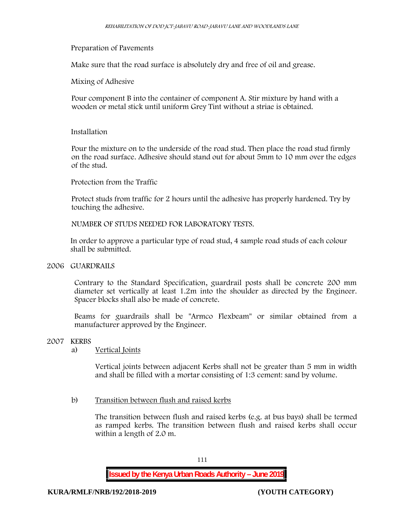# **Preparation of Pavements**

Make sure that the road surface is absolutely dry and free of oil and grease**.**

# **Mixing of Adhesive**

Pour component B into the container of component A. Stir mixture by hand with a wooden or metal stick until uniform Grey Tint without a striae is obtained.

### **Installation**

Pour the mixture on to the underside of the road stud. Then place the road stud firmly on the road surface. Adhesive should stand out for about 5mm to 10 mm over the edges of the stud.

**Protection from the Traffic**

Protect studs from traffic for 2 hours until the adhesive has properly hardened. Try by touching the adhesive.

**NUMBER OF STUDS NEEDED FOR LABORATORY TESTS.**

In order to approve a particular type of road stud, 4 sample road studs of each colour shall be submitted.

## **2006 GUARDRAILS**

Contrary to the Standard Specification, guardrail posts shall be concrete 200 mm diameter set vertically at least 1.2m into the shoulder as directed by the Engineer. Spacer blocks shall also be made of concrete.

Beams for guardrails shall be "Armco Flexbeam" or similar obtained from a manufacturer approved by the Engineer.

### **2007 KERBS**

### a) **Vertical Joints**

Vertical joints between adjacent Kerbs shall not be greater than 5 mm in width and shall be filled with a mortar consisting of 1:3 cement: sand by volume.

# b) **Transition between flush and raised kerbs**

The transition between flush and raised kerbs (e.g. at bus bays) shall be termed as ramped kerbs. The transition between flush and raised kerbs shall occur within a length of 2.0 m.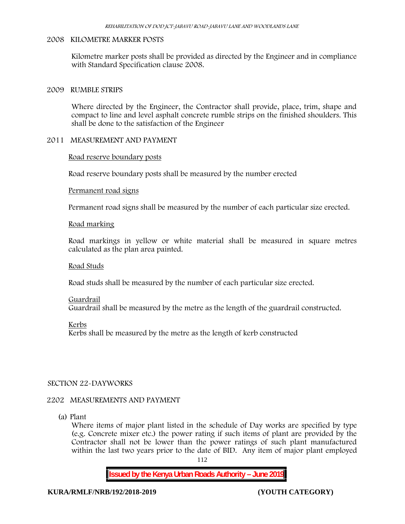## **2008 KILOMETRE MARKER POSTS**

Kilometre marker posts shall be provided as directed by the Engineer and in compliance with Standard Specification clause 2008.

## **2009 RUMBLE STRIPS**

Where directed by the Engineer, the Contractor shall provide, place, trim, shape and compact to line and level asphalt concrete rumble strips on the finished shoulders. This shall be done to the satisfaction of the Engineer

# **2011 MEASUREMENT AND PAYMENT**

# **Road reserve boundary posts**

Road reserve boundary posts shall be measured by the number erected

# **Permanent road signs**

Permanent road signs shall be measured by the number of each particular size erected.

# **Road marking**

Road markings in yellow or white material shall be measured in square metres calculated as the plan area painted.

### **Road Studs**

Road studs shall be measured by the number of each particular size erected.

# **Guardrail** Guardrail shall be measured by the metre as the length of the guardrail constructed.

**Kerbs**

Kerbs shall be measured by the metre as the length of kerb constructed

# **SECTION 22-DAYWORKS**

# **2202 MEASUREMENTS AND PAYMENT**

(a) Plant

Where items of major plant listed in the schedule of Day works are specified by type (e.g. Concrete mixer etc.) the power rating if such items of plant are provided by the Contractor shall not be lower than the power ratings of such plant manufactured within the last two years prior to the date of BID. Any item of major plant employed

112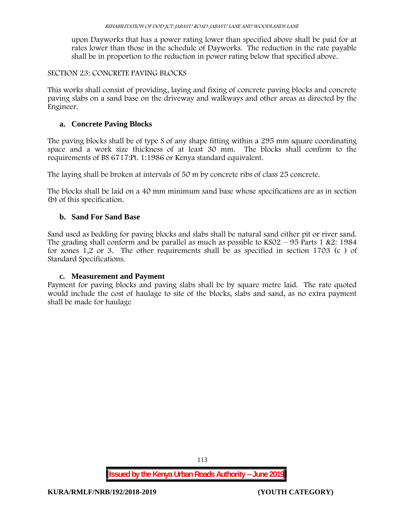upon Dayworks that has a power rating lower than specified above shall be paid for at rates lower than those in the schedule of Dayworks. The reduction in the rate payable shall be in proportion to the reduction in power rating below that specified above.

# **SECTION 23: CONCRETE PAVING BLOCKS**

This works shall consist of providing, laying and fixing of concrete paving blocks and concrete paving slabs on a sand base on the driveway and walkways and other areas as directed by the Engineer.

# **a. Concrete Paving Blocks**

The paving blocks shall be of type S of any shape fitting within a 295 mm square coordinating space and a work size thickness of at least 30 mm. The blocks shall confirm to the requirements of BS 6717:Pt. 1:1986 or Kenya standard equivalent.

The laying shall be broken at intervals of 50 m by concrete ribs of class 25 concrete.

The blocks shall be laid on a 40 mm minimum sand base whose specifications are as in section (b) of this specification.

# **b. Sand For Sand Base**

Sand used as bedding for paving blocks and slabs shall be natural sand either pit or river sand. The grading shall conform and be parallel as much as possible to  $KSO2 - 95$  Parts 1 &2: 1984 for zones 1,2 or 3. The other requirements shall be as specified in section 1703 (c ) of Standard Specifications.

# **c. Measurement and Payment**

Payment for paving blocks and paving slabs shall be by square metre laid. The rate quoted would include the cost of haulage to site of the blocks, slabs and sand, as no extra payment shall be made for haulage

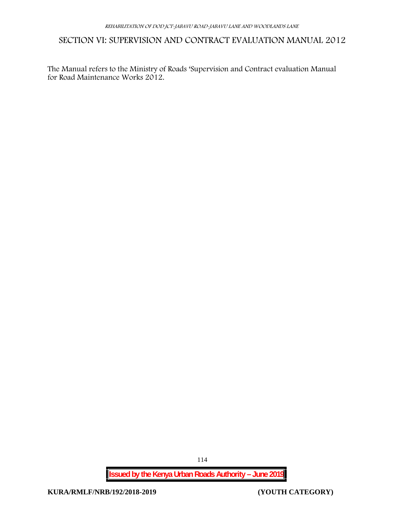# **SECTION VI: SUPERVISION AND CONTRACT EVALUATION MANUAL 2012**

The Manual refers to the Ministry of Roads 'Supervision and Contract evaluation Manual for Road Maintenance Works 2012.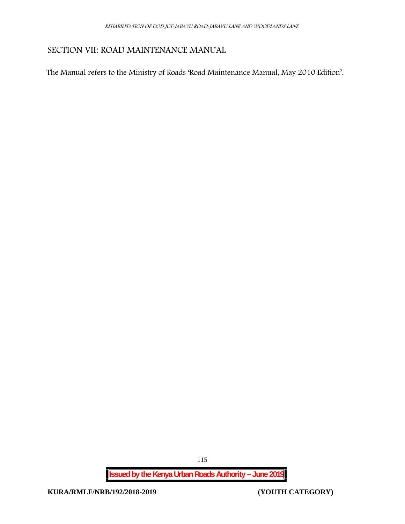# **SECTION VII: ROAD MAINTENANCE MANUAL**

The Manual refers to the Ministry of Roads 'Road Maintenance Manual, May 2010 Edition'.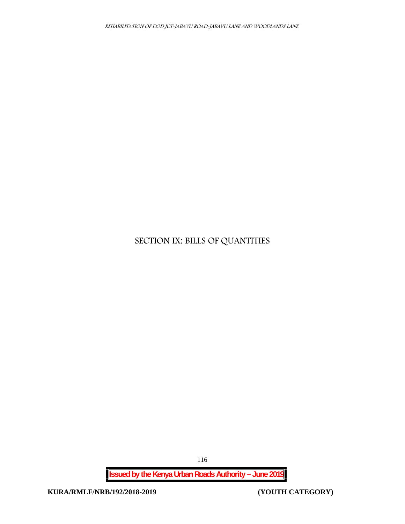# **SECTION IX: BILLS OF QUANTITIES**

**Issued by the Kenya Urban Roads Authority – June 2019**

116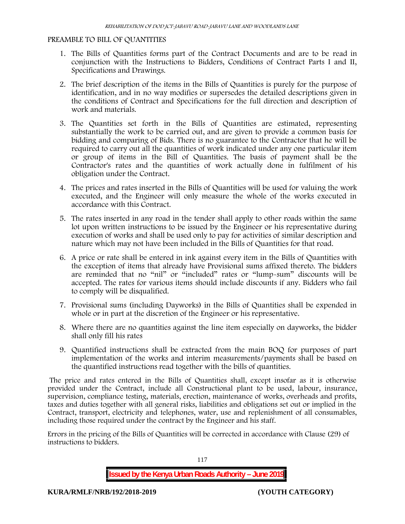# **PREAMBLE TO BILL OF QUANTITIES**

- 1. The Bills of Quantities forms part of the Contract Documents and are to be read in conjunction with the Instructions to Bidders, Conditions of Contract Parts I and II, Specifications and Drawings.
- 2. The brief description of the items in the Bills of Quantities is purely for the purpose of identification, and in no way modifies or supersedes the detailed descriptions given in the conditions of Contract and Specifications for the full direction and description of work and materials.
- 3. The Quantities set forth in the Bills of Quantities are estimated, representing substantially the work to be carried out, and are given to provide a common basis for bidding and comparing of Bids. There is no guarantee to the Contractor that he will be required to carry out all the quantities of work indicated under any one particular item or group of items in the Bill of Quantities. The basis of payment shall be the Contractor's rates and the quantities of work actually done in fulfilment of his obligation under the Contract.
- 4. The prices and rates inserted in the Bills of Quantities will be used for valuing the work executed, and the Engineer will only measure the whole of the works executed in accordance with this Contract.
- 5. The rates inserted in any road in the tender shall apply to other roads within the same lot upon written instructions to be issued by the Engineer or his representative during execution of works and shall be used only to pay for activities of similar description and nature which may not have been included in the Bills of Quantities for that road.
- 6. A price or rate shall be entered in ink against every item in the Bills of Quantities with the exception of items that already have Provisional sums affixed thereto. The bidders are reminded that no "nil" or "included" rates or "lump-sum" discounts will be accepted. The rates for various items should include discounts if any. Bidders who fail to comply will be disqualified.
- 7. Provisional sums (including Dayworks) in the Bills of Quantities shall be expended in whole or in part at the discretion of the Engineer or his representative.
- 8. Where there are no quantities against the line item especially on dayworks, the bidder shall only fill his rates
- 9. Quantified instructions shall be extracted from the main BOQ for purposes of part implementation of the works and interim measurements/payments shall be based on the quantified instructions read together with the bills of quantities.

The price and rates entered in the Bills of Quantities shall, except insofar as it is otherwise provided under the Contract, include all Constructional plant to be used, labour, insurance, supervision, compliance testing, materials, erection, maintenance of works, overheads and profits, taxes and duties together with all general risks, liabilities and obligations set out or implied in the Contract, transport, electricity and telephones, water, use and replenishment of all consumables, including those required under the contract by the Engineer and his staff.

Errors in the pricing of the Bills of Quantities will be corrected in accordance with Clause (29) of instructions to bidders.

117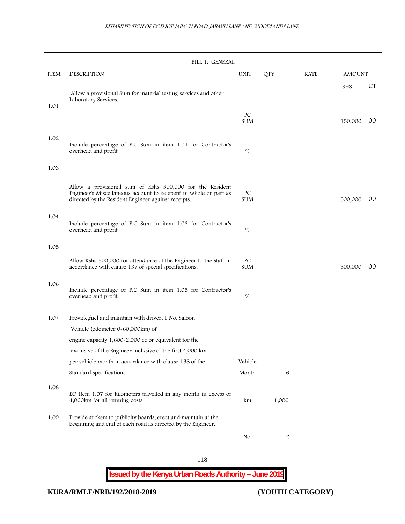|             | BILL 1: GENERAL                                                                                                         |                  |                |             |               |        |
|-------------|-------------------------------------------------------------------------------------------------------------------------|------------------|----------------|-------------|---------------|--------|
| <b>ITEM</b> | DESCRIPTION                                                                                                             | <b>UNIT</b>      | <b>QTY</b>     | <b>RATE</b> | <b>AMOUNT</b> |        |
|             |                                                                                                                         |                  |                |             | SHS           | CT     |
|             | Allow a provisional Sum for material testing services and other<br>Laboratory Services.                                 |                  |                |             |               |        |
| 1.01        |                                                                                                                         |                  |                |             |               |        |
|             |                                                                                                                         | PC<br><b>SUM</b> |                |             | 150,000       | $00\,$ |
|             |                                                                                                                         |                  |                |             |               |        |
| 1.02        | Include percentage of P.C Sum in item 1.01 for Contractor's                                                             |                  |                |             |               |        |
|             | overhead and profit                                                                                                     | $\%$             |                |             |               |        |
|             |                                                                                                                         |                  |                |             |               |        |
| 1.03        |                                                                                                                         |                  |                |             |               |        |
|             | Allow a provisional sum of Kshs 500,000 for the Resident                                                                |                  |                |             |               |        |
|             | Engineer's Miscellaneous account to be spent in whole or part as<br>directed by the Resident Engineer against receipts. | PC<br><b>SUM</b> |                |             | 500,000       | $00\,$ |
|             |                                                                                                                         |                  |                |             |               |        |
| 1.04        |                                                                                                                         |                  |                |             |               |        |
|             | Include percentage of P.C Sum in item 1.03 for Contractor's<br>overhead and profit                                      | $\%$             |                |             |               |        |
|             |                                                                                                                         |                  |                |             |               |        |
| 1.05        |                                                                                                                         |                  |                |             |               |        |
|             | Allow Kshs 500,000 for attendance of the Engineer to the staff in                                                       | PC               |                |             |               |        |
|             | accordance with clause 137 of special specifications.                                                                   | <b>SUM</b>       |                |             | 500,000       | $00\,$ |
| 1.06        |                                                                                                                         |                  |                |             |               |        |
|             | Include percentage of P.C Sum in item 1.05 for Contractor's<br>overhead and profit                                      | %                |                |             |               |        |
|             |                                                                                                                         |                  |                |             |               |        |
| 1.07        | Provide, fuel and maintain with driver, 1 No. Saloon                                                                    |                  |                |             |               |        |
|             | Vehicle (odometer 0~60,000km) of                                                                                        |                  |                |             |               |        |
|             | engine capacity 1,600-2,000 cc or equivalent for the                                                                    |                  |                |             |               |        |
|             | exclusive of the Engineer inclusive of the first 4,000 km                                                               |                  |                |             |               |        |
|             | per vehicle month in accordance with clause 138 of the                                                                  | Vehicle          |                |             |               |        |
|             | Standard specifications.                                                                                                | Month            | 6              |             |               |        |
| 1.08        |                                                                                                                         |                  |                |             |               |        |
|             | EO Item 1.07 for kilometers travelled in any month in excess of                                                         |                  |                |             |               |        |
|             | 4,000km for all running costs                                                                                           | km               | 1,000          |             |               |        |
| 1.09        | Provide stickers to publicity boards, erect and maintain at the                                                         |                  |                |             |               |        |
|             | beginning and end of each road as directed by the Engineer.                                                             |                  |                |             |               |        |
|             |                                                                                                                         | No.              | $\overline{2}$ |             |               |        |
|             |                                                                                                                         |                  |                |             |               |        |

118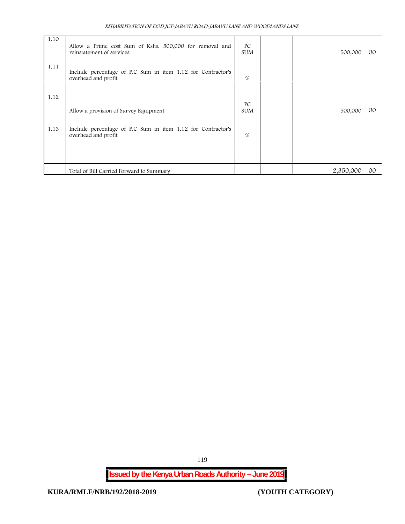| REHABILITATION OF DOD JCT-JABAVU ROAD-JABAVU LANE AND WOODLANDS LANE |  |
|----------------------------------------------------------------------|--|
|----------------------------------------------------------------------|--|

| 1.10 | Allow a Prime cost Sum of Kshs. 500,000 for removal and<br>reinstatement of services. | PC<br><b>SUM</b> |  | 500,000   | 00 <sup>°</sup> |  |
|------|---------------------------------------------------------------------------------------|------------------|--|-----------|-----------------|--|
| 1.11 | Include percentage of P.C Sum in item 1.12 for Contractor's<br>overhead and profit    | %                |  |           |                 |  |
| 1.12 | Allow a provision of Survey Equipment                                                 | PC<br><b>SUM</b> |  | 500,000   | 00 <sup>o</sup> |  |
| 1.13 | Include percentage of P.C Sum in item 1.12 for Contractor's<br>overhead and profit    | %                |  |           |                 |  |
|      |                                                                                       |                  |  |           |                 |  |
|      | Total of Bill Carried Forward to Summary                                              |                  |  | 2,350,000 | $00\degree$     |  |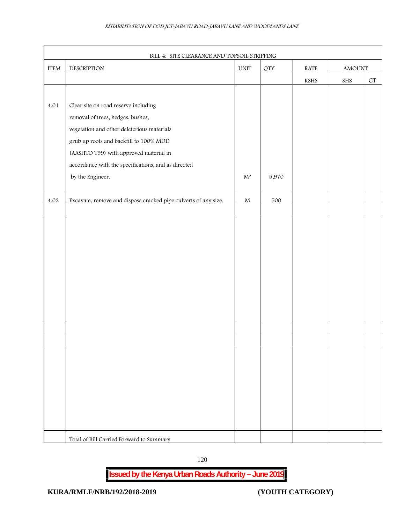|                            | BILL 4: SITE CLEARANCE AND TOPSOIL STRIPPING                    | $\ensuremath{\text{UNIT}}$ |            |                       |             |                    |
|----------------------------|-----------------------------------------------------------------|----------------------------|------------|-----------------------|-------------|--------------------|
| $\ensuremath{\text{ITEM}}$ | DESCRIPTION                                                     |                            | <b>QTY</b> | RATE                  | AMOUNT      |                    |
|                            |                                                                 |                            |            | $\operatorname{KSHS}$ | ${\rm SHS}$ | ${\cal C}{\cal T}$ |
|                            |                                                                 |                            |            |                       |             |                    |
| 4.01                       | Clear site on road reserve including                            |                            |            |                       |             |                    |
|                            | removal of trees, hedges, bushes,                               |                            |            |                       |             |                    |
|                            | vegetation and other deleterious materials                      |                            |            |                       |             |                    |
|                            | grub up roots and backfill to 100% MDD                          |                            |            |                       |             |                    |
|                            | (AASHTO T99) with approved material in                          |                            |            |                       |             |                    |
|                            | accordance with the specifications, and as directed             |                            |            |                       |             |                    |
|                            | by the Engineer.                                                | $\mathbf{M}^2$             | 5,970      |                       |             |                    |
|                            |                                                                 |                            |            |                       |             |                    |
| $4.02\,$                   | Excavate, remove and dispose cracked pipe culverts of any size. | $\mathbf M$                | 500        |                       |             |                    |
|                            |                                                                 |                            |            |                       |             |                    |
|                            |                                                                 |                            |            |                       |             |                    |
|                            |                                                                 |                            |            |                       |             |                    |
|                            |                                                                 |                            |            |                       |             |                    |
|                            |                                                                 |                            |            |                       |             |                    |
|                            |                                                                 |                            |            |                       |             |                    |
|                            |                                                                 |                            |            |                       |             |                    |
|                            |                                                                 |                            |            |                       |             |                    |
|                            |                                                                 |                            |            |                       |             |                    |
|                            |                                                                 |                            |            |                       |             |                    |
|                            |                                                                 |                            |            |                       |             |                    |
|                            |                                                                 |                            |            |                       |             |                    |
|                            |                                                                 |                            |            |                       |             |                    |
|                            |                                                                 |                            |            |                       |             |                    |
|                            |                                                                 |                            |            |                       |             |                    |
|                            |                                                                 |                            |            |                       |             |                    |
|                            |                                                                 |                            |            |                       |             |                    |
|                            |                                                                 |                            |            |                       |             |                    |
|                            |                                                                 |                            |            |                       |             |                    |
|                            | Total of Bill Carried Forward to Summary                        |                            |            |                       |             |                    |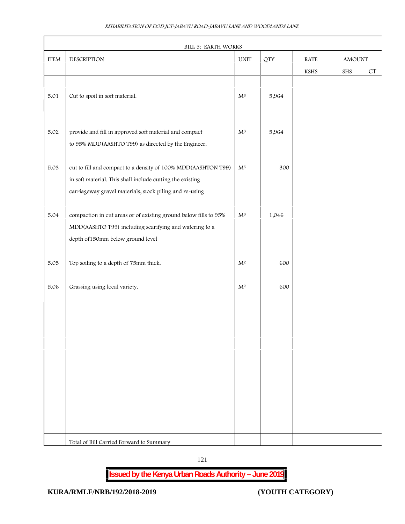| <b>ITEM</b> | DESCRIPTION                                                                                                                                                                           | <b>UNIT</b>    | <b>QTY</b> | $\operatorname{RATE}$ | $\Lambda\text{MO}\rm UNT$ |                    |
|-------------|---------------------------------------------------------------------------------------------------------------------------------------------------------------------------------------|----------------|------------|-----------------------|---------------------------|--------------------|
|             |                                                                                                                                                                                       |                |            | $\operatorname{KSHS}$ | SHS                       | ${\cal C}{\cal T}$ |
| 5.01        | Cut to spoil in soft material.                                                                                                                                                        | $\mathbf{M}^3$ | 5,964      |                       |                           |                    |
| $5.02\,$    | provide and fill in approved soft material and compact<br>to 95% MDD(AASHTO T99) as directed by the Engineer.                                                                         | $\mathrm{M}^3$ | 5,964      |                       |                           |                    |
| 5.03        | cut to fill and compact to a density of 100% MDD(AASHTON T99)<br>in soft material. This shall include cutting the existing<br>carriageway gravel materials, stock piling and re-using | $\mathbf{M}^3$ | 300        |                       |                           |                    |
| 5.04        | compaction in cut areas or of existing ground below fills to 95%<br>MDD(AASHTO T99) including scarifying and watering to a<br>depth of 150mm below ground level                       | $\mathbf{M}^3$ | 1,046      |                       |                           |                    |
| 5.05        | Top soiling to a depth of 75mm thick.                                                                                                                                                 | $\mathbf{M}^2$ | 600        |                       |                           |                    |
| 5.06        | Grassing using local variety.                                                                                                                                                         | $\mathbf{M}^2$ | 600        |                       |                           |                    |
|             |                                                                                                                                                                                       |                |            |                       |                           |                    |
|             |                                                                                                                                                                                       |                |            |                       |                           |                    |
|             |                                                                                                                                                                                       |                |            |                       |                           |                    |
|             |                                                                                                                                                                                       |                |            |                       |                           |                    |
|             |                                                                                                                                                                                       |                |            |                       |                           |                    |
|             | Total of Bill Carried Forward to Summary                                                                                                                                              |                |            |                       |                           |                    |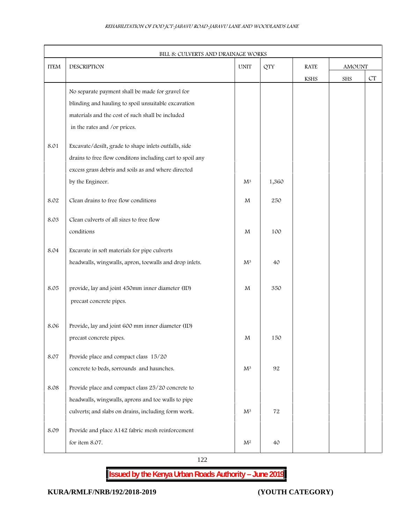| <b>ITEM</b> | DESCRIPTION                                               | <b>UNIT</b>    | <b>QTY</b> | <b>RATE</b> | $\Lambda \text{MO}\rm UNT$ |                    |
|-------------|-----------------------------------------------------------|----------------|------------|-------------|----------------------------|--------------------|
|             |                                                           |                |            | <b>KSHS</b> | SHS                        | ${\cal C}{\cal T}$ |
|             | No separate payment shall be made for gravel for          |                |            |             |                            |                    |
|             | blinding and hauling to spoil unsuitable excavation       |                |            |             |                            |                    |
|             | materials and the cost of such shall be included          |                |            |             |                            |                    |
|             | in the rates and /or prices.                              |                |            |             |                            |                    |
| 8.01        | Excavate/desilt, grade to shape inlets outfalls, side     |                |            |             |                            |                    |
|             | drains to free flow conditons including cart to spoil any |                |            |             |                            |                    |
|             | excess grass debris and soils as and where directed       |                |            |             |                            |                    |
|             | by the Engineer.                                          | $\mathbf{M}^3$ | 1,360      |             |                            |                    |
| 8.02        | Clean drains to free flow conditions                      | M              | 250        |             |                            |                    |
| 8.03        | Clean culverts of all sizes to free flow                  |                |            |             |                            |                    |
|             | conditions                                                | M              | 100        |             |                            |                    |
| 8.04        | Excavate in soft materials for pipe culverts              |                |            |             |                            |                    |
|             | headwalls, wingwalls, apron, toewalls and drop inlets.    | $\mathbf{M}^3$ | 40         |             |                            |                    |
| 8.05        | provide, lay and joint 450mm inner diameter (ID)          | M              | 350        |             |                            |                    |
|             | precast concrete pipes.                                   |                |            |             |                            |                    |
| 8.06        | Provide, lay and joint 600 mm inner diameter (ID)         |                |            |             |                            |                    |
|             | precast concrete pipes.                                   | M              | 150        |             |                            |                    |
|             |                                                           |                |            |             |                            |                    |
| 8.07        | Provide place and compact class 15/20                     |                |            |             |                            |                    |
|             | concrete to beds, sorrounds and haunches.                 | $M^3$          | 92         |             |                            |                    |
| 8.08        | Provide place and compact class 25/20 concrete to         |                |            |             |                            |                    |
|             | headwalls, wingwalls, aprons and toe walls to pipe        |                |            |             |                            |                    |
|             | culverts; and slabs on drains, including form work.       | $\mathbf{M}^3$ | 72         |             |                            |                    |
| 8.09        | Provide and place A142 fabric mesh reinforcement          |                |            |             |                            |                    |
|             | for item 8.07.                                            | $\mathbf{M}^2$ | 40         |             |                            |                    |

122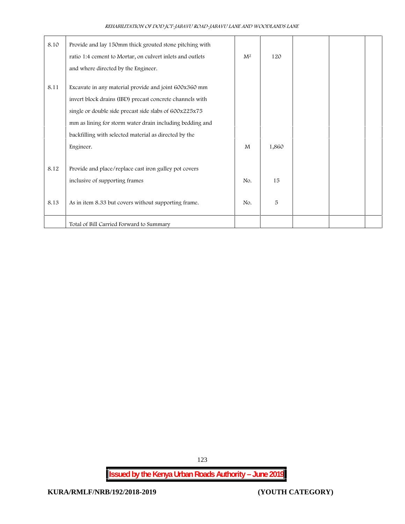| 8.10 | Provide and lay 150mm thick grouted stone pitching with<br>ratio 1:4 cement to Mortar, on culvert inlets and outlets<br>and where directed by the Engineer.                                                                             | M <sup>2</sup> | 120   |  |  |
|------|-----------------------------------------------------------------------------------------------------------------------------------------------------------------------------------------------------------------------------------------|----------------|-------|--|--|
| 8.11 | Excavate in any material provide and joint 600x360 mm<br>invert block drains (IBD) precast concrete channels with<br>single or double side precast side slabs of 600x225x75<br>mm as lining for storm water drain including bedding and |                |       |  |  |
|      | backfilling with selected material as directed by the<br>Engineer.                                                                                                                                                                      | M              | 1,860 |  |  |
| 8.12 | Provide and place/replace cast iron gulley pot covers<br>inclusive of supporting frames                                                                                                                                                 | No.            | 15    |  |  |
| 8.13 | As in item 8.33 but covers without supporting frame.                                                                                                                                                                                    | No.            | 5     |  |  |
|      | Total of Bill Carried Forward to Summary                                                                                                                                                                                                |                |       |  |  |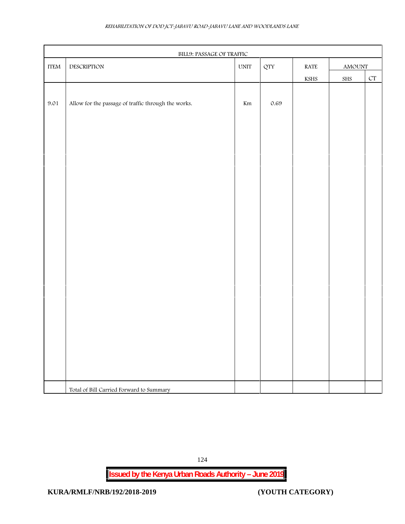| REHABILITATION OF DOD JCT-JABAVU ROAD-JABAVU LANE AND WOODLANDS LANE |
|----------------------------------------------------------------------|
|----------------------------------------------------------------------|

| $\ensuremath{\text{ITEM}}$ | BILL9: PASSAGE OF TRAFFIC<br>DESCRIPTION            | $\ensuremath{\text{UNIT}}$ | QTY      | $\operatorname{RATE}$ | $\Lambda\text{MOUNT}$ |                          |
|----------------------------|-----------------------------------------------------|----------------------------|----------|-----------------------|-----------------------|--------------------------|
|                            |                                                     |                            |          | $\operatorname{KSHS}$ | ${\rm SHS}$           | $\mathcal{C}\mathcal{T}$ |
|                            |                                                     |                            |          |                       |                       |                          |
| 9.01                       | Allow for the passage of traffic through the works. | $\rm{Km}$                  | $0.69\,$ |                       |                       |                          |
|                            |                                                     |                            |          |                       |                       |                          |
|                            |                                                     |                            |          |                       |                       |                          |
|                            |                                                     |                            |          |                       |                       |                          |
|                            |                                                     |                            |          |                       |                       |                          |
|                            |                                                     |                            |          |                       |                       |                          |
|                            |                                                     |                            |          |                       |                       |                          |
|                            |                                                     |                            |          |                       |                       |                          |
|                            |                                                     |                            |          |                       |                       |                          |
|                            |                                                     |                            |          |                       |                       |                          |
|                            |                                                     |                            |          |                       |                       |                          |
|                            |                                                     |                            |          |                       |                       |                          |
|                            |                                                     |                            |          |                       |                       |                          |
|                            |                                                     |                            |          |                       |                       |                          |
|                            |                                                     |                            |          |                       |                       |                          |
|                            |                                                     |                            |          |                       |                       |                          |
|                            |                                                     |                            |          |                       |                       |                          |
|                            |                                                     |                            |          |                       |                       |                          |
|                            |                                                     |                            |          |                       |                       |                          |
|                            |                                                     |                            |          |                       |                       |                          |
|                            |                                                     |                            |          |                       |                       |                          |
|                            |                                                     |                            |          |                       |                       |                          |
|                            |                                                     |                            |          |                       |                       |                          |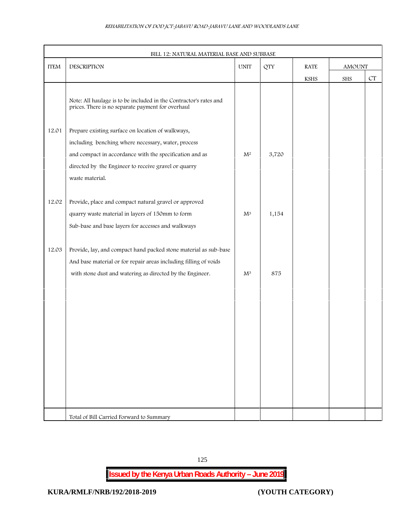|             | BILL 12: NATURAL MATERIAL BASE AND SUBBASE                                                                                         |                |            |             |               |                    |
|-------------|------------------------------------------------------------------------------------------------------------------------------------|----------------|------------|-------------|---------------|--------------------|
| <b>ITEM</b> | DESCRIPTION                                                                                                                        | <b>UNIT</b>    | <b>QTY</b> | <b>RATE</b> | <b>AMOUNT</b> |                    |
|             |                                                                                                                                    |                |            | KSHS        | SHS           | ${\cal C}{\cal T}$ |
|             | Note: All haulage is to be included in the Contractor's rates and<br>prices. There is no separate payment for overhaul             |                |            |             |               |                    |
| 12.01       | Prepare existing surface on location of walkways,<br>including benching where necessary, water, process                            |                |            |             |               |                    |
|             | and compact in accordance with the specification and as<br>directed by the Engineer to receive gravel or quarry<br>waste material. | $\mathbf{M}^2$ | 3,720      |             |               |                    |
| 12.02       | Provide, place and compact natural gravel or approved<br>quarry waste material in layers of 150mm to form                          | $\mathbf{M}^3$ | 1,154      |             |               |                    |
| 12.03       | Sub-base and base layers for accesses and walkways<br>Provide, lay, and compact hand packed stone material as sub-base             |                |            |             |               |                    |
|             | And base material or for repair areas including filling of voids                                                                   |                |            |             |               |                    |
|             | with stone dust and watering as directed by the Engineer.                                                                          | $M^3$          | 875        |             |               |                    |
|             |                                                                                                                                    |                |            |             |               |                    |
|             |                                                                                                                                    |                |            |             |               |                    |
|             |                                                                                                                                    |                |            |             |               |                    |
|             |                                                                                                                                    |                |            |             |               |                    |
|             |                                                                                                                                    |                |            |             |               |                    |
|             | Total of Bill Carried Forward to Summary                                                                                           |                |            |             |               |                    |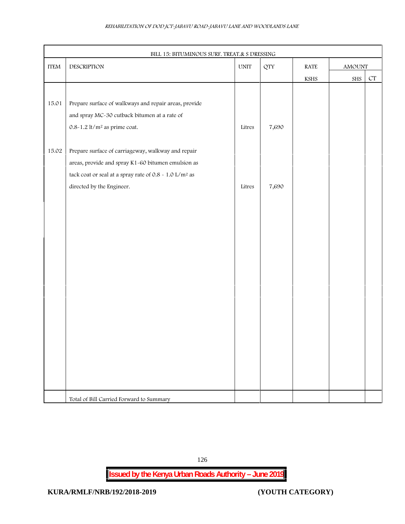| DESCRIPTION<br>$\ensuremath{\text{UNIT}}$<br>$\operatorname{RATE}$<br><b>QTY</b><br>AMOUNT<br>${\cal C}{\cal T}$<br>${\rm SHS}$<br>KSHS<br>Prepare surface of walkways and repair areas, provide<br>and spray MC-30 cutback bitumen at a rate of<br>$0.8 - 1.2$ lt/m <sup>2</sup> as prime coat.<br>7,690<br>Litres<br>Prepare surface of carriageway, walkway and repair<br>areas, provide and spray K1-60 bitumen emulsion as<br>tack coat or seal at a spray rate of 0.8 - 1.0 L/m <sup>2</sup> as<br>7,690<br>directed by the Engineer.<br>Litres |                            | BILL 15: BITUMINOUS SURF. TREAT.& S DRESSING |  |  |  |
|-------------------------------------------------------------------------------------------------------------------------------------------------------------------------------------------------------------------------------------------------------------------------------------------------------------------------------------------------------------------------------------------------------------------------------------------------------------------------------------------------------------------------------------------------------|----------------------------|----------------------------------------------|--|--|--|
|                                                                                                                                                                                                                                                                                                                                                                                                                                                                                                                                                       | $\ensuremath{\text{ITEM}}$ |                                              |  |  |  |
|                                                                                                                                                                                                                                                                                                                                                                                                                                                                                                                                                       |                            |                                              |  |  |  |
|                                                                                                                                                                                                                                                                                                                                                                                                                                                                                                                                                       |                            |                                              |  |  |  |
|                                                                                                                                                                                                                                                                                                                                                                                                                                                                                                                                                       | 15.01                      |                                              |  |  |  |
|                                                                                                                                                                                                                                                                                                                                                                                                                                                                                                                                                       |                            |                                              |  |  |  |
|                                                                                                                                                                                                                                                                                                                                                                                                                                                                                                                                                       |                            |                                              |  |  |  |
|                                                                                                                                                                                                                                                                                                                                                                                                                                                                                                                                                       |                            |                                              |  |  |  |
|                                                                                                                                                                                                                                                                                                                                                                                                                                                                                                                                                       | 15.02                      |                                              |  |  |  |
|                                                                                                                                                                                                                                                                                                                                                                                                                                                                                                                                                       |                            |                                              |  |  |  |
|                                                                                                                                                                                                                                                                                                                                                                                                                                                                                                                                                       |                            |                                              |  |  |  |
|                                                                                                                                                                                                                                                                                                                                                                                                                                                                                                                                                       |                            |                                              |  |  |  |
|                                                                                                                                                                                                                                                                                                                                                                                                                                                                                                                                                       |                            |                                              |  |  |  |
|                                                                                                                                                                                                                                                                                                                                                                                                                                                                                                                                                       |                            |                                              |  |  |  |
|                                                                                                                                                                                                                                                                                                                                                                                                                                                                                                                                                       |                            |                                              |  |  |  |
|                                                                                                                                                                                                                                                                                                                                                                                                                                                                                                                                                       |                            |                                              |  |  |  |
|                                                                                                                                                                                                                                                                                                                                                                                                                                                                                                                                                       |                            |                                              |  |  |  |
|                                                                                                                                                                                                                                                                                                                                                                                                                                                                                                                                                       |                            |                                              |  |  |  |
|                                                                                                                                                                                                                                                                                                                                                                                                                                                                                                                                                       |                            |                                              |  |  |  |
|                                                                                                                                                                                                                                                                                                                                                                                                                                                                                                                                                       |                            |                                              |  |  |  |
|                                                                                                                                                                                                                                                                                                                                                                                                                                                                                                                                                       |                            |                                              |  |  |  |
|                                                                                                                                                                                                                                                                                                                                                                                                                                                                                                                                                       |                            |                                              |  |  |  |
|                                                                                                                                                                                                                                                                                                                                                                                                                                                                                                                                                       |                            |                                              |  |  |  |
|                                                                                                                                                                                                                                                                                                                                                                                                                                                                                                                                                       |                            |                                              |  |  |  |
|                                                                                                                                                                                                                                                                                                                                                                                                                                                                                                                                                       |                            |                                              |  |  |  |
|                                                                                                                                                                                                                                                                                                                                                                                                                                                                                                                                                       |                            |                                              |  |  |  |
|                                                                                                                                                                                                                                                                                                                                                                                                                                                                                                                                                       |                            |                                              |  |  |  |
|                                                                                                                                                                                                                                                                                                                                                                                                                                                                                                                                                       |                            |                                              |  |  |  |
| Total of Bill Carried Forward to Summary                                                                                                                                                                                                                                                                                                                                                                                                                                                                                                              |                            |                                              |  |  |  |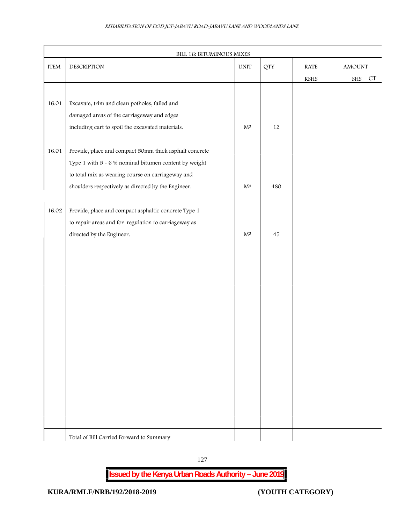| $\ensuremath{\text{ITEM}}$ | DESCRIPTION                                             |                | $\ensuremath{\text{UNIT}}$ | <b>QTY</b>            | $\operatorname{RATE}$ |                    |  | AMOUNT |  |
|----------------------------|---------------------------------------------------------|----------------|----------------------------|-----------------------|-----------------------|--------------------|--|--------|--|
|                            |                                                         |                |                            | $\operatorname{KSHS}$ | ${\rm SHS}$           | ${\cal C}{\cal T}$ |  |        |  |
|                            |                                                         |                |                            |                       |                       |                    |  |        |  |
| 16.01                      | Excavate, trim and clean potholes, failed and           |                |                            |                       |                       |                    |  |        |  |
|                            | damaged areas of the carriageway and edges              |                |                            |                       |                       |                    |  |        |  |
|                            | including cart to spoil the excavated materials.        | $\mathbf{M}^3$ | $12\,$                     |                       |                       |                    |  |        |  |
|                            |                                                         |                |                            |                       |                       |                    |  |        |  |
| 16.01                      | Provide, place and compact 50mm thick asphalt concrete  |                |                            |                       |                       |                    |  |        |  |
|                            | Type 1 with $5 - 6$ % nominal bitumen content by weight |                |                            |                       |                       |                    |  |        |  |
|                            | to total mix as wearing course on carriageway and       |                |                            |                       |                       |                    |  |        |  |
|                            | shoulders respectively as directed by the Engineer.     | $\mathbf{M}^3$ | 480                        |                       |                       |                    |  |        |  |
|                            |                                                         |                |                            |                       |                       |                    |  |        |  |
| 16.02                      | Provide, place and compact asphaltic concrete Type 1    |                |                            |                       |                       |                    |  |        |  |
|                            | to repair areas and for regulation to carriageway as    |                |                            |                       |                       |                    |  |        |  |
|                            | directed by the Engineer.                               | $\mathbf{M}^3$ | $\sqrt{45}$                |                       |                       |                    |  |        |  |
|                            |                                                         |                |                            |                       |                       |                    |  |        |  |
|                            |                                                         |                |                            |                       |                       |                    |  |        |  |
|                            |                                                         |                |                            |                       |                       |                    |  |        |  |
|                            |                                                         |                |                            |                       |                       |                    |  |        |  |
|                            |                                                         |                |                            |                       |                       |                    |  |        |  |
|                            |                                                         |                |                            |                       |                       |                    |  |        |  |
|                            |                                                         |                |                            |                       |                       |                    |  |        |  |
|                            |                                                         |                |                            |                       |                       |                    |  |        |  |
|                            |                                                         |                |                            |                       |                       |                    |  |        |  |
|                            |                                                         |                |                            |                       |                       |                    |  |        |  |
|                            |                                                         |                |                            |                       |                       |                    |  |        |  |
|                            |                                                         |                |                            |                       |                       |                    |  |        |  |
|                            |                                                         |                |                            |                       |                       |                    |  |        |  |
|                            |                                                         |                |                            |                       |                       |                    |  |        |  |
|                            |                                                         |                |                            |                       |                       |                    |  |        |  |
|                            |                                                         |                |                            |                       |                       |                    |  |        |  |
|                            |                                                         |                |                            |                       |                       |                    |  |        |  |
|                            | Total of Bill Carried Forward to Summary                |                |                            |                       |                       |                    |  |        |  |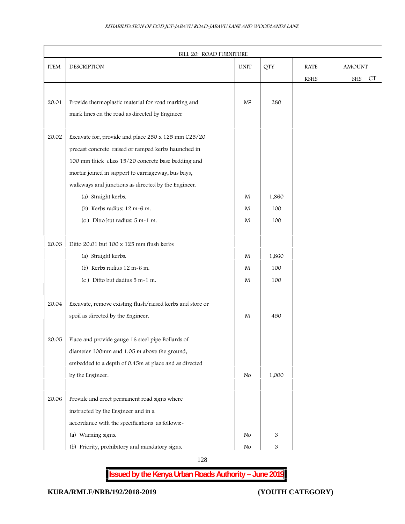|             | BILL 20: ROAD FURNITURE                                   |                |                           |               |     |    |
|-------------|-----------------------------------------------------------|----------------|---------------------------|---------------|-----|----|
| <b>ITEM</b> | DESCRIPTION                                               | <b>UNIT</b>    | <b>QTY</b><br><b>RATE</b> | <b>AMOUNT</b> |     |    |
|             |                                                           |                |                           | <b>KSHS</b>   | SHS | CT |
|             |                                                           |                |                           |               |     |    |
| 20.01       | Provide thermoplastic material for road marking and       | $\mathrm{M}^2$ | 280                       |               |     |    |
|             | mark lines on the road as directed by Engineer            |                |                           |               |     |    |
|             |                                                           |                |                           |               |     |    |
| 20.02       | Excavate for, provide and place 250 x 125 mm C25/20       |                |                           |               |     |    |
|             | precast concrete raised or ramped kerbs haunched in       |                |                           |               |     |    |
|             | 100 mm thick class 15/20 concrete base bedding and        |                |                           |               |     |    |
|             | mortar joined in support to carriageway, bus bays,        |                |                           |               |     |    |
|             | walkways and junctions as directed by the Engineer.       |                |                           |               |     |    |
|             | (a) Straight kerbs.                                       | M              | 1,860                     |               |     |    |
|             | (b) Kerbs radius: 12 m-6 m.                               | M              | 100                       |               |     |    |
|             | (c) Ditto but radius: 5 m-1 m.                            | M              | 100                       |               |     |    |
|             |                                                           |                |                           |               |     |    |
| 20.03       | Ditto 20.01 but 100 x 125 mm flush kerbs                  |                |                           |               |     |    |
|             | (a) Straight kerbs.                                       | M              | 1,860                     |               |     |    |
|             | (b) Kerbs radius 12 m-6 m.                                | M              | 100                       |               |     |    |
|             | (c) Ditto but dadius 5 m-1 m.                             | M              | 100                       |               |     |    |
|             |                                                           |                |                           |               |     |    |
| 20.04       | Excavate, remove existing flush/raised kerbs and store or |                |                           |               |     |    |
|             | spoil as directed by the Engineer.                        | M              | 450                       |               |     |    |
|             |                                                           |                |                           |               |     |    |
| 20.05       | Place and provide gauge 16 steel pipe Bollards of         |                |                           |               |     |    |
|             | diameter 100mm and 1.05 m above the ground,               |                |                           |               |     |    |
|             | embedded to a depth of 0.45m at place and as directed     |                |                           |               |     |    |
|             | by the Engineer.                                          | No             | 1,000                     |               |     |    |
|             |                                                           |                |                           |               |     |    |
| 20.06       | Provide and erect permanent road signs where              |                |                           |               |     |    |
|             | instructed by the Engineer and in a                       |                |                           |               |     |    |
|             | accordance with the specifications as follows:-           |                |                           |               |     |    |
|             | (a) Warning signs.                                        | No             | 3                         |               |     |    |
|             | (b) Priority, prohibitory and mandatory signs.            | No             | 3                         |               |     |    |

128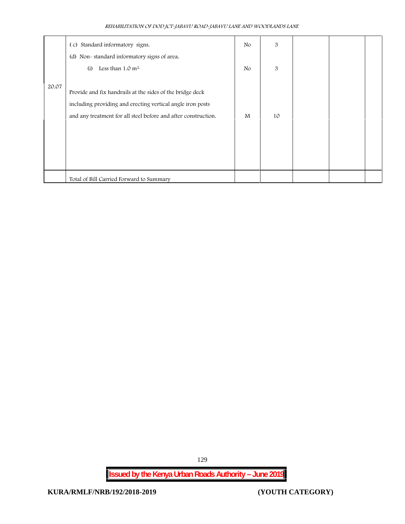|       | (c) Standard informatory signs.                                | N <sub>o</sub> | 3  |  |  |
|-------|----------------------------------------------------------------|----------------|----|--|--|
|       | (d) Non-standard informatory signs of area.                    |                |    |  |  |
|       | Less than $1.0 \text{ m}^2$ .<br>(i)                           | N <sub>o</sub> | 3  |  |  |
| 20.07 |                                                                |                |    |  |  |
|       | Provide and fix handrails at the sides of the bridge deck      |                |    |  |  |
|       | including providing and erecting vertical angle iron posts     |                |    |  |  |
|       | and any treatment for all steel before and after construction. | M              | 10 |  |  |
|       |                                                                |                |    |  |  |
|       |                                                                |                |    |  |  |
|       |                                                                |                |    |  |  |
|       |                                                                |                |    |  |  |
|       | Total of Bill Carried Forward to Summary                       |                |    |  |  |

129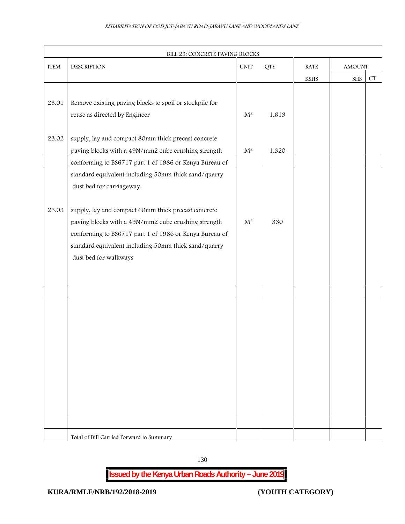| <b>ITEM</b> | DESCRIPTION                                                                                                    | <b>QTY</b><br><b>UNIT</b> |       |  | <b>RATE</b>           | AMOUNT |           |
|-------------|----------------------------------------------------------------------------------------------------------------|---------------------------|-------|--|-----------------------|--------|-----------|
|             |                                                                                                                |                           |       |  | $\operatorname{KSHS}$ | SHS    | $\cal CT$ |
|             |                                                                                                                |                           |       |  |                       |        |           |
| 23.01       | Remove existing paving blocks to spoil or stockpile for                                                        |                           |       |  |                       |        |           |
|             | reuse as directed by Engineer                                                                                  | $\mathbf{M}^2$            | 1,613 |  |                       |        |           |
|             |                                                                                                                |                           |       |  |                       |        |           |
| 23.02       | supply, lay and compact 80mm thick precast concrete                                                            |                           |       |  |                       |        |           |
|             | paving blocks with a 49N/mm2 cube crushing strength                                                            | $\mathbf{M}^2$            | 1,320 |  |                       |        |           |
|             | conforming to BS6717 part 1 of 1986 or Kenya Bureau of                                                         |                           |       |  |                       |        |           |
|             | standard equivalent including 50mm thick sand/quarry                                                           |                           |       |  |                       |        |           |
|             | dust bed for carriageway.                                                                                      |                           |       |  |                       |        |           |
|             |                                                                                                                |                           |       |  |                       |        |           |
| 23.03       | supply, lay and compact 60mm thick precast concrete                                                            |                           |       |  |                       |        |           |
|             | paving blocks with a 49N/mm2 cube crushing strength                                                            | M <sup>2</sup>            | 330   |  |                       |        |           |
|             | conforming to BS6717 part 1 of 1986 or Kenya Bureau of<br>standard equivalent including 50mm thick sand/quarry |                           |       |  |                       |        |           |
|             | dust bed for walkways                                                                                          |                           |       |  |                       |        |           |
|             |                                                                                                                |                           |       |  |                       |        |           |
|             |                                                                                                                |                           |       |  |                       |        |           |
|             |                                                                                                                |                           |       |  |                       |        |           |
|             |                                                                                                                |                           |       |  |                       |        |           |
|             |                                                                                                                |                           |       |  |                       |        |           |
|             |                                                                                                                |                           |       |  |                       |        |           |
|             |                                                                                                                |                           |       |  |                       |        |           |
|             |                                                                                                                |                           |       |  |                       |        |           |
|             |                                                                                                                |                           |       |  |                       |        |           |
|             |                                                                                                                |                           |       |  |                       |        |           |
|             |                                                                                                                |                           |       |  |                       |        |           |
|             |                                                                                                                |                           |       |  |                       |        |           |
|             |                                                                                                                |                           |       |  |                       |        |           |
|             |                                                                                                                |                           |       |  |                       |        |           |
|             | Total of Bill Carried Forward to Summary                                                                       |                           |       |  |                       |        |           |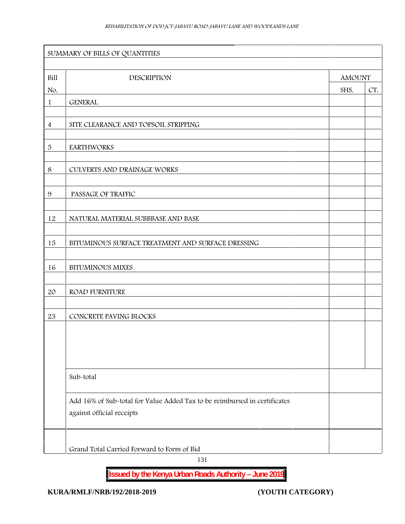| Bill           | <b>DESCRIPTION</b>                                                                                     | <b>AMOUNT</b> |     |
|----------------|--------------------------------------------------------------------------------------------------------|---------------|-----|
| No.            |                                                                                                        | SHS.          | CT. |
| 1              | <b>GENERAL</b>                                                                                         |               |     |
| $\overline{4}$ | SITE CLEARANCE AND TOPSOIL STRIPPING                                                                   |               |     |
| $\sqrt{5}$     | <b>EARTHWORKS</b>                                                                                      |               |     |
| $\,8\,$        | CULVERTS AND DRAINAGE WORKS                                                                            |               |     |
| 9              | PASSAGE OF TRAFFIC                                                                                     |               |     |
| 12             | NATURAL MATERIAL SUBBBASE AND BASE                                                                     |               |     |
| 15             | BITUMINOUS SURFACE TREATMENT AND SURFACE DRESSING                                                      |               |     |
| 16             | <b>BITUMINOUS MIXES</b>                                                                                |               |     |
| 20             | <b>ROAD FURNITURE</b>                                                                                  |               |     |
| 23             | CONCRETE PAVING BLOCKS                                                                                 |               |     |
|                |                                                                                                        |               |     |
|                | Sub-total                                                                                              |               |     |
|                |                                                                                                        |               |     |
|                | Add 16% of Sub-total for Value Added Tax to be reimbursed in certificates<br>against official receipts |               |     |

131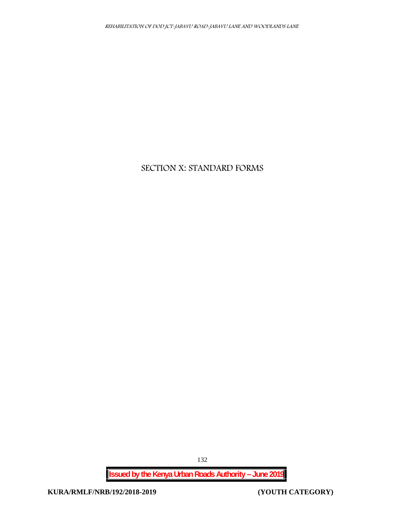# **SECTION X: STANDARD FORMS**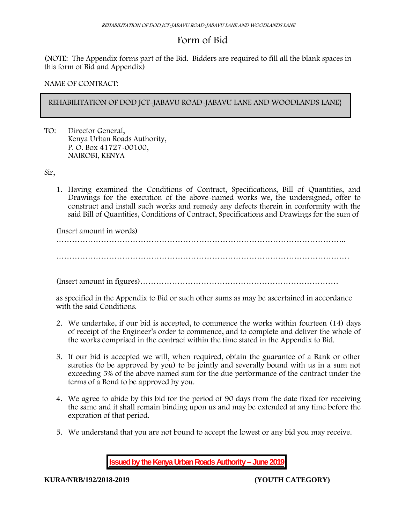# **Form of Bid**

(NOTE: The Appendix forms part of the Bid. Bidders are required to fill all the blank spaces in this form of Bid and Appendix)

## **NAME OF CONTRACT:**

# **REHABILITATION OF DOD JCT-JABAVU ROAD-JABAVU LANE AND WOODLANDS LANE}**

TO: Director General, Kenya Urban Roads Authority, P. O. Box 41727-00100, **NAIROBI, KENYA**

Sir,

1. Having examined the Conditions of Contract, Specifications, Bill of Quantities, and Drawings for the execution of the above-named works we, the undersigned, offer to construct and install such works and remedy any defects therein in conformity with the said Bill of Quantities, Conditions of Contract, Specifications and Drawings for the sum of

(Insert amount in words)

………………………………………………………………………………………………..

(Insert amount in figures)…………………………………………………………………

as specified in the Appendix to Bid or such other sums as may be ascertained in accordance with the said Conditions.

- 2. We undertake, if our bid is accepted, to commence the works within fourteen (14) days of receipt of the Engineer's order to commence, and to complete and deliver the whole of the works comprised in the contract within the time stated in the Appendix to Bid.
- 3. If our bid is accepted we will, when required, obtain the guarantee of a Bank or other sureties (to be approved by you) to be jointly and severally bound with us in a sum not exceeding 5% of the above named sum for the due performance of the contract under the terms of a Bond to be approved by you.
- 4. We agree to abide by this bid for the period of 90 days from the date fixed for receiving the same and it shall remain binding upon us and may be extended at any time before the expiration of that period.
- 5. We understand that you are not bound to accept the lowest or any bid you may receive.

**Issued by the Kenya Urban Roads Authority – June 2019**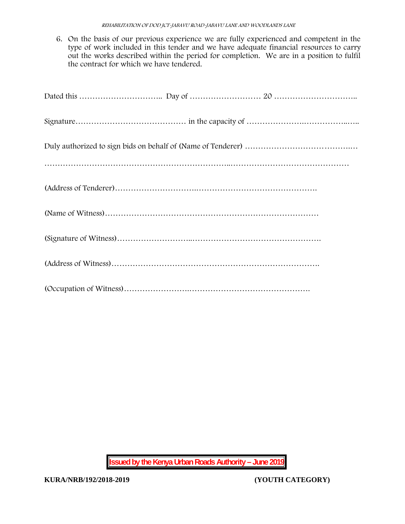6. On the basis of our previous experience we are fully experienced and competent in the type of work included in this tender and we have adequate financial resources to carry out the works described within the period for completion. We are in a position to fulfil the contract for which we have tendered.

**Issued by the Kenya Urban Roads Authority – June 2019**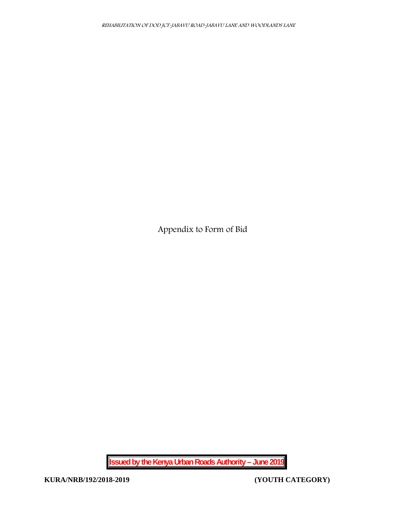**Appendix to Form of Bid**

**Issued by the Kenya Urban Roads Authority – June 2019**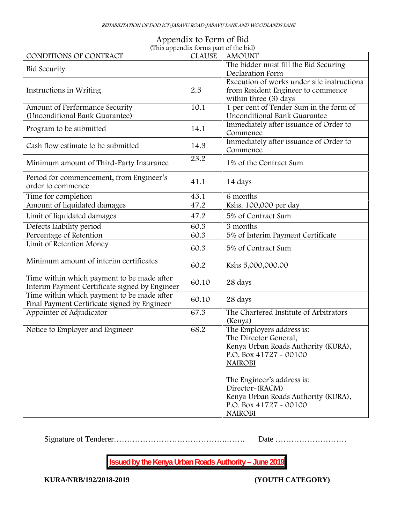| Appendix to Form of Bid               |  |
|---------------------------------------|--|
| (This appendix forms part of the bid) |  |

| CONDITIONS OF CONTRACT                                           | <b>CLAUSE</b> | <b>AMOUNT</b>                                                           |
|------------------------------------------------------------------|---------------|-------------------------------------------------------------------------|
| <b>Bid Security</b>                                              |               | The bidder must fill the Bid Securing                                   |
|                                                                  |               | Declaration Form                                                        |
|                                                                  |               | Execution of works under site instructions                              |
| Instructions in Writing                                          | 2.5           | from Resident Engineer to commence                                      |
|                                                                  |               | within three (3) days                                                   |
| Amount of Performance Security<br>(Unconditional Bank Guarantee) | 10.1          | 1 per cent of Tender Sum in the form of<br>Unconditional Bank Guarantee |
|                                                                  |               | Immediately after issuance of Order to                                  |
| Program to be submitted                                          | 14.1          | Commence                                                                |
|                                                                  |               | Immediately after issuance of Order to                                  |
| Cash flow estimate to be submitted                               | 14.3          | Commence                                                                |
|                                                                  | 23.2          |                                                                         |
| Minimum amount of Third-Party Insurance                          |               | 1% of the Contract Sum                                                  |
| Period for commencement, from Engineer's                         |               |                                                                         |
| order to commence                                                | 41.1          | 14 days                                                                 |
| Time for completion                                              | 43.1          | 6 months                                                                |
| Amount of liquidated damages                                     | 47.2          | Kshs. 100,000 per day                                                   |
| Limit of liquidated damages                                      | 47.2          | 5% of Contract Sum                                                      |
|                                                                  |               |                                                                         |
| Defects Liability period                                         | 60.3          | 3 months                                                                |
| Percentage of Retention                                          | 60.3          | 5% of Interim Payment Certificate                                       |
| Limit of Retention Money                                         | 60.3          | 5% of Contract Sum                                                      |
| Minimum amount of interim certificates                           | 60.2          | Kshs 5,000,000.00                                                       |
|                                                                  |               |                                                                         |
| Time within which payment to be made after                       | 60.10         | 28 days                                                                 |
| Interim Payment Certificate signed by Engineer                   |               |                                                                         |
| Time within which payment to be made after                       | 60.10         | 28 days                                                                 |
| Final Payment Certificate signed by Engineer                     |               | The Chartered Institute of Arbitrators                                  |
| Appointer of Adjudicator                                         | 67.3          |                                                                         |
| Notice to Employer and Engineer                                  | 68.2          | (Kenya)<br>The Employers address is:                                    |
|                                                                  |               | The Director General,                                                   |
|                                                                  |               | Kenya Urban Roads Authority (KURA),                                     |
|                                                                  |               | P.O. Box 41727 - 00100                                                  |
|                                                                  |               |                                                                         |
|                                                                  |               | <b>NAIROBI</b>                                                          |
|                                                                  |               | The Engineer's address is:                                              |
|                                                                  |               | Director~(RACM)                                                         |
|                                                                  |               | Kenya Urban Roads Authority (KURA),                                     |
|                                                                  |               | P.O. Box 41727 - 00100                                                  |
|                                                                  |               |                                                                         |
|                                                                  |               | <b>NAIROBI</b>                                                          |

Signature of Tenderer…………………………………….……. Date ………………………

**Issued by the Kenya Urban Roads Authority – June 2019**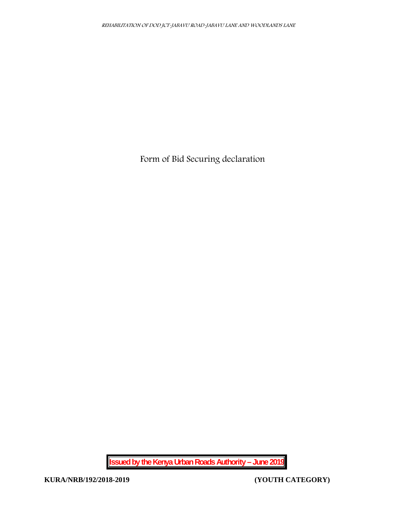**Form of Bid Securing declaration**

**Issued by the Kenya Urban Roads Authority – June 2019**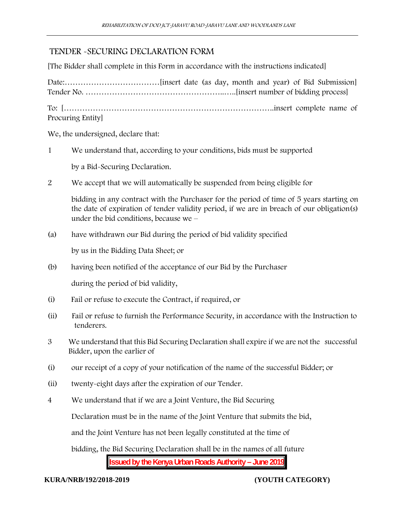# TENDER -SECURING DECLARATION FORM

[The Bidder shall complete in this Form in accordance with the instructions indicated]

Date:………………………………[insert date (as day, month and year) of Bid Submission] Tender No. ……………………………………………..…..[insert number of bidding process] To: [……………………………………………………………………..insert complete name of Procuring Entity]

We, the undersigned, declare that:

1 We understand that, according to your conditions, bids must be supported

by a Bid-Securing Declaration.

2 We accept that we will automatically be suspended from being eligible for

bidding in any contract with the Purchaser for the period of time of 5 years starting on the date of expiration of tender validity period, if we are in breach of our obligation(s) under the bid conditions, because we –

(a) have withdrawn our Bid during the period of bid validity specified

by us in the Bidding Data Sheet; or

(b) having been notified of the acceptance of our Bid by the Purchaser

during the period of bid validity,

- (i) Fail or refuse to execute the Contract, if required, or
- (ii) Fail or refuse to furnish the Performance Security, in accordance with the Instruction to tenderers.
- 3 We understand that this Bid Securing Declaration shall expire if we are not the successful Bidder, upon the earlier of
- (i) our receipt of a copy of your notification of the name of the successful Bidder; or
- (ii) twenty-eight days after the expiration of our Tender.
- 4 We understand that if we are a Joint Venture, the Bid Securing

Declaration must be in the name of the Joint Venture that submits the bid,

and the Joint Venture has not been legally constituted at the time of

**Issued by the Kenya Urban Roads Authority – June 2019** bidding, the Bid Securing Declaration shall be in the names of all future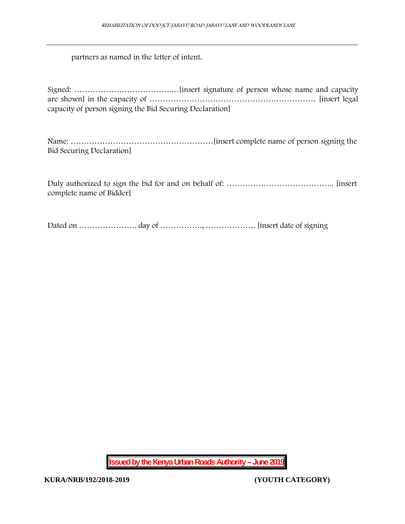partners as named in the letter of intent.

| capacity of person signing the Bid Securing Declaration |  |
|---------------------------------------------------------|--|

Name: ………………………………………………[insert complete name of person signing the Bid Securing Declaration]

Duly authorized to sign the bid for and on behalf of: ………………………………….. [insert complete name of Bidder]

Dated on …………………. day of ……………., ………………. [insert date of signing

**Issued by the Kenya Urban Roads Authority – June 2019**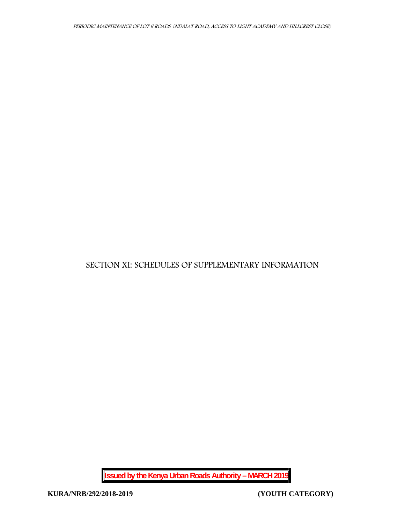# **SECTION XI: SCHEDULES OF SUPPLEMENTARY INFORMATION**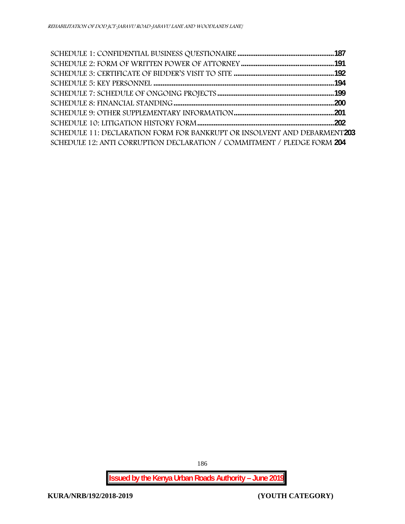| SCHEDULE 11: DECLARATION FORM FOR BANKRUPT OR INSOLVENT AND DEBARMENT203 |  |
|--------------------------------------------------------------------------|--|
| SCHEDULE 12: ANTI CORRUPTION DECLARATION / COMMITMENT / PLEDGE FORM 204  |  |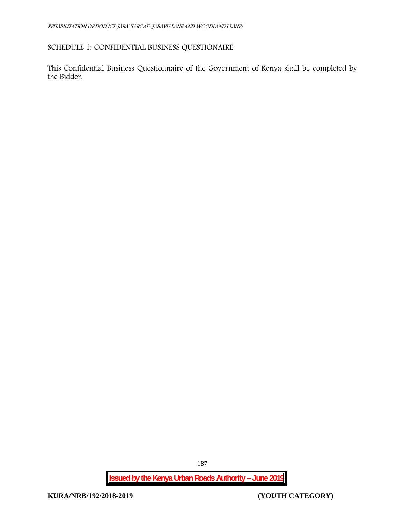# **SCHEDULE 1: CONFIDENTIAL BUSINESS QUESTIONAIRE**

This Confidential Business Questionnaire of the Government of Kenya shall be completed by the Bidder.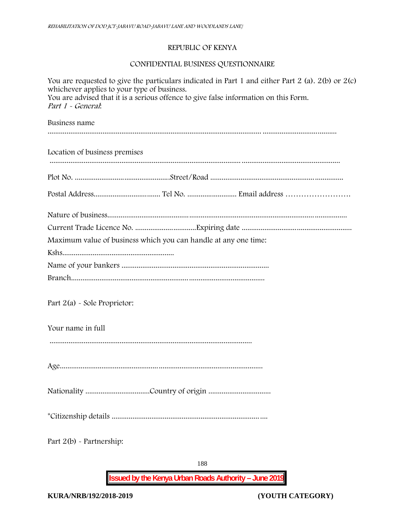# **REPUBLIC OF KENYA**

# **CONFIDENTIAL BUSINESS QUESTIONNAIRE**

| You are requested to give the particulars indicated in Part 1 and either Part 2 (a). $2(b)$ or $2(c)$<br>whichever applies to your type of business.<br>You are advised that it is a serious offence to give false information on this Form.<br>Part 1 - General. |
|-------------------------------------------------------------------------------------------------------------------------------------------------------------------------------------------------------------------------------------------------------------------|
| Business name                                                                                                                                                                                                                                                     |
| Location of business premises                                                                                                                                                                                                                                     |
|                                                                                                                                                                                                                                                                   |
|                                                                                                                                                                                                                                                                   |
|                                                                                                                                                                                                                                                                   |
|                                                                                                                                                                                                                                                                   |
| Maximum value of business which you can handle at any one time:                                                                                                                                                                                                   |
|                                                                                                                                                                                                                                                                   |
|                                                                                                                                                                                                                                                                   |
|                                                                                                                                                                                                                                                                   |
| Part $2(a)$ - Sole Proprietor:                                                                                                                                                                                                                                    |
| Your name in full                                                                                                                                                                                                                                                 |
|                                                                                                                                                                                                                                                                   |
|                                                                                                                                                                                                                                                                   |
|                                                                                                                                                                                                                                                                   |
|                                                                                                                                                                                                                                                                   |
|                                                                                                                                                                                                                                                                   |

Part 2(b) - Partnership: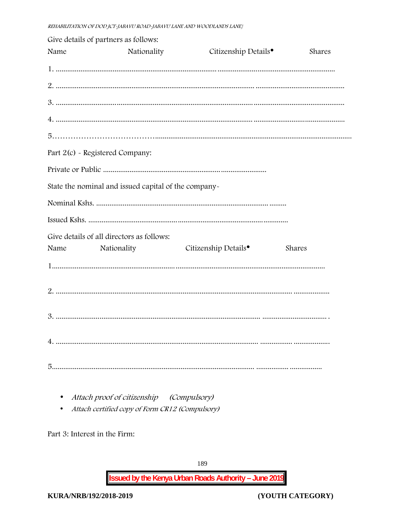|      | Give details of partners as follows:                 |                                  |        |
|------|------------------------------------------------------|----------------------------------|--------|
| Name | Nationality                                          | Citizenship Details <sup>•</sup> | Shares |
|      |                                                      |                                  |        |
|      |                                                      |                                  |        |
|      |                                                      |                                  |        |
|      |                                                      |                                  |        |
|      |                                                      |                                  |        |
|      | Part 2(c) - Registered Company:                      |                                  |        |
|      |                                                      |                                  |        |
|      | State the nominal and issued capital of the company- |                                  |        |
|      |                                                      |                                  |        |
|      |                                                      |                                  |        |
|      | Give details of all directors as follows:            |                                  |        |
| Name | Nationality                                          | Citizenship Details <sup>•</sup> | Shares |
|      |                                                      |                                  |        |
|      |                                                      |                                  |        |
|      |                                                      |                                  |        |
|      |                                                      |                                  |        |
|      |                                                      |                                  |        |
|      |                                                      |                                  |        |
|      |                                                      |                                  |        |

- Attach proof of citizenship (Compulsory)
- Attach certified copy of Form CR12 (Compulsory)

Part 3: Interest in the Firm: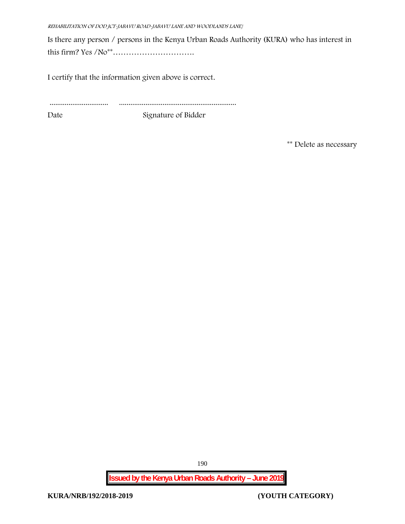*REHABILITATION OF DOD JCT-JABAVU ROAD-JABAVU LANE AND WOODLANDS LANE}*

Is there any person / persons in the Kenya Urban Roads Authority (KURA) who has interest in this firm? Yes /No\*\*………………………….

I certify that the information given above is correct.

............................... ..............................................................

Date Signature of Bidder

**\*\* Delete as necessary**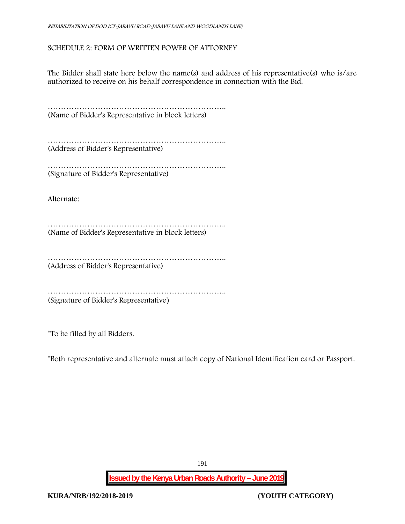## **SCHEDULE 2: FORM OF WRITTEN POWER OF ATTORNEY**

The Bidder shall state here below the name(s) and address of his representative(s) who is/are authorized to receive on his behalf correspondence in connection with the Bid.

………………………………………………………….. (Name of Bidder's Representative in block letters)

………………………………………………………….. (Address of Bidder's Representative)

………………………………………………………….. (Signature of Bidder's Representative)

Alternate:

………………………………………………………………………… (Name of Bidder's Representative in block letters)

………………………………………………………….. (Address of Bidder's Representative)

………………………………………………………….. (Signature of Bidder's Representative)

\*To be filled by all Bidders.

\*Both representative and alternate **must** attach copy of National Identification card or Passport.

191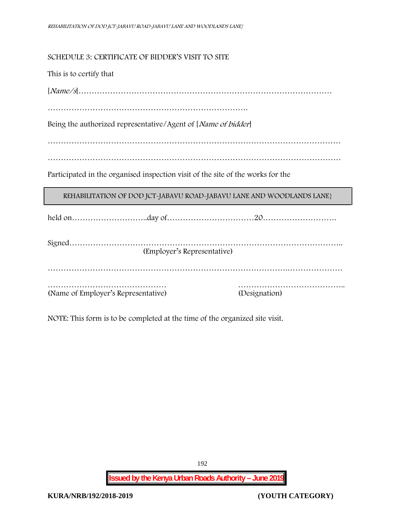**SCHEDULE 3: CERTIFICATE OF BIDDER'S VISIT TO SITE**

This is to certify that

[*Name/s*]……………………………………………………………………………………

………………………………………………………………….

Being the authorized representative/Agent of [*Name of bidder*]

…………………………………………………………………………………………………

…………………………………………………………………………………………………

Participated in the organised inspection visit of the site of the works for the

REHABILITATION OF DOD JCT-JABAVU ROAD-JABAVU LANE AND WOODLANDS LANE}

held on………………………..day of……………………………20……………………….

| (Employer's Representative)         |               |
|-------------------------------------|---------------|
|                                     |               |
|                                     |               |
| (Name of Employer's Representative) | (Designation) |

NOTE: This form is to be completed at the time of the organized site visit.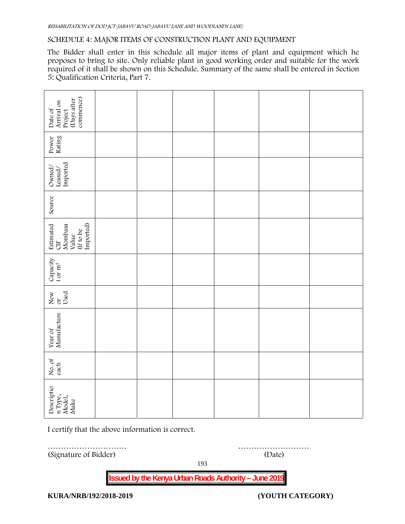#### **SCHEDULE 4: MAJOR ITEMS OF CONSTRUCTION PLANT AND EQUIPMENT**

The Bidder shall enter in this schedule all major items of plant and equipment which he proposes to bring to site. Only reliable plant in good working order and suitable for the work required of it shall be shown on this Schedule. Summary of the same shall be entered in Section 5: Qualification Criteria, Part 7.

| commence)<br>(Days after<br>Date of<br>Arrival on<br>Project                     |  |  |  |
|----------------------------------------------------------------------------------|--|--|--|
| Power<br>Rating                                                                  |  |  |  |
| $\begin{array}{l} \text{Ownd/} \\ \text{Leased/} \\ \text{Imported} \end{array}$ |  |  |  |
| Source                                                                           |  |  |  |
| Estimated<br>CIF<br>Imported)<br>Mombasa<br>Value<br>(If to be                   |  |  |  |
| $\begin{array}{c} \text{Capacity} \\ \text{t or m}^3 \end{array}$                |  |  |  |
| New $\frac{1}{\text{Used}}$                                                      |  |  |  |
| Year of<br>Manufacture                                                           |  |  |  |
| No. of<br>each                                                                   |  |  |  |
| Descriptio<br>n Type,<br>Model,<br>Make                                          |  |  |  |

I certify that the above information is correct.

………………………… ……………………… (Signature of Bidder) (Date)

193

**Issued by the Kenya Urban Roads Authority – June 2019**

**KURA/NRB/192/2018-2019 (YOUTH CATEGORY)**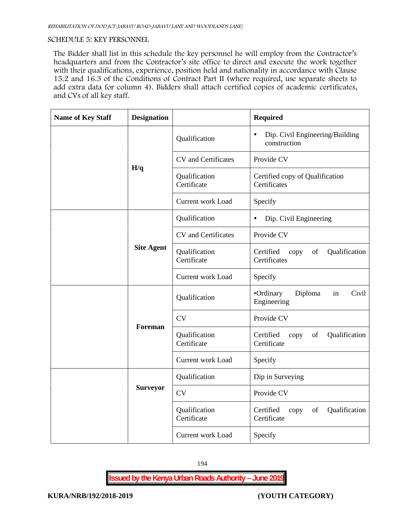## **SCHEDULE 5: KEY PERSONNEL**

The Bidder shall list in this schedule the key personnel he will employ from the Contractor's headquarters and from the Contractor's site office to direct and execute the work together with their qualifications, experience, position held and nationality in accordance with Clause 15.2 and 16.3 of the Conditions of Contract Part II (where required, use separate sheets to add extra data for column 4). Bidders shall attach certified copies of academic certificates, and CVs of all key staff.

| <b>Name of Key Staff</b> | <b>Designation</b> |                              | <b>Required</b>                                              |
|--------------------------|--------------------|------------------------------|--------------------------------------------------------------|
|                          |                    | Qualification                | Dip. Civil Engineering/Building<br>$\bullet$<br>construction |
|                          |                    | CV and Certificates          | Provide CV                                                   |
|                          | H/q                | Qualification<br>Certificate | Certified copy of Qualification<br>Certificates              |
|                          |                    | Current work Load            | Specify                                                      |
|                          |                    | Qualification                | Dip. Civil Engineering<br>$\bullet$                          |
|                          |                    | CV and Certificates          | Provide CV                                                   |
|                          | <b>Site Agent</b>  | Qualification<br>Certificate | Certified<br>Qualification<br>copy<br>of<br>Certificates     |
|                          |                    | Current work Load            | Specify                                                      |
|                          |                    | Qualification                | •Ordinary<br>Diploma<br>Civil<br>in<br>Engineering           |
|                          |                    | <b>CV</b>                    | Provide CV                                                   |
|                          | Foreman            | Qualification<br>Certificate | Certified<br>Qualification<br>of<br>copy<br>Certificate      |
|                          |                    | Current work Load            | Specify                                                      |
|                          |                    | Qualification                | Dip in Surveying                                             |
|                          | <b>Surveyor</b>    | <b>CV</b>                    | Provide CV                                                   |
|                          |                    | Qualification<br>Certificate | Certified<br>Qualification<br>of<br>copy<br>Certificate      |
|                          |                    | <b>Current work Load</b>     | Specify                                                      |

194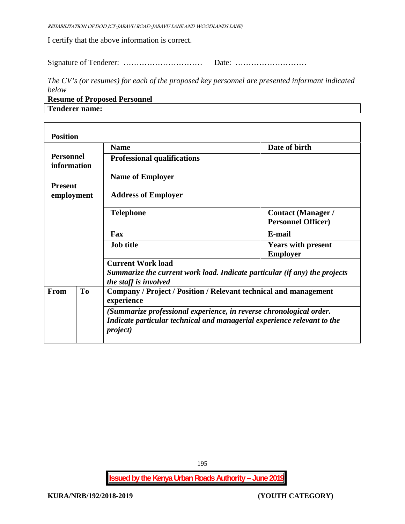*REHABILITATION OF DOD JCT-JABAVU ROAD-JABAVU LANE AND WOODLANDS LANE}*

I certify that the above information is correct.

Signature of Tenderer: ………………………… Date: ………………………

*The CV's (or resumes) for each of the proposed key personnel are presented informant indicated below*

**Resume of Proposed Personnel Tenderer name:**

 $\Gamma$ 

|                                 |  | <b>Name</b>                                                                                                                                                        | Date of birth                                          |  |  |
|---------------------------------|--|--------------------------------------------------------------------------------------------------------------------------------------------------------------------|--------------------------------------------------------|--|--|
| <b>Personnel</b><br>information |  | <b>Professional qualifications</b>                                                                                                                                 |                                                        |  |  |
| <b>Present</b>                  |  | <b>Name of Employer</b>                                                                                                                                            |                                                        |  |  |
| employment                      |  | <b>Address of Employer</b>                                                                                                                                         |                                                        |  |  |
|                                 |  | <b>Telephone</b>                                                                                                                                                   | <b>Contact (Manager /</b><br><b>Personnel Officer)</b> |  |  |
|                                 |  | Fax                                                                                                                                                                | E-mail                                                 |  |  |
|                                 |  | <b>Job title</b>                                                                                                                                                   | <b>Years with present</b><br><b>Employer</b>           |  |  |
|                                 |  | <b>Current Work load</b><br>Summarize the current work load. Indicate particular (if any) the projects<br>the staff is involved                                    |                                                        |  |  |
| T <sub>o</sub><br><b>From</b>   |  | Company / Project / Position / Relevant technical and management<br>experience                                                                                     |                                                        |  |  |
|                                 |  | (Summarize professional experience, in reverse chronological order.<br>Indicate particular technical and managerial experience relevant to the<br><i>project</i> ) |                                                        |  |  |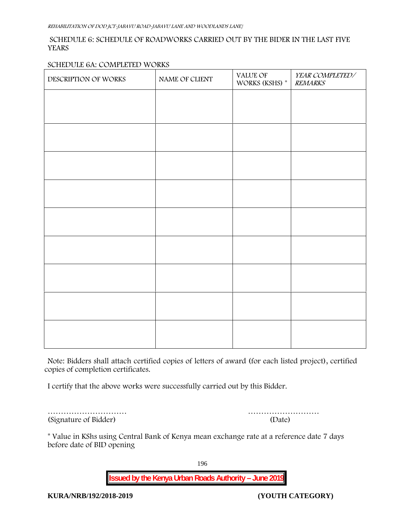## **SCHEDULE 6: SCHEDULE OF ROADWORKS CARRIED OUT BY THE BIDER IN THE LAST FIVE YEARS**

### **SCHEDULE 6A: COMPLETED WORKS**

| DESCRIPTION OF WORKS | NAME OF CLIENT | VALUE OF<br>WORKS (KSHS) * | YEAR COMPLETED/<br><b>REMARKS</b> |
|----------------------|----------------|----------------------------|-----------------------------------|
|                      |                |                            |                                   |
|                      |                |                            |                                   |
|                      |                |                            |                                   |
|                      |                |                            |                                   |
|                      |                |                            |                                   |
|                      |                |                            |                                   |
|                      |                |                            |                                   |
|                      |                |                            |                                   |
|                      |                |                            |                                   |
|                      |                |                            |                                   |
|                      |                |                            |                                   |
|                      |                |                            |                                   |

**Note:** Bidders shall attach certified copies of letters of award (for each listed project), certified copies of completion certificates.

I certify that the above works were successfully carried out by this Bidder.

| (Date) |
|--------|
|        |

………………………… ………………………

\* **Value in KShs using Central Bank of Kenya mean exchange rate at a reference date 7 days before date of BID opening**

196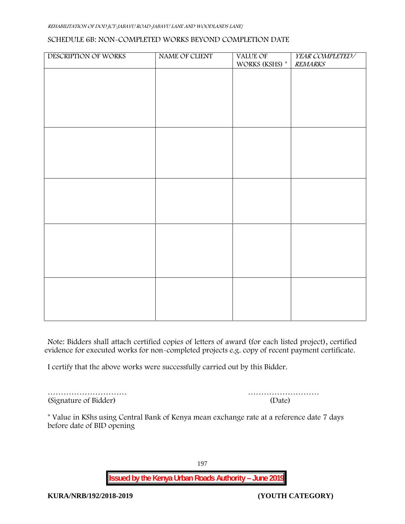#### *REHABILITATION OF DOD JCT-JABAVU ROAD-JABAVU LANE AND WOODLANDS LANE}*

#### **SCHEDULE 6B: NON-COMPLETED WORKS BEYOND COMPLETION DATE**

| DESCRIPTION OF WORKS | NAME OF CLIENT | VALUE OF       | YEAR COMPLETED/ |
|----------------------|----------------|----------------|-----------------|
|                      |                | WORKS (KSHS) * | <b>REMARKS</b>  |
|                      |                |                |                 |
|                      |                |                |                 |
|                      |                |                |                 |
|                      |                |                |                 |
|                      |                |                |                 |
|                      |                |                |                 |
|                      |                |                |                 |
|                      |                |                |                 |
|                      |                |                |                 |
|                      |                |                |                 |
|                      |                |                |                 |
|                      |                |                |                 |
|                      |                |                |                 |
|                      |                |                |                 |
|                      |                |                |                 |
|                      |                |                |                 |
|                      |                |                |                 |
|                      |                |                |                 |
|                      |                |                |                 |
|                      |                |                |                 |
|                      |                |                |                 |
|                      |                |                |                 |
|                      |                |                |                 |
|                      |                |                |                 |
|                      |                |                |                 |
|                      |                |                |                 |
|                      |                |                |                 |

**Note:** Bidders shall attach certified copies of letters of award (for each listed project), certified evidence for executed works for non-completed projects e.g. copy of recent payment certificate.

I certify that the above works were successfully carried out by this Bidder.

(Signature of Bidder) (Date)

………………………… ………………………

\* **Value in KShs using Central Bank of Kenya mean exchange rate at a reference date 7 days before date of BID opening**

197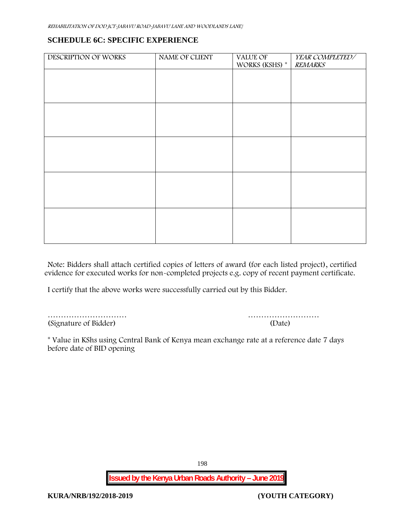## **SCHEDULE 6C: SPECIFIC EXPERIENCE**

| DESCRIPTION OF WORKS | NAME OF CLIENT | VALUE OF       | YEAR COMPLETED/ |
|----------------------|----------------|----------------|-----------------|
|                      |                | WORKS (KSHS) * | <b>REMARKS</b>  |
|                      |                |                |                 |
|                      |                |                |                 |
|                      |                |                |                 |
|                      |                |                |                 |
|                      |                |                |                 |
|                      |                |                |                 |
|                      |                |                |                 |
|                      |                |                |                 |
|                      |                |                |                 |
|                      |                |                |                 |
|                      |                |                |                 |
|                      |                |                |                 |
|                      |                |                |                 |
|                      |                |                |                 |
|                      |                |                |                 |
|                      |                |                |                 |
|                      |                |                |                 |
|                      |                |                |                 |
|                      |                |                |                 |
|                      |                |                |                 |
|                      |                |                |                 |

**Note:** Bidders shall attach certified copies of letters of award (for each listed project), certified evidence for executed works for non-completed projects e.g. copy of recent payment certificate.

I certify that the above works were successfully carried out by this Bidder.

(Signature of Bidder) (Date)

………………………… ………………………

\* **Value in KShs using Central Bank of Kenya mean exchange rate at a reference date 7 days before date of BID opening**

198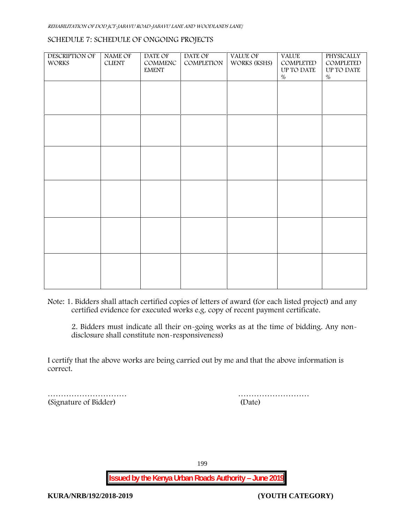#### **SCHEDULE 7: SCHEDULE OF ONGOING PROJECTS**

| <b>DESCRIPTION OF</b><br><b>WORKS</b> | <b>NAME OF</b><br><b>CLIENT</b> | DATE OF<br>COMMENC<br>$\ensuremath{\text{EMENT}}$ | DATE OF<br>COMPLETION | VALUE OF<br>WORKS (KSHS) | <b>VALUE</b><br>COMPLETED<br>UP TO DATE<br>$\%$ | PHYSICALLY<br>COMPLETED<br>UP TO DATE<br>$\%$ |  |
|---------------------------------------|---------------------------------|---------------------------------------------------|-----------------------|--------------------------|-------------------------------------------------|-----------------------------------------------|--|
|                                       |                                 |                                                   |                       |                          |                                                 |                                               |  |
|                                       |                                 |                                                   |                       |                          |                                                 |                                               |  |
|                                       |                                 |                                                   |                       |                          |                                                 |                                               |  |
|                                       |                                 |                                                   |                       |                          |                                                 |                                               |  |
|                                       |                                 |                                                   |                       |                          |                                                 |                                               |  |
|                                       |                                 |                                                   |                       |                          |                                                 |                                               |  |
|                                       |                                 |                                                   |                       |                          |                                                 |                                               |  |

**Note:** 1. Bidders shall attach certified copies of letters of award (for each listed project) and any certified evidence for executed works e.g. copy of recent payment certificate.

2. Bidders must indicate all their on-going works as at the time of bidding. Any non disclosure shall constitute non-responsiveness)

I certify that the above works are being carried out by me and that the above information is correct.

|                       | .      |
|-----------------------|--------|
| (Signature of Bidder) | (Date) |

………………………

199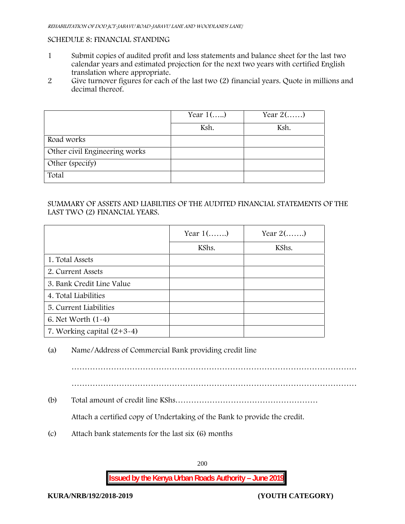## **SCHEDULE 8: FINANCIAL STANDING**

- 1 Submit copies of audited profit and loss statements and balance sheet for the last two calendar years and estimated projection for the next two years with certified English translation where appropriate.
- 2 Give turnover figures for each of the last two (2) financial years. Quote in millions and decimal thereof.

|                               | Year $1()$ | Year $2(\ldots)$ |
|-------------------------------|------------|------------------|
|                               | Ksh.       | Ksh.             |
| Road works                    |            |                  |
| Other civil Engineering works |            |                  |
| Other (specify)               |            |                  |
| Total                         |            |                  |

## SUMMARY OF ASSETS AND LIABILTIES OF THE AUDITED FINANCIAL STATEMENTS OF THE LAST TWO (2) FINANCIAL YEARS.

|                              | Year $1$ () | Year $2(\ldots)$ |
|------------------------------|-------------|------------------|
|                              | KShs.       | KShs.            |
| 1. Total Assets              |             |                  |
| 2. Current Assets            |             |                  |
| 3. Bank Credit Line Value    |             |                  |
| 4. Total Liabilities         |             |                  |
| 5. Current Liabilities       |             |                  |
| 6. Net Worth $(1-4)$         |             |                  |
| 7. Working capital $(2+3-4)$ |             |                  |

(a) Name/Address of Commercial Bank providing credit line

………………………………………………………………………………………………

(b) Total amount of credit line KShs………………………………………………

Attach a certified copy of Undertaking of the Bank to provide the credit.

(c) Attach bank statements for the last six (6) months

200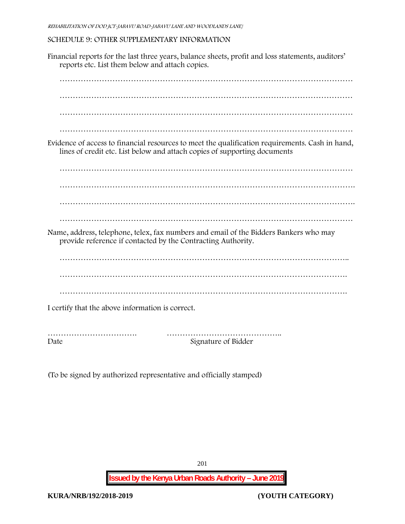## **SCHEDULE 9: OTHER SUPPLEMENTARY INFORMATION**

Financial reports for the last three years, balance sheets, profit and loss statements, auditors' reports etc. List them below and attach copies. ………………………………………………………………………………………………… ………………………………………………………………………………………………… ………………………………………………………………………………………………… ………………………………………………………………………………………………… Evidence of access to financial resources to meet the qualification requirements. Cash in hand, lines of credit etc. List below and attach copies of supporting documents ………………………………………………………………………………………………… …………………………………………………………………………………………………. …………………………………………………………………………………………………. ………………………………………………………………………………………………… Name, address, telephone, telex, fax numbers and email of the Bidders Bankers who may provide reference if contacted by the Contracting Authority. ……………………………………………………………………………………………….. ………………………………………………………………………………………………. ………………………………………………………………………………………………. I certify that the above information is correct. ……………………………. …………………………………….. Date Signature of Bidder

(To be signed by authorized representative and officially stamped)

201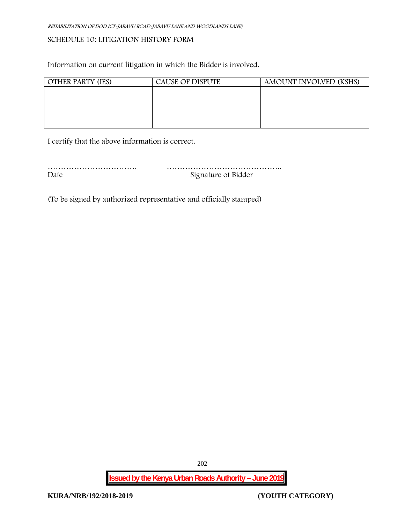## **SCHEDULE 10: LITIGATION HISTORY FORM**

Information on current litigation in which the Bidder is involved.

| <b>OTHER PARTY (IES)</b> | <b>CAUSE OF DISPUTE</b> | AMOUNT INVOLVED (KSHS) |
|--------------------------|-------------------------|------------------------|
|                          |                         |                        |
|                          |                         |                        |
|                          |                         |                        |
|                          |                         |                        |
|                          |                         |                        |

I certify that the above information is correct.

……………………………. …………………………………….. Date Signature of Bidder

(To be signed by authorized representative and officially stamped)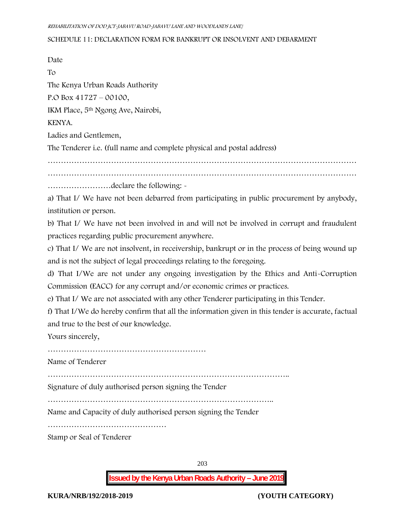#### **SCHEDULE 11: DECLARATION FORM FOR BANKRUPT OR INSOLVENT AND DEBARMENT**

Date  $T_{\Omega}$ The Kenya Urban Roads Authority P.O Box 41727 – 00100, IKM Place, 5th Ngong Ave, Nairobi, KENYA. Ladies and Gentlemen, The Tenderer i.e. (full name and complete physical and postal address) ……………………………………………………………………………………………………… ……………………declare the following: a) That I/ We have not been debarred from participating in public procurement by anybody, institution or person. b) That I/ We have not been involved in and will not be involved in corrupt and fraudulent practices regarding public procurement anywhere. c) That I/ We are not insolvent, in receivership, bankrupt or in the process of being wound up and is not the subject of legal proceedings relating to the foregoing. d) That I/We are not under any ongoing investigation by the Ethics and Anti-Corruption Commission (EACC) for any corrupt and/or economic crimes or practices. e) That I/ We are not associated with any other Tenderer participating in this Tender. f) That I/We do hereby confirm that all the information given in this tender is accurate, factual and true to the best of our knowledge. Yours sincerely, …………………………………………………… Name of Tenderer ……………………………………………………………………………….. Signature of duly authorised person signing the Tender ………………………………………………………………………….. Name and Capacity of duly authorised person signing the Tender …………………………………………………………… Stamp or Seal of Tenderer

203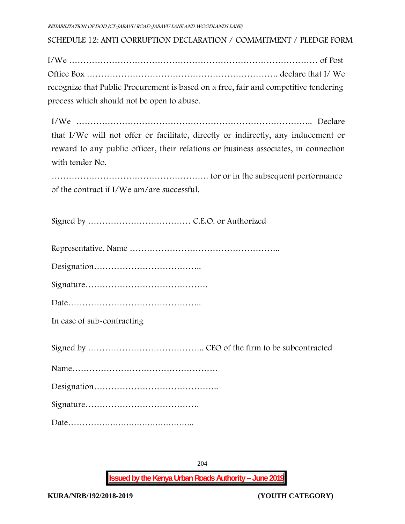**SCHEDULE 12: ANTI CORRUPTION DECLARATION / COMMITMENT / PLEDGE FORM**

I/We …………………………………………………………………………… of Post Office Box …………………………………………………………. declare that I/ We recognize that Public Procurement is based on a free, fair and competitive tendering process which should not be open to abuse.

I/We ……………………………………………………………………….. Declare that I/We will not offer or facilitate, directly or indirectly, any inducement or reward to any public officer, their relations or business associates, in connection with tender No.

………………………………………………. for or in the subsequent performance of the contract if I/We am/are successful.

Signed by ……………………………… C.E.O. or Authorized

Representative. Name ……………………………………………..

Designation………………………………..

Signature…………………………………….

Date………………………………………..

**In case of sub-contracting**

Signed by ………………………………….. CEO of the firm to be subcontracted

Name……………………………………………

Designation……………………………………..

Signature………………………………….

Date………………………………………..

**Issued by the Kenya Urban Roads Authority – June 2019**

204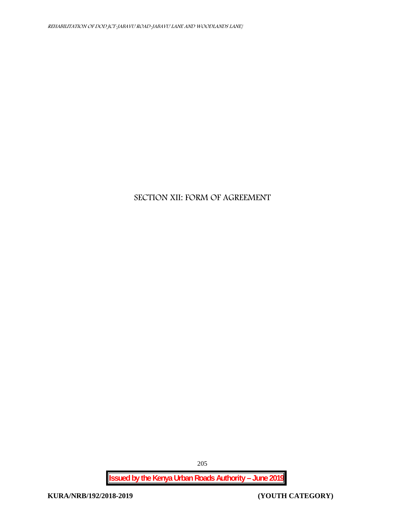# **SECTION XII: FORM OF AGREEMENT**

**Issued by the Kenya Urban Roads Authority – June 2019**

205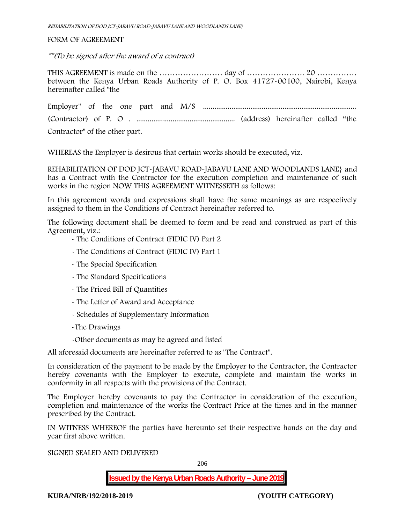#### FORM OF AGREEMENT

*\*\*(To be signed after the award of a contract)*

THIS AGREEMENT is made on the …………………… day of …………………. 20 …………… between the Kenya Urban Roads Authority of P. O. Box 41727-00100, Nairobi, Kenya hereinafter called "the

Employer" of the one part and M/S ................................................................................. (Contractor) of P. O . .................................................... (address) hereinafter called "the Contractor" of the other part.

WHEREAS the Employer is desirous that certain works should be executed, viz.

**REHABILITATION OF DOD JCT-JABAVU ROAD-JABAVU LANE AND WOODLANDS LANE}** and has a Contract with the Contractor for the execution completion and maintenance of such works in the region NOW THIS AGREEMENT WITNESSETH as follows:

In this agreement words and expressions shall have the same meanings as are respectively assigned to them in the Conditions of Contract hereinafter referred to.

The following document shall be deemed to form and be read and construed as part of this Agreement, viz.:

- The Conditions of Contract (FIDIC IV) Part 2
- The Conditions of Contract (FIDIC IV) Part 1
- The Special Specification
- The Standard Specifications
- The Priced Bill of Quantities
- The Letter of Award and Acceptance
- Schedules of Supplementary Information
- -The Drawings

-Other documents as may be agreed and listed

All aforesaid documents are hereinafter referred to as "The Contract".

In consideration of the payment to be made by the Employer to the Contractor, the Contractor hereby covenants with the Employer to execute, complete and maintain the works in conformity in all respects with the provisions of the Contract.

The Employer hereby covenants to pay the Contractor in consideration of the execution, completion and maintenance of the works the Contract Price at the times and in the manner prescribed by the Contract.

IN WITNESS WHEREOF the parties have hereunto set their respective hands on the day and year first above written.

SIGNED SEALED AND DELIVERED

**Issued by the Kenya Urban Roads Authority – June 2019**

**KURA/NRB/192/2018-2019 (YOUTH CATEGORY)**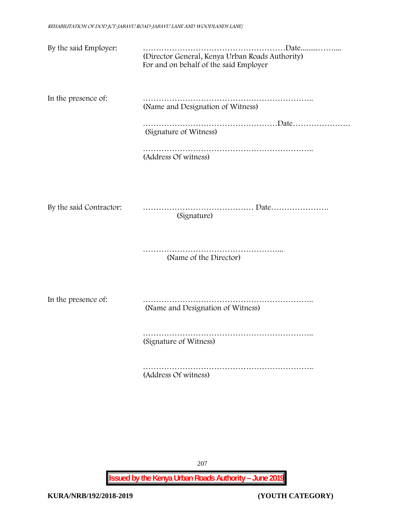| By the said Employer:   | (Director General, Kenya Urban Roads Authority)<br>For and on behalf of the said Employer |
|-------------------------|-------------------------------------------------------------------------------------------|
| In the presence of:     | (Name and Designation of Witness)                                                         |
|                         | (Signature of Witness)                                                                    |
|                         | (Address Of witness)                                                                      |
|                         |                                                                                           |
| By the said Contractor: | (Signature)                                                                               |
|                         | (Name of the Director)                                                                    |
| In the presence of:     | (Name and Designation of Witness)                                                         |
|                         | (Signature of Witness)                                                                    |
|                         | (Address Of witness)                                                                      |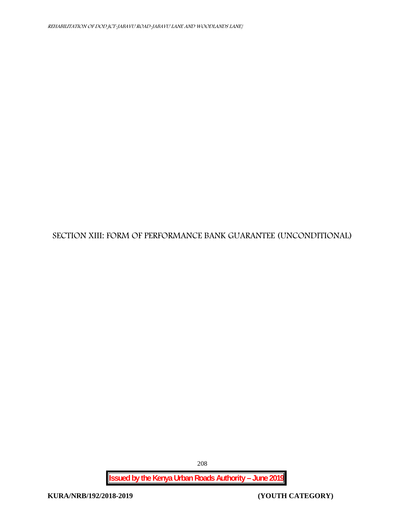## **SECTION XIII: FORM OF PERFORMANCE BANK GUARANTEE (UNCONDITIONAL)**

208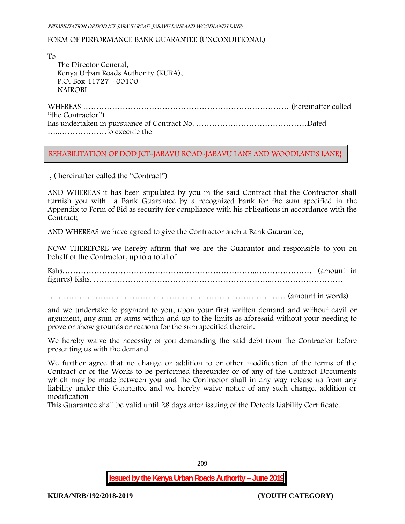#### FORM OF PERFORMANCE BANK GUARANTEE (UNCONDITIONAL)

To

The Director General, Kenya Urban Roads Authority (KURA), P.O. Box 41727 - 00100 **NAIROBI**

WHEREAS …………………………………………………………………… (hereinafter called "the Contractor") has undertaken in pursuance of Contract No. ……………………………………Dated …..………………to execute the

#### **REHABILITATION OF DOD JCT-JABAVU ROAD-JABAVU LANE AND WOODLANDS LANE}**

, ( hereinafter called the "Contract")

AND WHEREAS it has been stipulated by you in the said Contract that the Contractor shall furnish you with a Bank Guarantee by a recognized bank for the sum specified in the Appendix to Form of Bid as security for compliance with his obligations in accordance with the Contract;

AND WHEREAS we have agreed to give the Contractor such a Bank Guarantee;

NOW THEREFORE we hereby affirm that we are the Guarantor and responsible to you on behalf of the Contractor, up to a total of

Kshs………………………………………………………………..………………… (amount in figures) Kshs. …………………………………………………………..………………………

 $\ldots$  (amount in words)

and we undertake to payment to you, upon your first written demand and without cavil or argument, any sum or sums within and up to the limits as aforesaid without your needing to prove or show grounds or reasons for the sum specified therein.

We hereby waive the necessity of you demanding the said debt from the Contractor before presenting us with the demand.

We further agree that no change or addition to or other modification of the terms of the Contract or of the Works to be performed thereunder or of any of the Contract Documents which may be made between you and the Contractor shall in any way release us from any liability under this Guarantee and we hereby waive notice of any such change, addition or modification

This Guarantee shall be valid until 28 days after issuing of the Defects Liability Certificate.

209